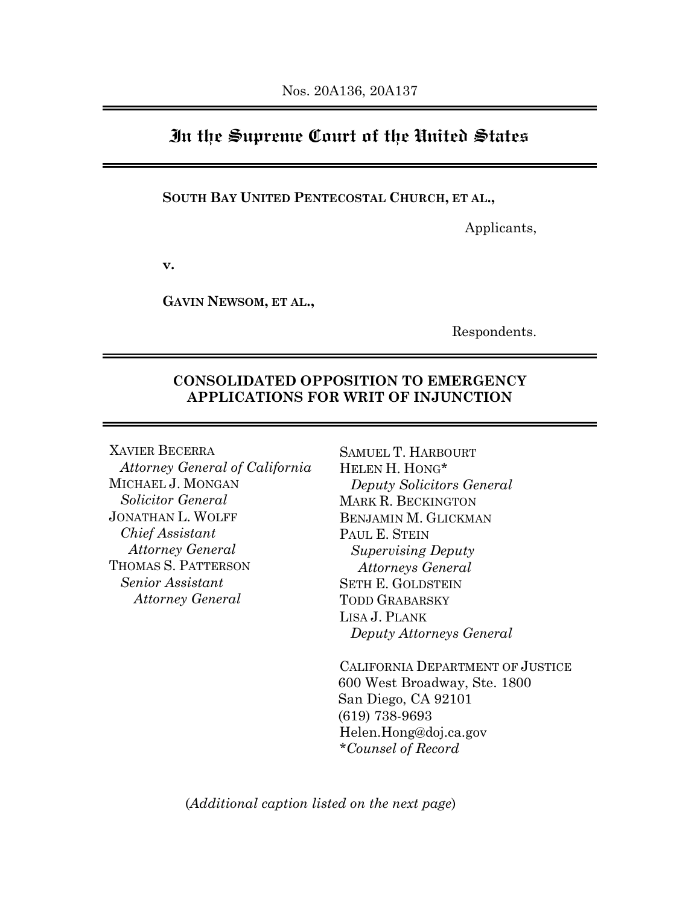# **In the Supreme Court of the United States**

#### **SOUTH BAY UNITED PENTECOSTAL CHURCH, ET AL.,**

Applicants,

**v.**

**GAVIN NEWSOM, ET AL.,**

Respondents.

### **CONSOLIDATED OPPOSITION TO EMERGENCY APPLICATIONS FOR WRIT OF INJUNCTION**

XAVIER BECERRA *Attorney General of California* MICHAEL J. MONGAN *Solicitor General* JONATHAN L. WOLFF *Chief Assistant Attorney General* THOMAS S. PATTERSON *Senior Assistant Attorney General*

SAMUEL T. HARBOURT HELEN H. HONG\* *Deputy Solicitors General* MARK R. BECKINGTON BENJAMIN M. GLICKMAN PAUL E. STEIN *Supervising Deputy Attorneys General* SETH E. GOLDSTEIN TODD GRABARSKY LISA J. PLANK *Deputy Attorneys General*

CALIFORNIA DEPARTMENT OF JUSTICE 600 West Broadway, Ste. 1800 San Diego, CA 92101 (619) 738-9693 Helen.Hong@doj.ca.gov *\*Counsel of Record*

<span id="page-0-0"></span>(*Additional caption listed on the next page*)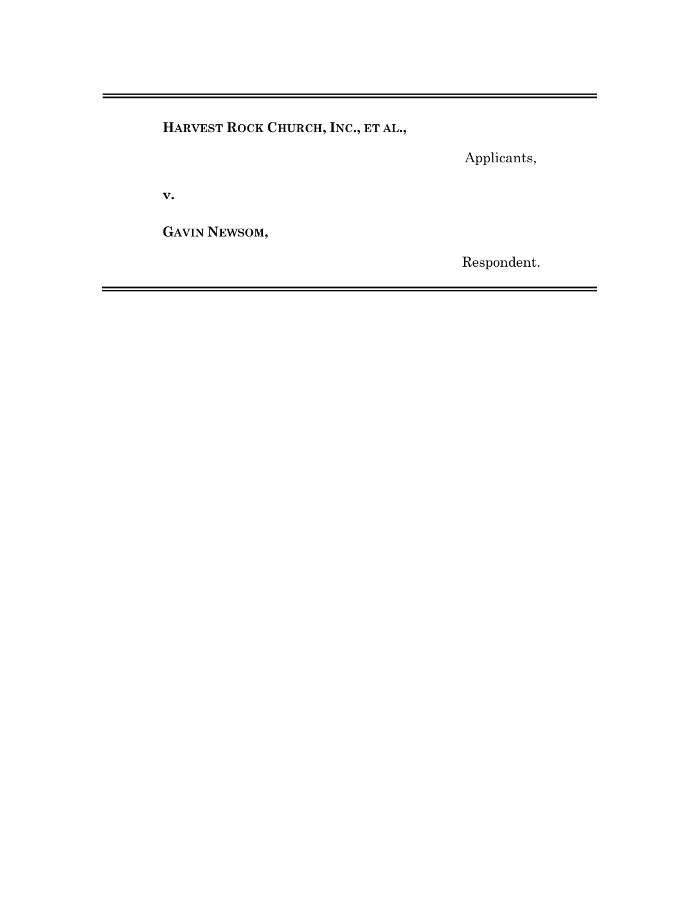**HARVEST ROCK CHURCH, INC., ET AL.,**

Applicants,

**v.**

**GAVIN NEWSOM,**

Respondent.

 $\blacksquare$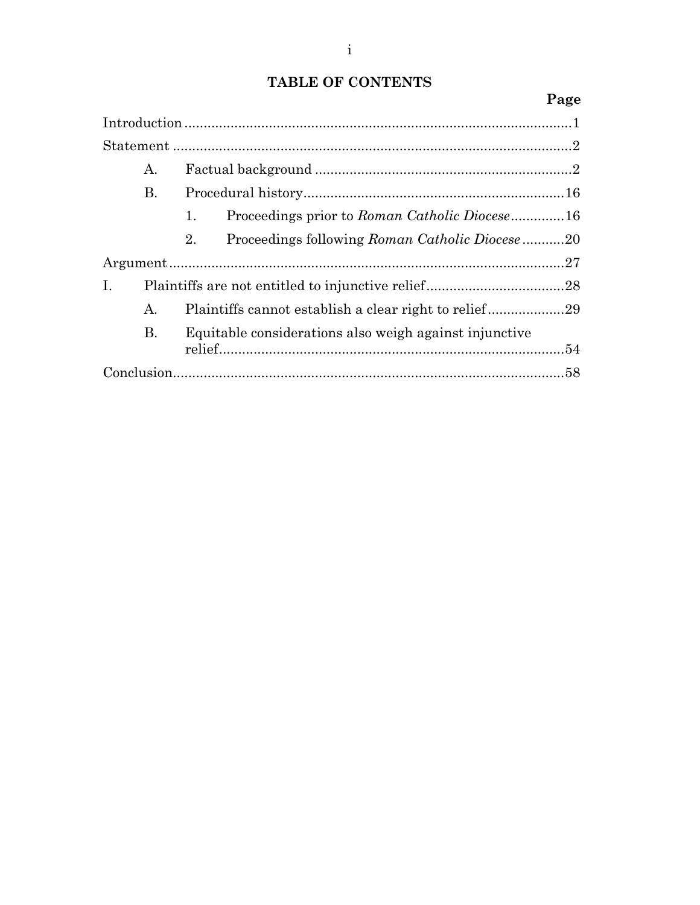# **TABLE OF CONTENTS**

### **Page**

|    | А. |    |                                                        |  |
|----|----|----|--------------------------------------------------------|--|
|    | В. |    |                                                        |  |
|    |    | 1. | Proceedings prior to Roman Catholic Diocese16          |  |
|    |    | 2. | Proceedings following Roman Catholic Diocese20         |  |
|    |    |    |                                                        |  |
| I. |    |    |                                                        |  |
|    | А. |    | Plaintiffs cannot establish a clear right to relief29  |  |
|    | B. |    | Equitable considerations also weigh against injunctive |  |
|    |    |    |                                                        |  |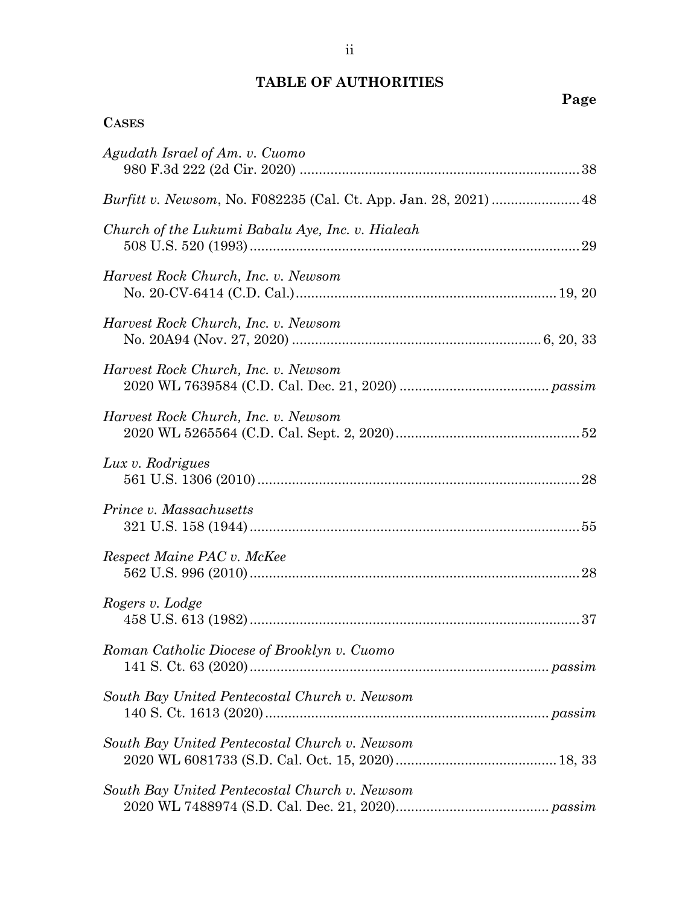# **TABLE OF AUTHORITIES**

**CASES**

| Agudath Israel of Am. v. Cuomo                   |
|--------------------------------------------------|
|                                                  |
| Church of the Lukumi Babalu Aye, Inc. v. Hialeah |
| Harvest Rock Church, Inc. v. Newsom              |
| Harvest Rock Church, Inc. v. Newsom              |
| Harvest Rock Church, Inc. v. Newsom              |
| Harvest Rock Church, Inc. v. Newsom              |
| Lux v. Rodrigues                                 |
| Prince v. Massachusetts                          |
| Respect Maine PAC v. McKee                       |
| Rogers v. Lodge                                  |
| Roman Catholic Diocese of Brooklyn v. Cuomo      |
| South Bay United Pentecostal Church v. Newsom    |
| South Bay United Pentecostal Church v. Newsom    |
| South Bay United Pentecostal Church v. Newsom    |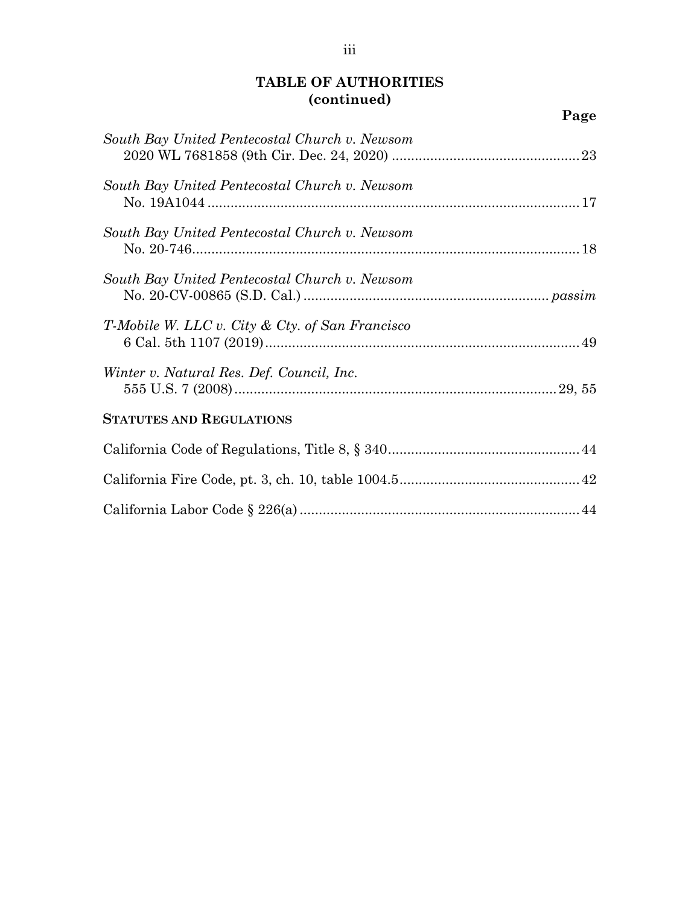| South Bay United Pentecostal Church v. Newsom   |  |
|-------------------------------------------------|--|
| South Bay United Pentecostal Church v. Newsom   |  |
| South Bay United Pentecostal Church v. Newsom   |  |
| South Bay United Pentecostal Church v. Newsom   |  |
| T-Mobile W. LLC v. City & Cty. of San Francisco |  |
| Winter v. Natural Res. Def. Council, Inc.       |  |
| <b>STATUTES AND REGULATIONS</b>                 |  |
|                                                 |  |
|                                                 |  |
|                                                 |  |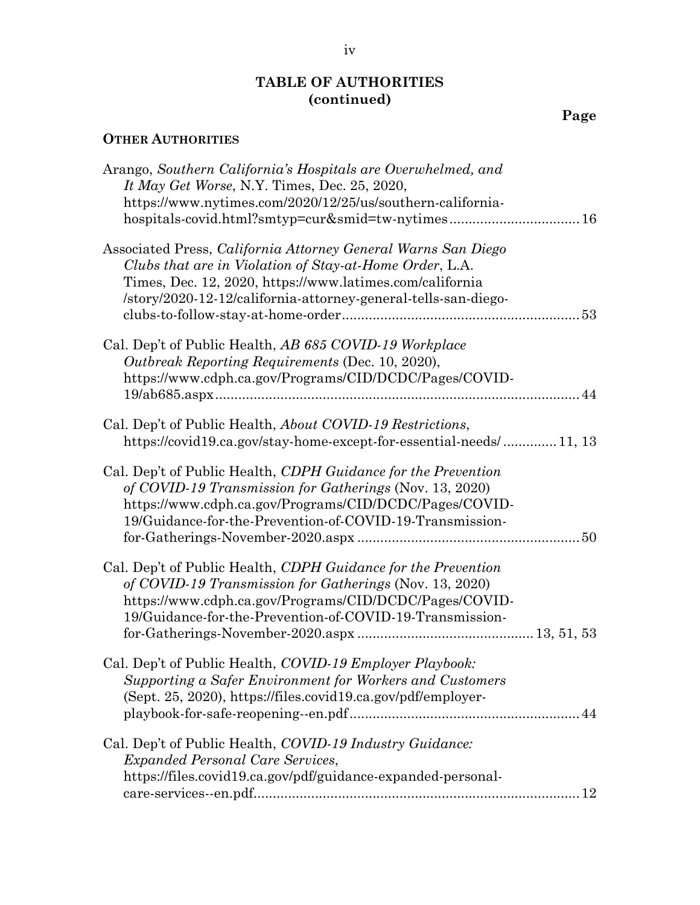### **OTHER AUTHORITIES**

| Arango, Southern California's Hospitals are Overwhelmed, and<br>It May Get Worse, N.Y. Times, Dec. 25, 2020,<br>https://www.nytimes.com/2020/12/25/us/southern-california-<br>hospitals-covid.html?smtyp=cur∣=tw-nytimes 16                            |  |
|--------------------------------------------------------------------------------------------------------------------------------------------------------------------------------------------------------------------------------------------------------|--|
| Associated Press, California Attorney General Warns San Diego<br>Clubs that are in Violation of Stay-at-Home Order, L.A.<br>Times, Dec. 12, 2020, https://www.latimes.com/california<br>/story/2020-12-12/california-attorney-general-tells-san-diego- |  |
| Cal. Dep't of Public Health, AB 685 COVID-19 Workplace<br>Outbreak Reporting Requirements (Dec. 10, 2020),<br>https://www.cdph.ca.gov/Programs/CID/DCDC/Pages/COVID-                                                                                   |  |
| Cal. Dep't of Public Health, <i>About COVID-19 Restrictions</i> ,<br>https://covid19.ca.gov/stay-home-except-for-essential-needs/11, 13                                                                                                                |  |
| Cal. Dep't of Public Health, CDPH Guidance for the Prevention<br>of COVID-19 Transmission for Gatherings (Nov. 13, 2020)<br>https://www.cdph.ca.gov/Programs/CID/DCDC/Pages/COVID-<br>19/Guidance-for-the-Prevention-of-COVID-19-Transmission-         |  |
| Cal. Dep't of Public Health, CDPH Guidance for the Prevention<br>of COVID-19 Transmission for Gatherings (Nov. 13, 2020)<br>https://www.cdph.ca.gov/Programs/CID/DCDC/Pages/COVID-<br>19/Guidance-for-the-Prevention-of-COVID-19-Transmission-         |  |
| Cal. Dep't of Public Health, COVID-19 Employer Playbook:<br>Supporting a Safer Environment for Workers and Customers<br>(Sept. 25, 2020), https://files.covid19.ca.gov/pdf/employer-                                                                   |  |
| Cal. Dep't of Public Health, COVID-19 Industry Guidance:<br><i>Expanded Personal Care Services,</i><br>https://files.covid19.ca.gov/pdf/guidance-expanded-personal-                                                                                    |  |
|                                                                                                                                                                                                                                                        |  |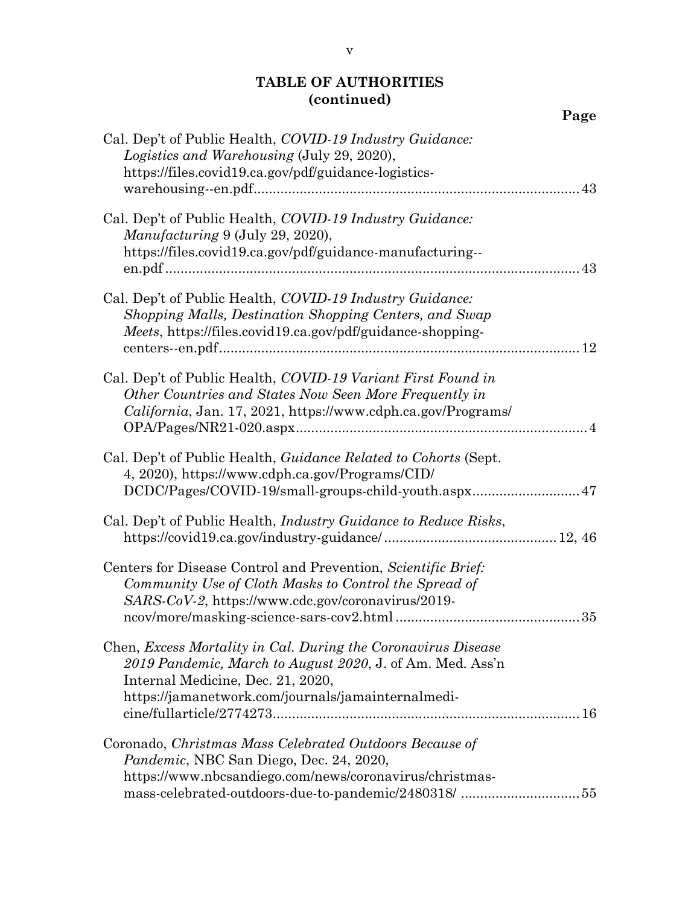|                                                                                                                                                                                                                       | Page |
|-----------------------------------------------------------------------------------------------------------------------------------------------------------------------------------------------------------------------|------|
| Cal. Dep't of Public Health, COVID-19 Industry Guidance:<br>Logistics and Warehousing (July 29, 2020),<br>https://files.covid19.ca.gov/pdf/guidance-logistics-                                                        |      |
| Cal. Dep't of Public Health, COVID-19 Industry Guidance:<br>Manufacturing 9 (July 29, 2020),<br>https://files.covid19.ca.gov/pdf/guidance-manufacturing--                                                             | 43   |
| Cal. Dep't of Public Health, COVID-19 Industry Guidance:<br>Shopping Malls, Destination Shopping Centers, and Swap<br>Meets, https://files.covid19.ca.gov/pdf/guidance-shopping-                                      |      |
| Cal. Dep't of Public Health, COVID-19 Variant First Found in<br>Other Countries and States Now Seen More Frequently in<br><i>California</i> , Jan. 17, 2021, https://www.cdph.ca.gov/Programs/                        |      |
| Cal. Dep't of Public Health, <i>Guidance Related to Cohorts</i> (Sept.<br>4, 2020), https://www.cdph.ca.gov/Programs/CID/<br>DCDC/Pages/COVID-19/small-groups-child-youth.aspx 47                                     |      |
| Cal. Dep't of Public Health, <i>Industry Guidance to Reduce Risks</i> ,                                                                                                                                               |      |
| Centers for Disease Control and Prevention, Scientific Brief:<br>Community Use of Cloth Masks to Control the Spread of<br>SARS-CoV-2, https://www.cdc.gov/coronavirus/2019-                                           | 35   |
| Chen, Excess Mortality in Cal. During the Coronavirus Disease<br>2019 Pandemic, March to August 2020, J. of Am. Med. Ass'n<br>Internal Medicine, Dec. 21, 2020,<br>https://jamanetwork.com/journals/jamainternalmedi- |      |
|                                                                                                                                                                                                                       |      |

| Coronado, Christmas Mass Celebrated Outdoors Because of |  |
|---------------------------------------------------------|--|
| <i>Pandemic</i> , NBC San Diego, Dec. 24, 2020,         |  |
| https://www.nbcsandiego.com/news/coronavirus/christmas- |  |
|                                                         |  |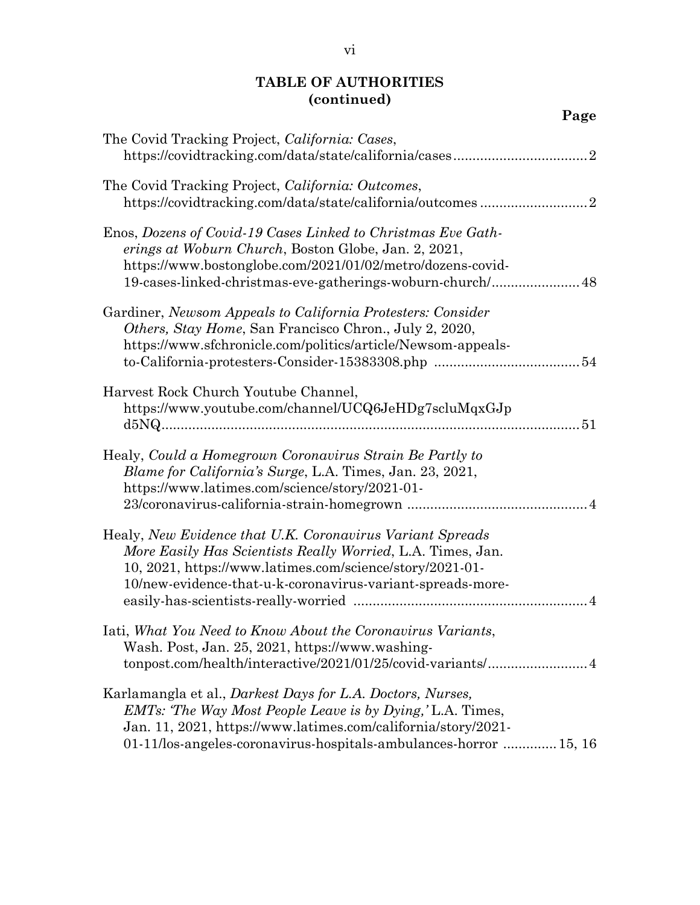| Page                                                                                                                                                                                                                                               |
|----------------------------------------------------------------------------------------------------------------------------------------------------------------------------------------------------------------------------------------------------|
| The Covid Tracking Project, California: Cases,                                                                                                                                                                                                     |
| The Covid Tracking Project, California: Outcomes,                                                                                                                                                                                                  |
| Enos, Dozens of Covid-19 Cases Linked to Christmas Eve Gath-<br>erings at Woburn Church, Boston Globe, Jan. 2, 2021,<br>https://www.bostonglobe.com/2021/01/02/metro/dozens-covid-<br>19-cases-linked-christmas-eve-gatherings-woburn-church/ 48   |
| Gardiner, Newsom Appeals to California Protesters: Consider<br><i>Others, Stay Home, San Francisco Chron., July 2, 2020,</i><br>https://www.sfchronicle.com/politics/article/Newsom-appeals-                                                       |
| Harvest Rock Church Youtube Channel,<br>https://www.youtube.com/channel/UCQ6JeHDg7scluMqxGJp                                                                                                                                                       |
| Healy, Could a Homegrown Coronavirus Strain Be Partly to<br>Blame for California's Surge, L.A. Times, Jan. 23, 2021,<br>https://www.latimes.com/science/story/2021-01-                                                                             |
| Healy, New Evidence that U.K. Coronavirus Variant Spreads<br>More Easily Has Scientists Really Worried, L.A. Times, Jan.<br>10, 2021, https://www.latimes.com/science/story/2021-01-<br>10/new-evidence-that-u-k-coronavirus-variant-spreads-more- |
| Iati, What You Need to Know About the Coronavirus Variants,<br>Wash. Post, Jan. 25, 2021, https://www.washing-<br>tonpost.com/health/interactive/2021/01/25/covid-variants/ 4                                                                      |
| Karlamangla et al., <i>Darkest Days for L.A. Doctors, Nurses,</i><br><i>EMTs: The Way Most People Leave is by Dying, L.A. Times,</i><br>Jan. 11, 2021, https://www.latimes.com/california/story/2021-                                              |

01-11/los-angeles-coronavirus-hospitals-ambulances-horror ..............15, 16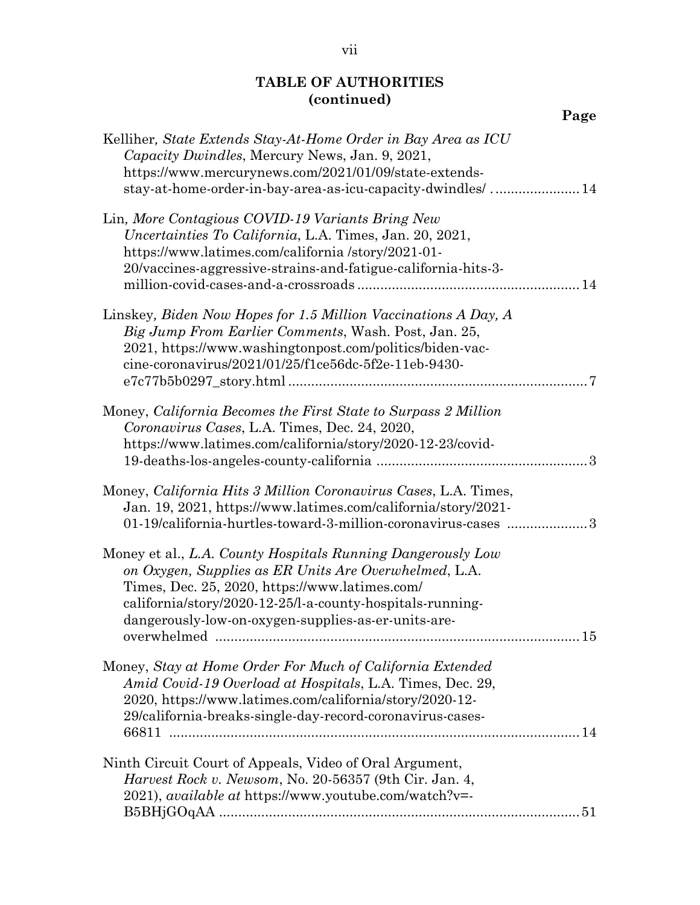| Page                                                                                                                                                                                                                                                                                       |
|--------------------------------------------------------------------------------------------------------------------------------------------------------------------------------------------------------------------------------------------------------------------------------------------|
| Kelliher, State Extends Stay-At-Home Order in Bay Area as ICU<br><i>Capacity Dwindles, Mercury News, Jan. 9, 2021,</i><br>https://www.mercurynews.com/2021/01/09/state-extends-<br>stay-at-home-order-in-bay-area-as-icu-capacity-dwindles/14                                              |
| Lin, More Contagious COVID-19 Variants Bring New<br><i>Uncertainties To California, L.A. Times, Jan. 20, 2021,</i><br>https://www.latimes.com/california/story/2021-01-<br>20/vaccines-aggressive-strains-and-fatigue-california-hits-3-                                                   |
| Linskey, Biden Now Hopes for 1.5 Million Vaccinations A Day, A<br>Big Jump From Earlier Comments, Wash. Post, Jan. 25,<br>2021, https://www.washingtonpost.com/politics/biden-vac-<br>cine-coronavirus/2021/01/25/f1ce56dc-5f2e-11eb-9430-                                                 |
| Money, California Becomes the First State to Surpass 2 Million<br>Coronavirus Cases, L.A. Times, Dec. 24, 2020,<br>https://www.latimes.com/california/story/2020-12-23/covid-                                                                                                              |
| Money, California Hits 3 Million Coronavirus Cases, L.A. Times,<br>Jan. 19, 2021, https://www.latimes.com/california/story/2021-<br>01-19/california-hurtles-toward-3-million-coronavirus-cases  3                                                                                         |
| Money et al., L.A. County Hospitals Running Dangerously Low<br>on Oxygen, Supplies as ER Units Are Overwhelmed, L.A.<br>Times, Dec. 25, 2020, https://www.latimes.com/<br>california/story/2020-12-25/l-a-county-hospitals-running-<br>dangerously-low-on-oxygen-supplies-as-er-units-are- |
| Money, Stay at Home Order For Much of California Extended<br>Amid Covid-19 Overload at Hospitals, L.A. Times, Dec. 29,<br>2020, https://www.latimes.com/california/story/2020-12-<br>29/california-breaks-single-day-record-coronavirus-cases-                                             |
| Ninth Circuit Court of Appeals, Video of Oral Argument,<br><i>Harvest Rock v. Newsom, No.</i> 20-56357 (9th Cir. Jan. 4,<br>2021), available at https://www.youtube.com/watch?v=-                                                                                                          |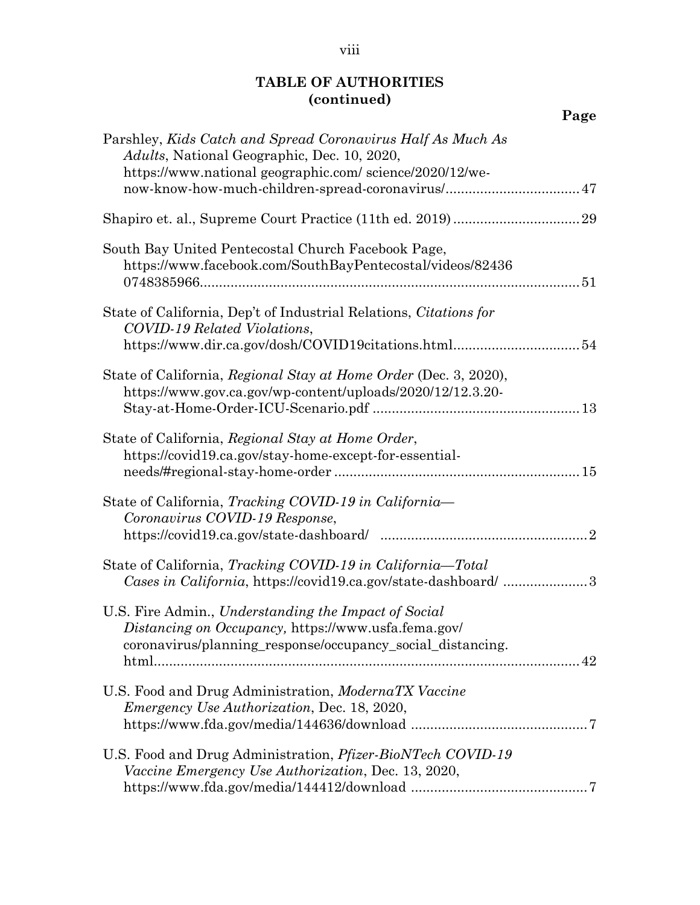| Parshley, Kids Catch and Spread Coronavirus Half As Much As<br>Adults, National Geographic, Dec. 10, 2020,                                                                |
|---------------------------------------------------------------------------------------------------------------------------------------------------------------------------|
| https://www.nationalgeographic.com/science/2020/12/we-<br>now-know-how-much-children-spread-coronavirus/ 47                                                               |
|                                                                                                                                                                           |
| South Bay United Pentecostal Church Facebook Page,<br>https://www.facebook.com/SouthBayPentecostal/videos/82436                                                           |
| State of California, Dep't of Industrial Relations, Citations for<br>COVID-19 Related Violations,<br>https://www.dir.ca.gov/dosh/COVID19citations.html54                  |
| State of California, Regional Stay at Home Order (Dec. 3, 2020),<br>https://www.gov.ca.gov/wp-content/uploads/2020/12/12.3.20-                                            |
| State of California, Regional Stay at Home Order,<br>https://covid19.ca.gov/stay-home-except-for-essential-                                                               |
| State of California, Tracking COVID-19 in California-<br>Coronavirus COVID-19 Response,                                                                                   |
| State of California, Tracking COVID-19 in California-Total<br>Cases in California, https://covid19.ca.gov/state-dashboard/ 3                                              |
| U.S. Fire Admin., Understanding the Impact of Social<br>Distancing on Occupancy, https://www.usfa.fema.gov/<br>coronavirus/planning_response/occupancy_social_distancing. |
| U.S. Food and Drug Administration, ModernaTX Vaccine<br><i>Emergency Use Authorization, Dec. 18, 2020,</i>                                                                |
| U.S. Food and Drug Administration, <i>Pfizer-BioNTech COVID-19</i><br>Vaccine Emergency Use Authorization, Dec. 13, 2020,                                                 |

# **Page**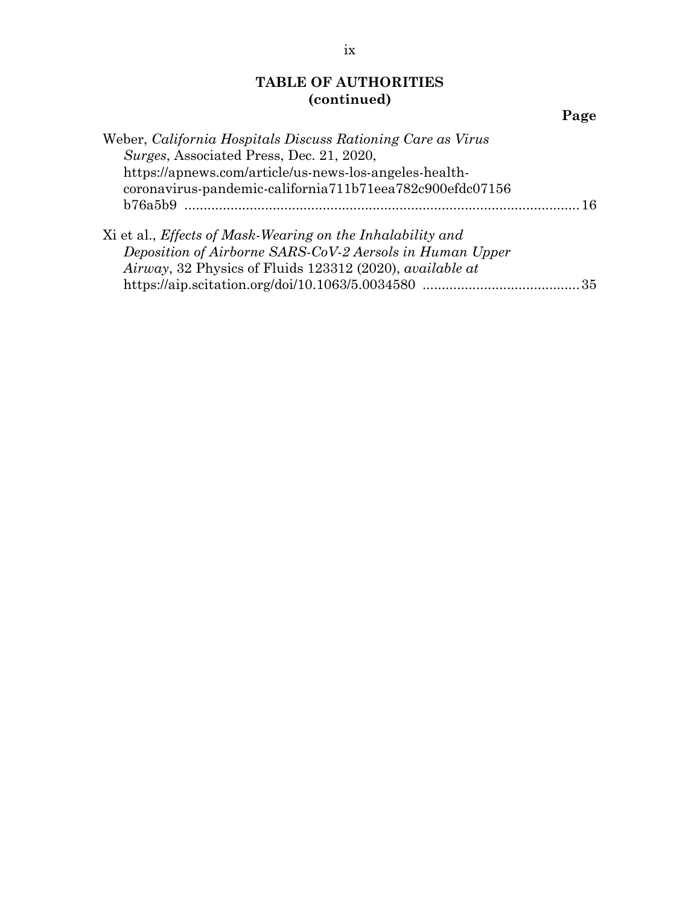|--|

| Weber, California Hospitals Discuss Rationing Care as Virus |     |
|-------------------------------------------------------------|-----|
| Surges, Associated Press, Dec. 21, 2020,                    |     |
| https://apnews.com/article/us-news-los-angeles-health-      |     |
| coronavirus-pandemic-california711b71eea782c900efdc07156    |     |
|                                                             | -16 |
| Xi et al., Effects of Mask-Wearing on the Inhalability and  |     |
| Deposition of Airborne SARS-CoV-2 Aersols in Human Upper    |     |
| Airway, 32 Physics of Fluids 123312 (2020), available at    |     |

https://aip.scitation.org/doi/10.1063/5.0034580 .........................................35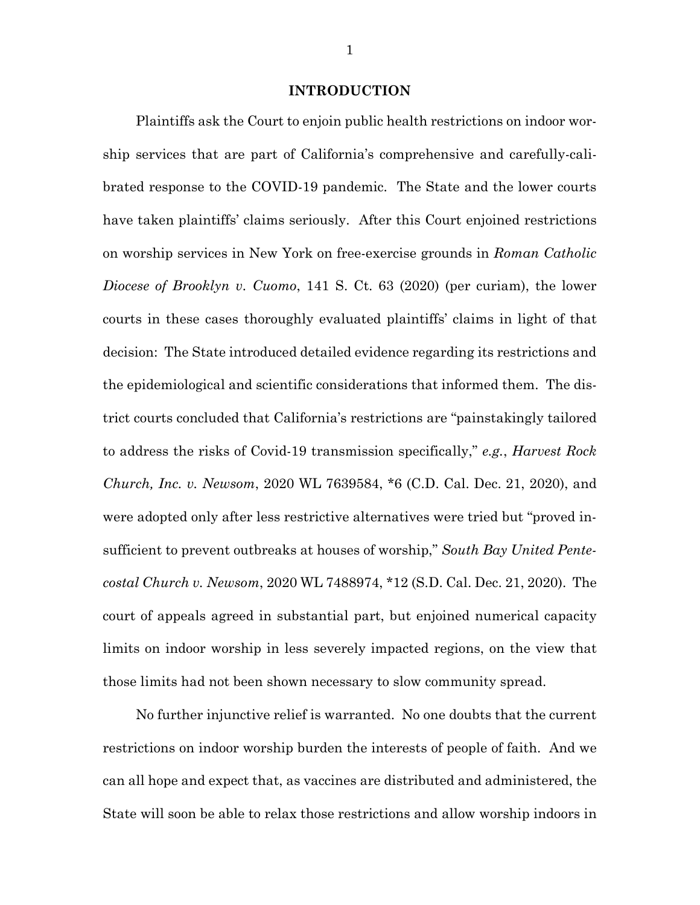#### **INTRODUCTION**

Plaintiffs ask the Court to enjoin public health restrictions on indoor worship services that are part of California's comprehensive and carefully-calibrated response to the COVID-19 pandemic. The State and the lower courts have taken plaintiffs' claims seriously. After this Court enjoined restrictions on worship services in New York on free-exercise grounds in *Roman Catholic Diocese of Brooklyn v. Cuomo*, 141 S. Ct. 63 (2020) (per curiam), the lower courts in these cases thoroughly evaluated plaintiffs' claims in light of that decision: The State introduced detailed evidence regarding its restrictions and the epidemiological and scientific considerations that informed them. The district courts concluded that California's restrictions are "painstakingly tailored to address the risks of Covid-19 transmission specifically," *e.g.*, *Harvest Rock Church, Inc. v. Newsom*, 2020 WL 7639584, \*6 (C.D. Cal. Dec. 21, 2020), and were adopted only after less restrictive alternatives were tried but "proved insufficient to prevent outbreaks at houses of worship," *South Bay United Pentecostal Church v. Newsom*, 2020 WL 7488974, \*12 (S.D. Cal. Dec. 21, 2020). The court of appeals agreed in substantial part, but enjoined numerical capacity limits on indoor worship in less severely impacted regions, on the view that those limits had not been shown necessary to slow community spread.

No further injunctive relief is warranted. No one doubts that the current restrictions on indoor worship burden the interests of people of faith. And we can all hope and expect that, as vaccines are distributed and administered, the State will soon be able to relax those restrictions and allow worship indoors in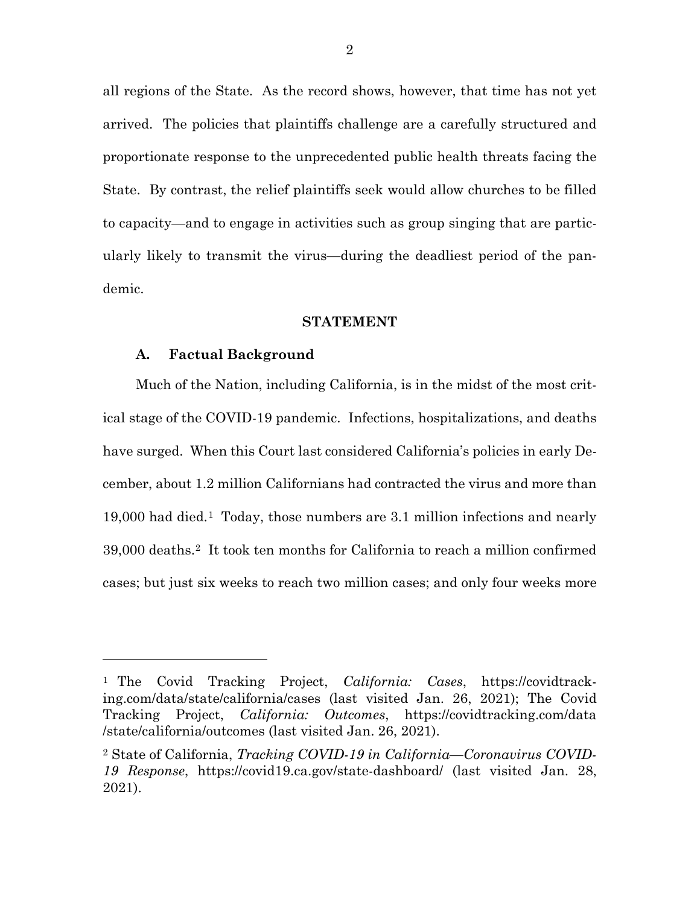all regions of the State. As the record shows, however, that time has not yet arrived. The policies that plaintiffs challenge are a carefully structured and proportionate response to the unprecedented public health threats facing the State. By contrast, the relief plaintiffs seek would allow churches to be filled to capacity—and to engage in activities such as group singing that are particularly likely to transmit the virus—during the deadliest period of the pandemic.

#### **STATEMENT**

#### **A. Factual Background**

 $\overline{a}$ 

Much of the Nation, including California, is in the midst of the most critical stage of the COVID-19 pandemic. Infections, hospitalizations, and deaths have surged. When this Court last considered California's policies in early December, about 1.2 million Californians had contracted the virus and more than 19,000 had died.[1](#page-0-0) Today, those numbers are 3.1 million infections and nearly 39,000 deaths.[2](#page-12-0) It took ten months for California to reach a million confirmed cases; but just six weeks to reach two million cases; and only four weeks more

<sup>1</sup> The Covid Tracking Project, *California: Cases*, https://covidtracking.com/data/state/california/cases (last visited Jan. 26, 2021); The Covid Tracking Project, *California: Outcomes*, https://covidtracking.com/data /state/california/outcomes (last visited Jan. 26, 2021).

<span id="page-12-0"></span><sup>2</sup> State of California, *Tracking COVID-19 in California—Coronavirus COVID-19 Response*, https://covid19.ca.gov/state-dashboard/ (last visited Jan. 28, 2021).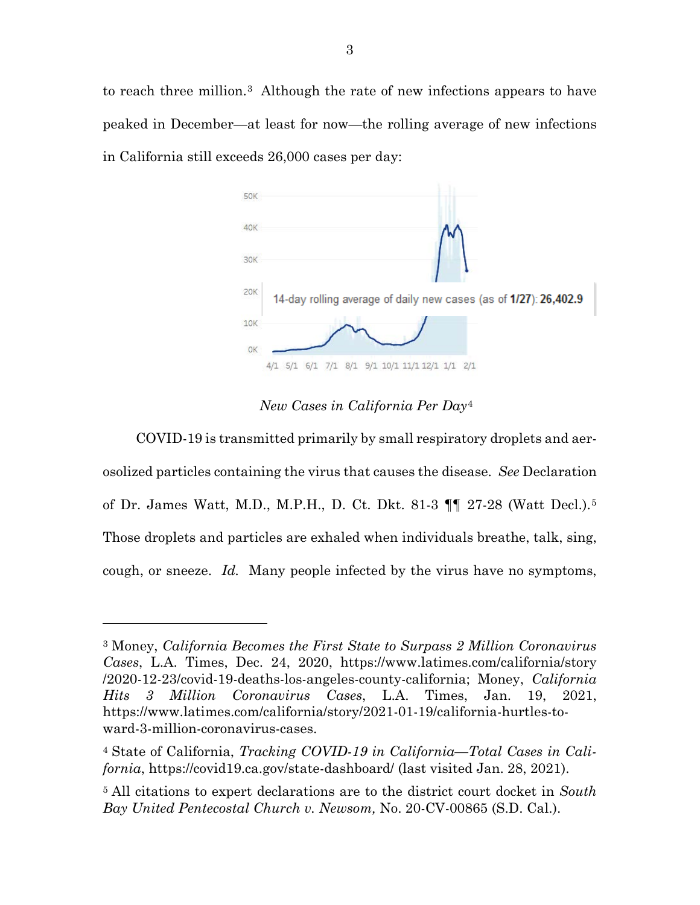to reach three million.[3](#page-13-0) Although the rate of new infections appears to have peaked in December—at least for now—the rolling average of new infections in California still exceeds 26,000 cases per day:



*New Cases in California Per Day*[4](#page-13-1) 

COVID-19 is transmitted primarily by small respiratory droplets and aerosolized particles containing the virus that causes the disease. *See* Declaration of Dr. James Watt, M.D., M.P.H., D. Ct. Dkt. 81-3 ¶¶ 27-28 (Watt Decl.).[5](#page-13-2) Those droplets and particles are exhaled when individuals breathe, talk, sing, cough, or sneeze. *Id.* Many people infected by the virus have no symptoms,

l

<span id="page-13-0"></span><sup>3</sup> Money, *California Becomes the First State to Surpass 2 Million Coronavirus Cases*, L.A. Times, Dec. 24, 2020, https://www.latimes.com/california/story /2020-12-23/covid-19-deaths-los-angeles-county-california; Money, *California Hits 3 Million Coronavirus Cases*, L.A. Times, Jan. 19, 2021, https://www.latimes.com/california/story/2021-01-19/california-hurtles-toward-3-million-coronavirus-cases.

<span id="page-13-1"></span><sup>4</sup> State of California, *Tracking COVID-19 in California—Total Cases in California*, https://covid19.ca.gov/state-dashboard/ (last visited Jan. 28, 2021).

<span id="page-13-2"></span><sup>5</sup> All citations to expert declarations are to the district court docket in *South Bay United Pentecostal Church v. Newsom,* No. 20-CV-00865 (S.D. Cal.).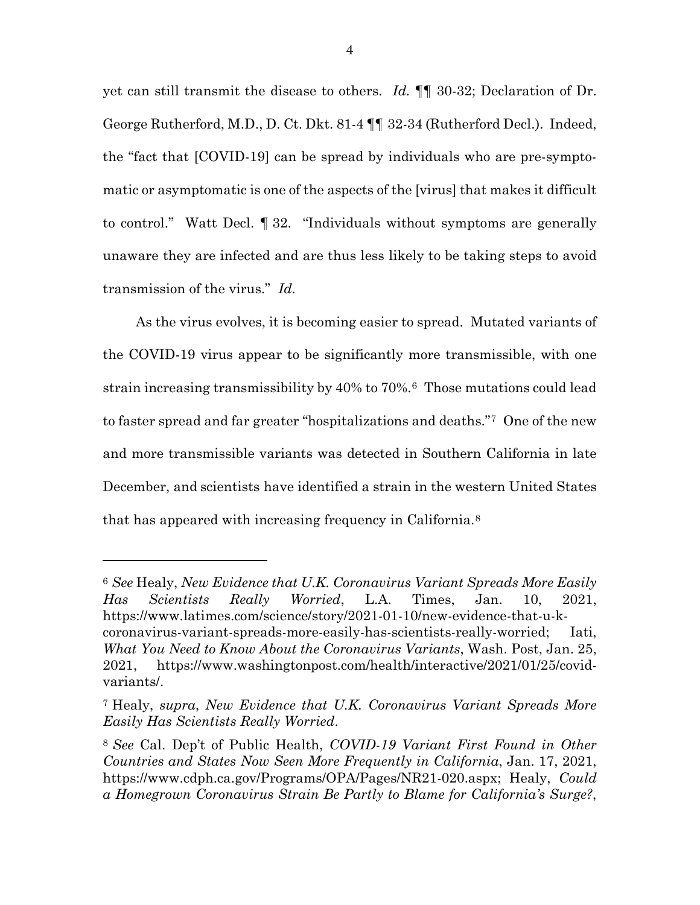yet can still transmit the disease to others. *Id.* ¶¶ 30-32; Declaration of Dr. George Rutherford, M.D., D. Ct. Dkt. 81-4 ¶¶ 32-34 (Rutherford Decl.). Indeed, the "fact that [COVID-19] can be spread by individuals who are pre-symptomatic or asymptomatic is one of the aspects of the [virus] that makes it difficult to control." Watt Decl. ¶ 32. "Individuals without symptoms are generally unaware they are infected and are thus less likely to be taking steps to avoid transmission of the virus." *Id.*

As the virus evolves, it is becoming easier to spread. Mutated variants of the COVID-19 virus appear to be significantly more transmissible, with one strain increasing transmissibility by 40% to 70%.[6](#page-14-0) Those mutations could lead to faster spread and far greater "hospitalizations and deaths."[7](#page-14-1) One of the new and more transmissible variants was detected in Southern California in late December, and scientists have identified a strain in the western United States that has appeared with increasing frequency in California.[8](#page-14-2)

<span id="page-14-0"></span><sup>6</sup> *See* Healy, *New Evidence that U.K. Coronavirus Variant Spreads More Easily Has Scientists Really Worried*, L.A. Times, Jan. 10, 2021, https://www.latimes.com/science/story/2021-01-10/new-evidence-that-u-kcoronavirus-variant-spreads-more-easily-has-scientists-really-worried; Iati, *What You Need to Know About the Coronavirus Variants*, Wash. Post, Jan. 25, 2021, https://www.washingtonpost.com/health/interactive/2021/01/25/covidvariants/.

<span id="page-14-1"></span><sup>7</sup> Healy, *supra*, *New Evidence that U.K. Coronavirus Variant Spreads More Easily Has Scientists Really Worried*.

<span id="page-14-2"></span><sup>8</sup> *See* Cal. Dep't of Public Health, *COVID-19 Variant First Found in Other Countries and States Now Seen More Frequently in California*, Jan. 17, 2021, https://www.cdph.ca.gov/Programs/OPA/Pages/NR21-020.aspx; Healy, *Could a Homegrown Coronavirus Strain Be Partly to Blame for California's Surge?*,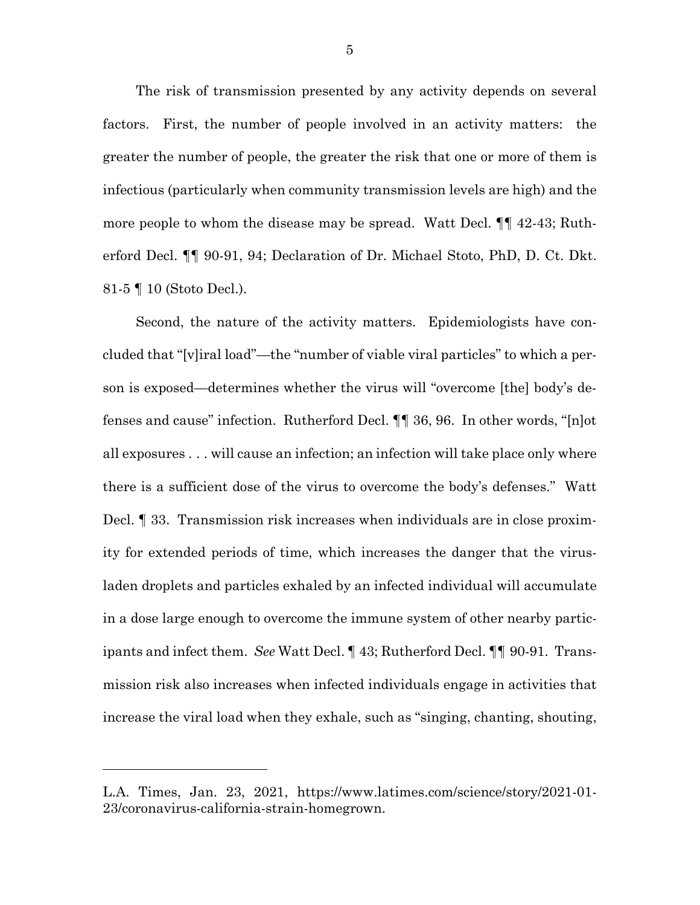The risk of transmission presented by any activity depends on several factors. First, the number of people involved in an activity matters: the greater the number of people, the greater the risk that one or more of them is infectious (particularly when community transmission levels are high) and the more people to whom the disease may be spread. Watt Decl. ¶¶ 42-43; Rutherford Decl. ¶¶ 90-91, 94; Declaration of Dr. Michael Stoto, PhD, D. Ct. Dkt. 81-5 ¶ 10 (Stoto Decl.).

Second, the nature of the activity matters. Epidemiologists have concluded that "[v]iral load"—the "number of viable viral particles" to which a person is exposed—determines whether the virus will "overcome [the] body's defenses and cause" infection. Rutherford Decl. ¶¶ 36, 96. In other words, "[n]ot all exposures . . . will cause an infection; an infection will take place only where there is a sufficient dose of the virus to overcome the body's defenses." Watt Decl. ¶ 33. Transmission risk increases when individuals are in close proximity for extended periods of time, which increases the danger that the virusladen droplets and particles exhaled by an infected individual will accumulate in a dose large enough to overcome the immune system of other nearby participants and infect them. *See* Watt Decl. ¶ 43; Rutherford Decl. ¶¶ 90-91. Transmission risk also increases when infected individuals engage in activities that increase the viral load when they exhale, such as "singing, chanting, shouting,

L.A. Times, Jan. 23, 2021, https://www.latimes.com/science/story/2021-01- 23/coronavirus-california-strain-homegrown.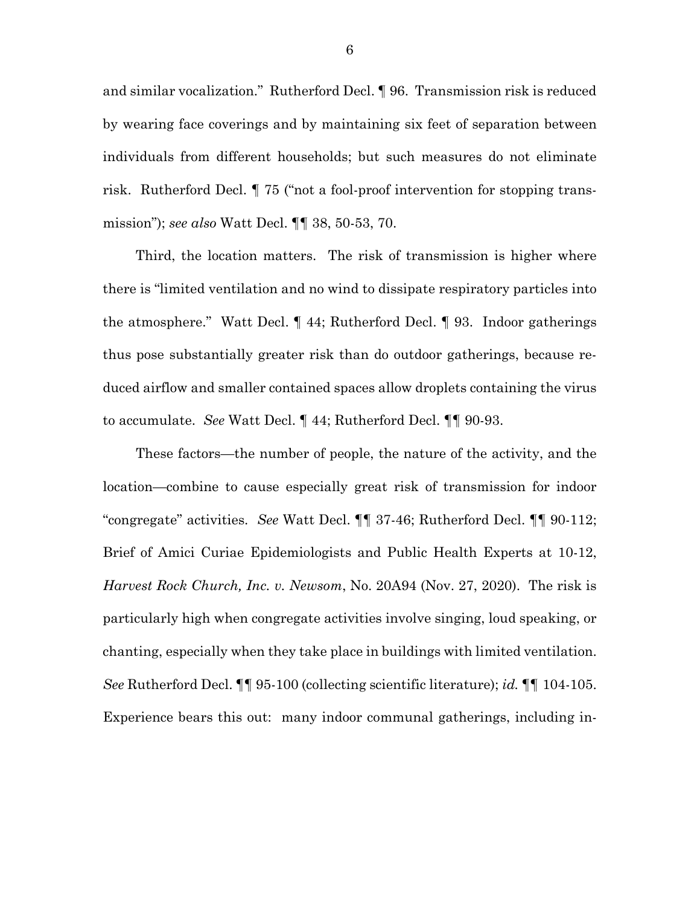and similar vocalization." Rutherford Decl. ¶ 96. Transmission risk is reduced by wearing face coverings and by maintaining six feet of separation between individuals from different households; but such measures do not eliminate risk. Rutherford Decl. ¶ 75 ("not a fool-proof intervention for stopping transmission"); *see also* Watt Decl. ¶¶ 38, 50-53, 70.

Third, the location matters. The risk of transmission is higher where there is "limited ventilation and no wind to dissipate respiratory particles into the atmosphere." Watt Decl. ¶ 44; Rutherford Decl. ¶ 93. Indoor gatherings thus pose substantially greater risk than do outdoor gatherings, because reduced airflow and smaller contained spaces allow droplets containing the virus to accumulate. *See* Watt Decl. ¶ 44; Rutherford Decl. ¶¶ 90-93.

These factors—the number of people, the nature of the activity, and the location—combine to cause especially great risk of transmission for indoor "congregate" activities. *See* Watt Decl. ¶¶ 37-46; Rutherford Decl. ¶¶ 90-112; Brief of Amici Curiae Epidemiologists and Public Health Experts at 10-12, *Harvest Rock Church, Inc. v. Newsom*, No. 20A94 (Nov. 27, 2020). The risk is particularly high when congregate activities involve singing, loud speaking, or chanting, especially when they take place in buildings with limited ventilation. *See* Rutherford Decl. ¶¶ 95-100 (collecting scientific literature); *id.* ¶¶ 104-105. Experience bears this out: many indoor communal gatherings, including in-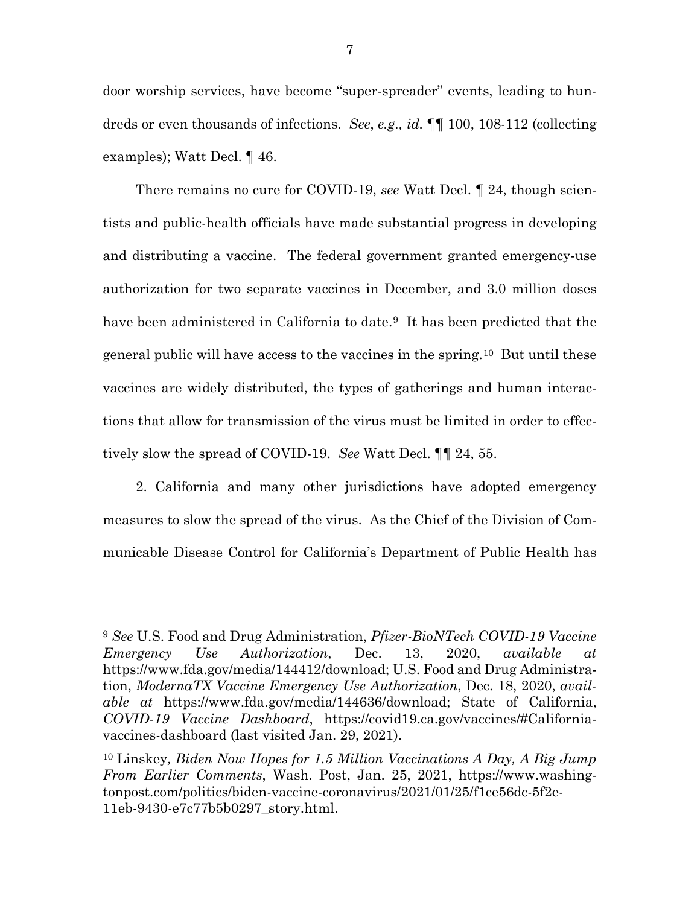door worship services, have become "super-spreader" events, leading to hundreds or even thousands of infections. *See*, *e.g., id.* ¶¶ 100, 108-112 (collecting examples); Watt Decl. ¶ 46.

There remains no cure for COVID-19, *see* Watt Decl. ¶ 24, though scientists and public-health officials have made substantial progress in developing and distributing a vaccine. The federal government granted emergency-use authorization for two separate vaccines in December, and 3.0 million doses have been administered in California to date.<sup>[9](#page-17-0)</sup> It has been predicted that the general public will have access to the vaccines in the spring.[10](#page-17-1) But until these vaccines are widely distributed, the types of gatherings and human interactions that allow for transmission of the virus must be limited in order to effectively slow the spread of COVID-19. *See* Watt Decl. ¶¶ 24, 55.

2. California and many other jurisdictions have adopted emergency measures to slow the spread of the virus. As the Chief of the Division of Communicable Disease Control for California's Department of Public Health has

<span id="page-17-0"></span><sup>9</sup> *See* U.S. Food and Drug Administration, *Pfizer-BioNTech COVID-19 Vaccine Emergency Use Authorization*, Dec. 13, 2020, *available at*  https://www.fda.gov/media/144412/download; U.S. Food and Drug Administration, *ModernaTX Vaccine Emergency Use Authorization*, Dec. 18, 2020, *available at* https://www.fda.gov/media/144636/download; State of California, *COVID-19 Vaccine Dashboard*, https://covid19.ca.gov/vaccines/#Californiavaccines-dashboard (last visited Jan. 29, 2021).

<span id="page-17-1"></span><sup>10</sup> Linskey*, Biden Now Hopes for 1.5 Million Vaccinations A Day, A Big Jump From Earlier Comments*, Wash. Post, Jan. 25, 2021, https://www.washingtonpost.com/politics/biden-vaccine-coronavirus/2021/01/25/f1ce56dc-5f2e-11eb-9430-e7c77b5b0297\_story.html.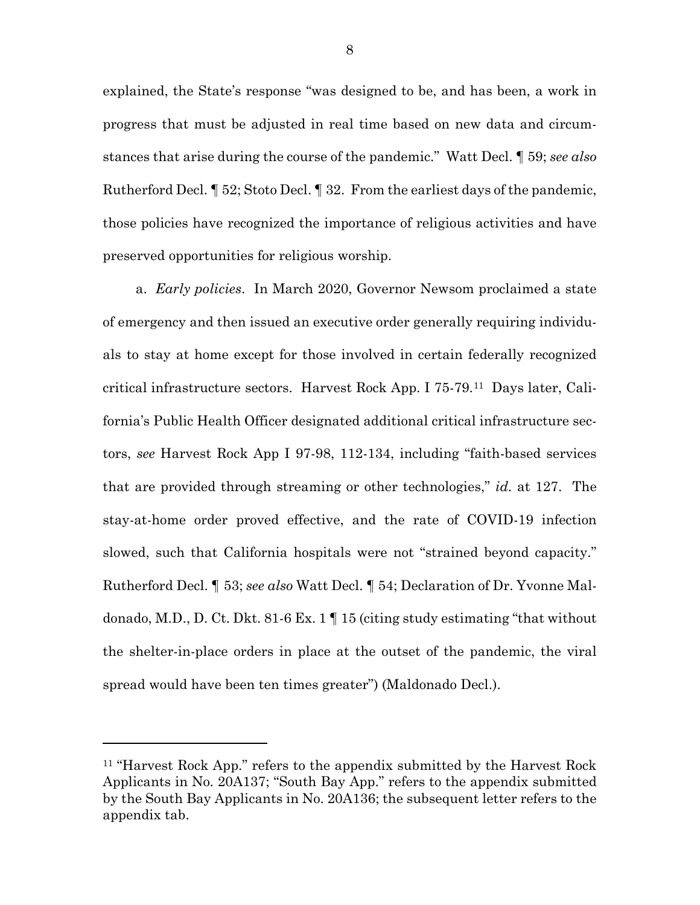explained, the State's response "was designed to be, and has been, a work in progress that must be adjusted in real time based on new data and circumstances that arise during the course of the pandemic." Watt Decl. ¶ 59; *see also*  Rutherford Decl. ¶ 52; Stoto Decl. ¶ 32. From the earliest days of the pandemic, those policies have recognized the importance of religious activities and have preserved opportunities for religious worship.

a. *Early policies*. In March 2020, Governor Newsom proclaimed a state of emergency and then issued an executive order generally requiring individuals to stay at home except for those involved in certain federally recognized critical infrastructure sectors. Harvest Rock App. I 75-79.[11](#page-18-0) Days later, California's Public Health Officer designated additional critical infrastructure sectors, *see* Harvest Rock App I 97-98, 112-134, including "faith-based services that are provided through streaming or other technologies," *id.* at 127. The stay-at-home order proved effective, and the rate of COVID-19 infection slowed, such that California hospitals were not "strained beyond capacity." Rutherford Decl. ¶ 53; *see also* Watt Decl. ¶ 54; Declaration of Dr. Yvonne Maldonado, M.D., D. Ct. Dkt. 81-6 Ex. 1 ¶ 15 (citing study estimating "that without the shelter-in-place orders in place at the outset of the pandemic, the viral spread would have been ten times greater") (Maldonado Decl.).

l

<span id="page-18-0"></span><sup>11</sup> "Harvest Rock App." refers to the appendix submitted by the Harvest Rock Applicants in No. 20A137; "South Bay App." refers to the appendix submitted by the South Bay Applicants in No. 20A136; the subsequent letter refers to the appendix tab.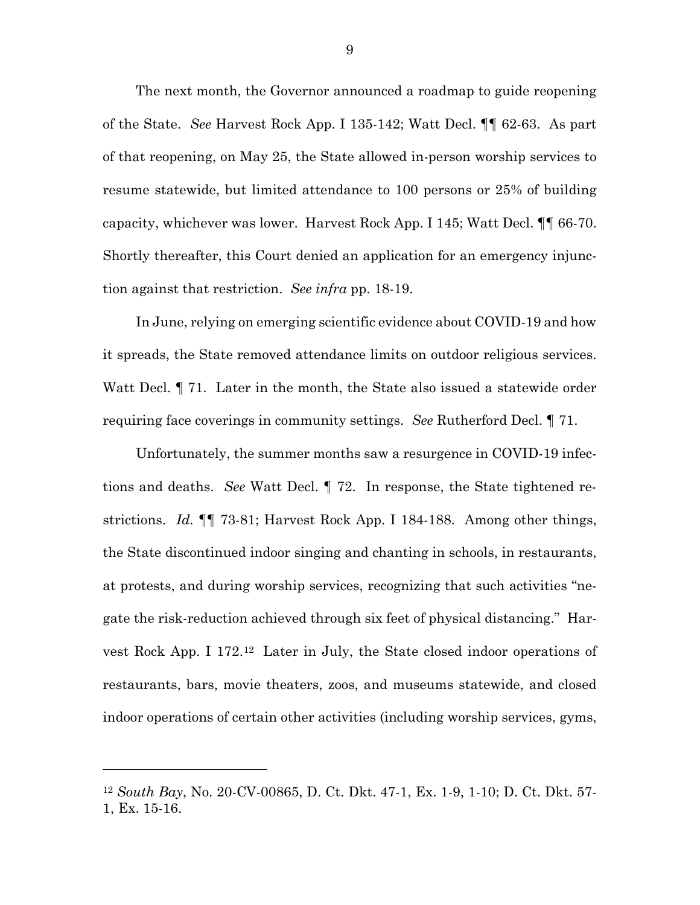The next month, the Governor announced a roadmap to guide reopening of the State. *See* Harvest Rock App. I 135-142; Watt Decl. ¶¶ 62-63. As part of that reopening, on May 25, the State allowed in-person worship services to resume statewide, but limited attendance to 100 persons or 25% of building capacity, whichever was lower. Harvest Rock App. I 145; Watt Decl. ¶¶ 66-70. Shortly thereafter, this Court denied an application for an emergency injunction against that restriction. *See infra* pp. 18-19.

In June, relying on emerging scientific evidence about COVID-19 and how it spreads, the State removed attendance limits on outdoor religious services. Watt Decl. ¶ 71. Later in the month, the State also issued a statewide order requiring face coverings in community settings. *See* Rutherford Decl. ¶ 71.

Unfortunately, the summer months saw a resurgence in COVID-19 infections and deaths. *See* Watt Decl. ¶ 72. In response, the State tightened restrictions. *Id.* ¶¶ 73-81; Harvest Rock App. I 184-188. Among other things, the State discontinued indoor singing and chanting in schools, in restaurants, at protests, and during worship services, recognizing that such activities "negate the risk-reduction achieved through six feet of physical distancing." Harvest Rock App. I 172.[12](#page-19-0) Later in July, the State closed indoor operations of restaurants, bars, movie theaters, zoos, and museums statewide, and closed indoor operations of certain other activities (including worship services, gyms,

<span id="page-19-0"></span><sup>12</sup> *South Bay*, No. 20-CV-00865, D. Ct. Dkt. 47-1, Ex. 1-9, 1-10; D. Ct. Dkt. 57- 1, Ex. 15-16.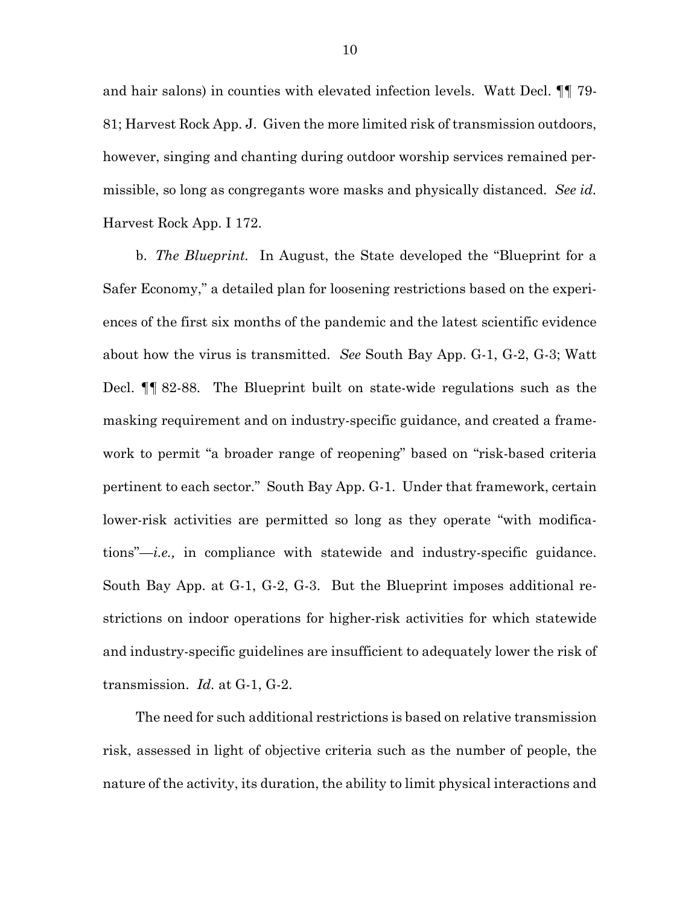and hair salons) in counties with elevated infection levels. Watt Decl. ¶¶ 79- 81; Harvest Rock App. J. Given the more limited risk of transmission outdoors, however, singing and chanting during outdoor worship services remained permissible, so long as congregants wore masks and physically distanced. *See id.* Harvest Rock App. I 172.

b. *The Blueprint.* In August, the State developed the "Blueprint for a Safer Economy," a detailed plan for loosening restrictions based on the experiences of the first six months of the pandemic and the latest scientific evidence about how the virus is transmitted. *See* South Bay App. G-1, G-2, G-3; Watt Decl. ¶¶ 82-88. The Blueprint built on state-wide regulations such as the masking requirement and on industry-specific guidance, and created a framework to permit "a broader range of reopening" based on "risk-based criteria pertinent to each sector." South Bay App. G-1. Under that framework, certain lower-risk activities are permitted so long as they operate "with modifications"—*i.e.,* in compliance with statewide and industry-specific guidance. South Bay App. at G-1, G-2, G-3. But the Blueprint imposes additional restrictions on indoor operations for higher-risk activities for which statewide and industry-specific guidelines are insufficient to adequately lower the risk of transmission. *Id.* at G-1, G-2.

The need for such additional restrictions is based on relative transmission risk, assessed in light of objective criteria such as the number of people, the nature of the activity, its duration, the ability to limit physical interactions and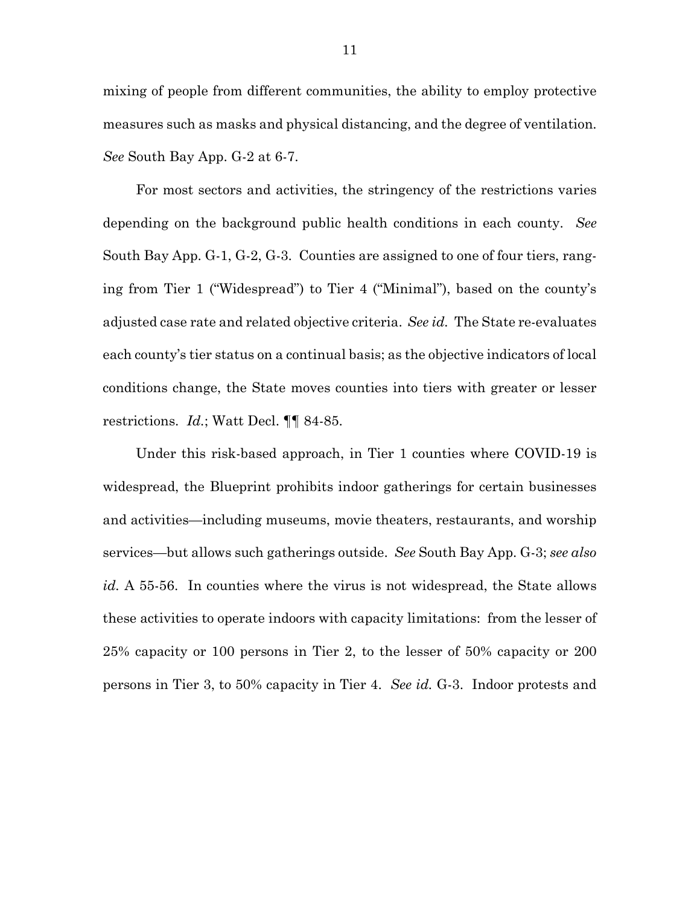mixing of people from different communities, the ability to employ protective measures such as masks and physical distancing, and the degree of ventilation. *See* South Bay App. G-2 at 6-7.

For most sectors and activities, the stringency of the restrictions varies depending on the background public health conditions in each county. *See* South Bay App. G-1, G-2, G-3. Counties are assigned to one of four tiers, ranging from Tier 1 ("Widespread") to Tier 4 ("Minimal"), based on the county's adjusted case rate and related objective criteria. *See id.* The State re-evaluates each county's tier status on a continual basis; as the objective indicators of local conditions change, the State moves counties into tiers with greater or lesser restrictions. *Id.*; Watt Decl. ¶¶ 84-85.

Under this risk-based approach, in Tier 1 counties where COVID-19 is widespread, the Blueprint prohibits indoor gatherings for certain businesses and activities—including museums, movie theaters, restaurants, and worship services—but allows such gatherings outside. *See* South Bay App. G-3; *see also id.* A 55-56. In counties where the virus is not widespread, the State allows these activities to operate indoors with capacity limitations: from the lesser of 25% capacity or 100 persons in Tier 2, to the lesser of 50% capacity or 200 persons in Tier 3, to 50% capacity in Tier 4. *See id.* G-3. Indoor protests and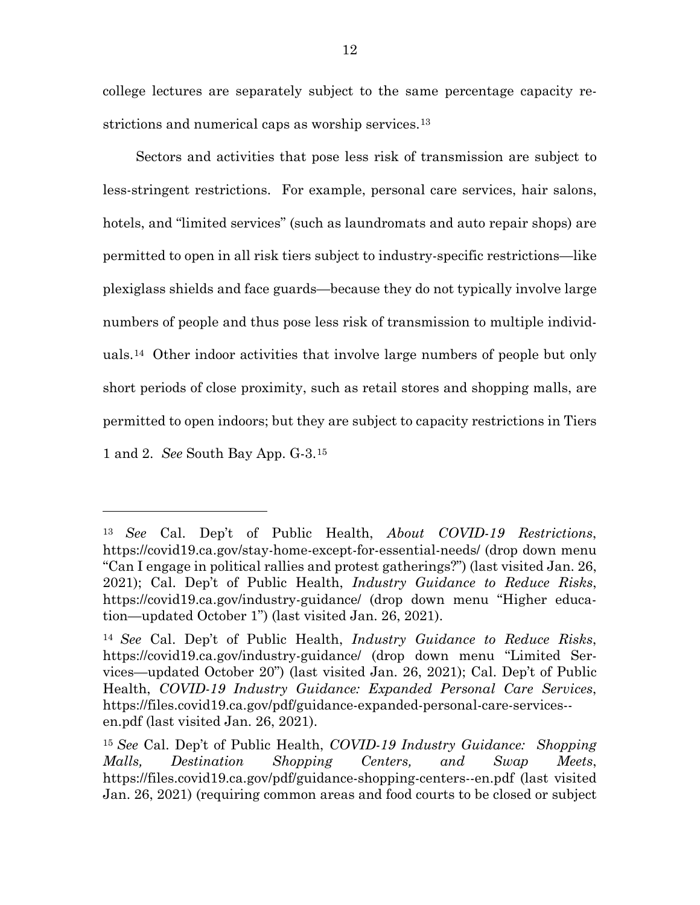college lectures are separately subject to the same percentage capacity restrictions and numerical caps as worship services.<sup>13</sup>

Sectors and activities that pose less risk of transmission are subject to less-stringent restrictions. For example, personal care services, hair salons, hotels, and "limited services" (such as laundromats and auto repair shops) are permitted to open in all risk tiers subject to industry-specific restrictions—like plexiglass shields and face guards—because they do not typically involve large numbers of people and thus pose less risk of transmission to multiple individuals.[14](#page-22-1) Other indoor activities that involve large numbers of people but only short periods of close proximity, such as retail stores and shopping malls, are permitted to open indoors; but they are subject to capacity restrictions in Tiers 1 and 2. *See* South Bay App. G-3.[15](#page-22-2)

l

<span id="page-22-0"></span><sup>13</sup> *See* Cal. Dep't of Public Health, *About COVID-19 Restrictions*, https://covid19.ca.gov/stay-home-except-for-essential-needs/ (drop down menu "Can I engage in political rallies and protest gatherings?") (last visited Jan. 26, 2021); Cal. Dep't of Public Health, *Industry Guidance to Reduce Risks*, https://covid19.ca.gov/industry-guidance/ (drop down menu "Higher education—updated October 1") (last visited Jan. 26, 2021).

<span id="page-22-1"></span><sup>14</sup> *See* Cal. Dep't of Public Health, *Industry Guidance to Reduce Risks*, https://covid19.ca.gov/industry-guidance/ (drop down menu "Limited Services—updated October 20") (last visited Jan. 26, 2021); Cal. Dep't of Public Health, *COVID-19 Industry Guidance: Expanded Personal Care Services*, https://files.covid19.ca.gov/pdf/guidance-expanded-personal-care-services- en.pdf (last visited Jan. 26, 2021).

<span id="page-22-2"></span><sup>15</sup> *See* Cal. Dep't of Public Health, *COVID-19 Industry Guidance: Shopping Malls, Destination Shopping Centers, and Swap Meets*, https://files.covid19.ca.gov/pdf/guidance-shopping-centers--en.pdf (last visited Jan. 26, 2021) (requiring common areas and food courts to be closed or subject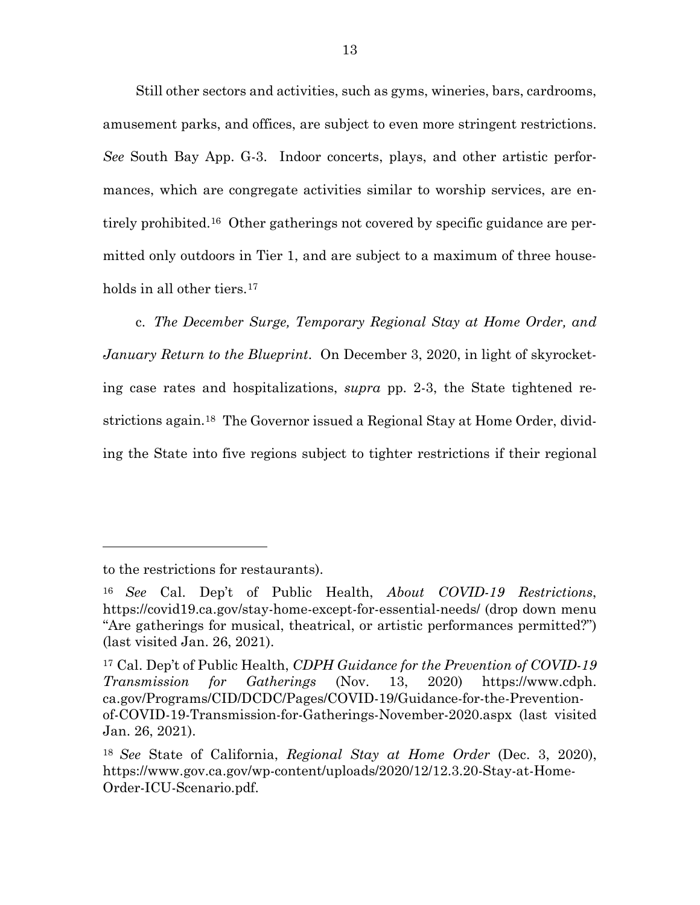Still other sectors and activities, such as gyms, wineries, bars, cardrooms, amusement parks, and offices, are subject to even more stringent restrictions. *See* South Bay App. G-3. Indoor concerts, plays, and other artistic performances, which are congregate activities similar to worship services, are entirely prohibited[.16](#page-23-0) Other gatherings not covered by specific guidance are permitted only outdoors in Tier 1, and are subject to a maximum of three households in all other tiers.[17](#page-23-1)

c. *The December Surge, Temporary Regional Stay at Home Order, and January Return to the Blueprint*. On December 3, 2020, in light of skyrocketing case rates and hospitalizations, *supra* pp. 2-3, the State tightened restrictions again.[18](#page-23-2) The Governor issued a Regional Stay at Home Order, dividing the State into five regions subject to tighter restrictions if their regional

to the restrictions for restaurants).

<span id="page-23-0"></span><sup>16</sup> *See* Cal. Dep't of Public Health, *About COVID-19 Restrictions*, https://covid19.ca.gov/stay-home-except-for-essential-needs/ (drop down menu "Are gatherings for musical, theatrical, or artistic performances permitted?") (last visited Jan. 26, 2021).

<span id="page-23-1"></span><sup>17</sup> Cal. Dep't of Public Health, *CDPH Guidance for the Prevention of COVID-19 Transmission for Gatherings* (Nov. 13, 2020) [https://www.cdph.](https://www.cdph.ca.gov/Programs/CID/DCDC/Pages/COVID-19/Guidance-for-the-Prevention-of-COVID-19-Transmission-for-Gatherings-November-2020.aspx) [ca.gov/Programs/CID/DCDC/Pages/COVID-19/Guidance-for-the-Prevention](https://www.cdph.ca.gov/Programs/CID/DCDC/Pages/COVID-19/Guidance-for-the-Prevention-of-COVID-19-Transmission-for-Gatherings-November-2020.aspx)[of-COVID-19-Transmission-for-Gatherings-November-2020.aspx](https://www.cdph.ca.gov/Programs/CID/DCDC/Pages/COVID-19/Guidance-for-the-Prevention-of-COVID-19-Transmission-for-Gatherings-November-2020.aspx) (last visited Jan. 26, 2021).

<span id="page-23-2"></span><sup>18</sup> *See* State of California, *Regional Stay at Home Order* (Dec. 3, 2020), https://www.gov.ca.gov/wp-content/uploads/2020/12/12.3.20-Stay-at-Home-Order-ICU-Scenario.pdf.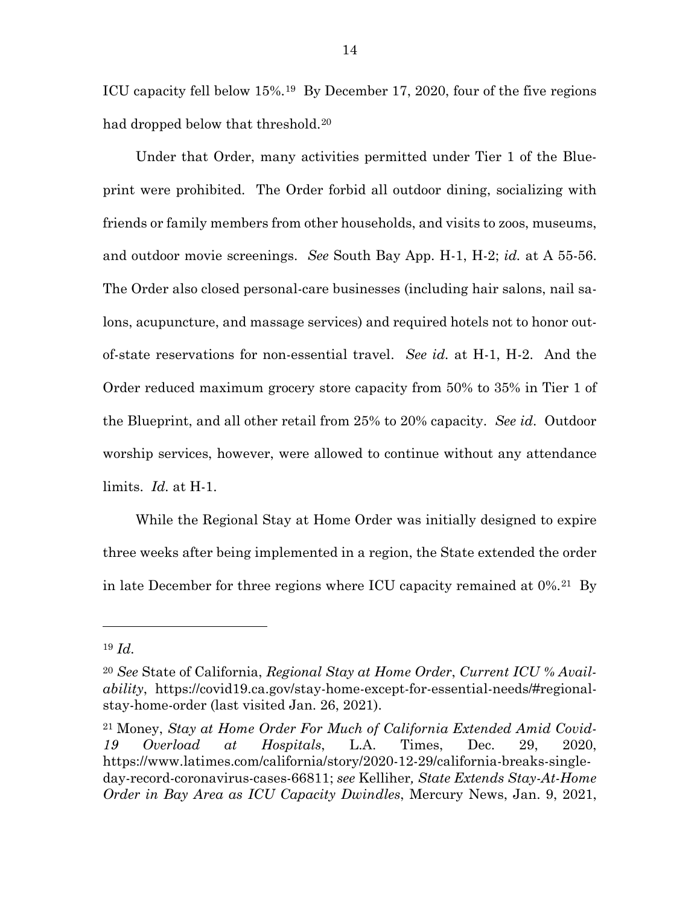ICU capacity fell below 15%.[19](#page-24-0) By December 17, 2020, four of the five regions had dropped below that threshold.<sup>20</sup>

Under that Order, many activities permitted under Tier 1 of the Blueprint were prohibited. The Order forbid all outdoor dining, socializing with friends or family members from other households, and visits to zoos, museums, and outdoor movie screenings. *See* South Bay App. H-1, H-2; *id.* at A 55-56. The Order also closed personal-care businesses (including hair salons, nail salons, acupuncture, and massage services) and required hotels not to honor outof-state reservations for non-essential travel. *See id.* at H-1, H-2. And the Order reduced maximum grocery store capacity from 50% to 35% in Tier 1 of the Blueprint, and all other retail from 25% to 20% capacity. *See id*. Outdoor worship services, however, were allowed to continue without any attendance limits. *Id.* at H-1.

While the Regional Stay at Home Order was initially designed to expire three weeks after being implemented in a region, the State extended the order in late December for three regions where ICU capacity remained at 0%.[21](#page-24-2) By

<span id="page-24-0"></span><sup>19</sup> *Id.*

<span id="page-24-1"></span><sup>20</sup> *See* State of California, *Regional Stay at Home Order*, *Current ICU % Availability*, https://covid19.ca.gov/stay-home-except-for-essential-needs/#regionalstay-home-order (last visited Jan. 26, 2021).

<span id="page-24-2"></span><sup>21</sup> Money, *Stay at Home Order For Much of California Extended Amid Covid-19 Overload at Hospitals*, L.A. Times, Dec. 29, 2020, https://www.latimes.com/california/story/2020-12-29/california-breaks-singleday-record-coronavirus-cases-66811; *see* Kelliher*, State Extends Stay-At-Home Order in Bay Area as ICU Capacity Dwindles*, Mercury News, Jan. 9, 2021,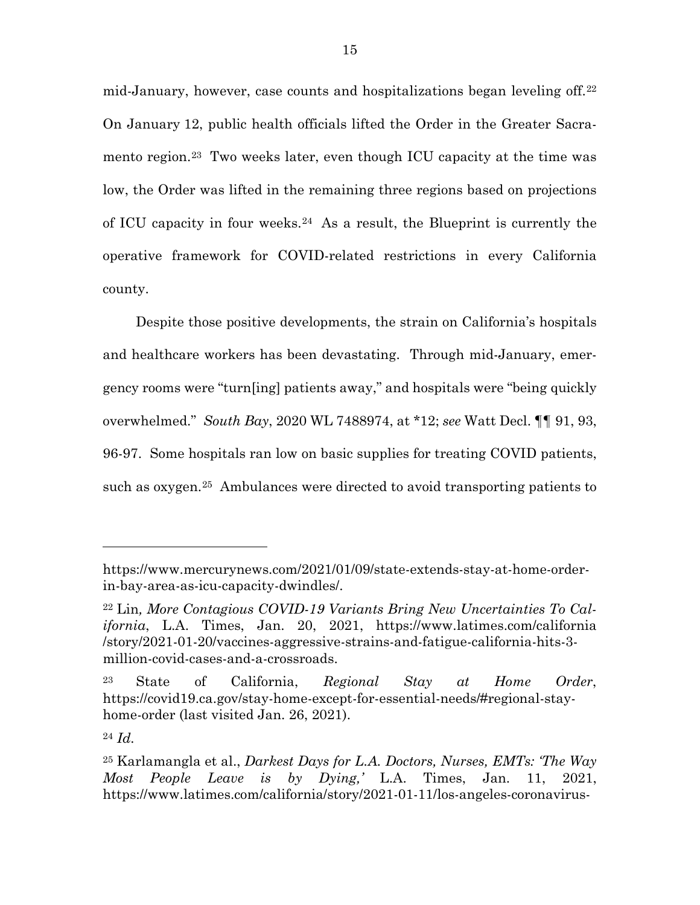mid-January, however, case counts and hospitalizations began leveling off.[22](#page-25-0) On January 12, public health officials lifted the Order in the Greater Sacramento region.[23](#page-25-1) Two weeks later, even though ICU capacity at the time was low, the Order was lifted in the remaining three regions based on projections of ICU capacity in four weeks.[24](#page-25-2) As a result, the Blueprint is currently the operative framework for COVID-related restrictions in every California county.

Despite those positive developments, the strain on California's hospitals and healthcare workers has been devastating. Through mid-January, emergency rooms were "turn[ing] patients away," and hospitals were "being quickly overwhelmed." *South Bay*, 2020 WL 7488974, at \*12; *see* Watt Decl. ¶¶ 91, 93, 96-97. Some hospitals ran low on basic supplies for treating COVID patients, such as oxygen.[25](#page-25-3) Ambulances were directed to avoid transporting patients to

https://www.mercurynews.com/2021/01/09/state-extends-stay-at-home-orderin-bay-area-as-icu-capacity-dwindles/.

<span id="page-25-0"></span><sup>22</sup> Lin*, More Contagious COVID-19 Variants Bring New Uncertainties To California*, L.A. Times, Jan. 20, 2021, https://www.latimes.com/california /story/2021-01-20/vaccines-aggressive-strains-and-fatigue-california-hits-3 million-covid-cases-and-a-crossroads.

<span id="page-25-1"></span><sup>23</sup> State of California, *Regional Stay at Home Order*, https://covid19.ca.gov/stay-home-except-for-essential-needs/#regional-stayhome-order (last visited Jan. 26, 2021).

<span id="page-25-2"></span><sup>24</sup> *Id.*

<span id="page-25-3"></span><sup>25</sup> Karlamangla et al., *Darkest Days for L.A. Doctors, Nurses, EMTs: 'The Way Most People Leave is by Dying,'* L.A. Times, Jan. 11, 2021, https://www.latimes.com/california/story/2021-01-11/los-angeles-coronavirus-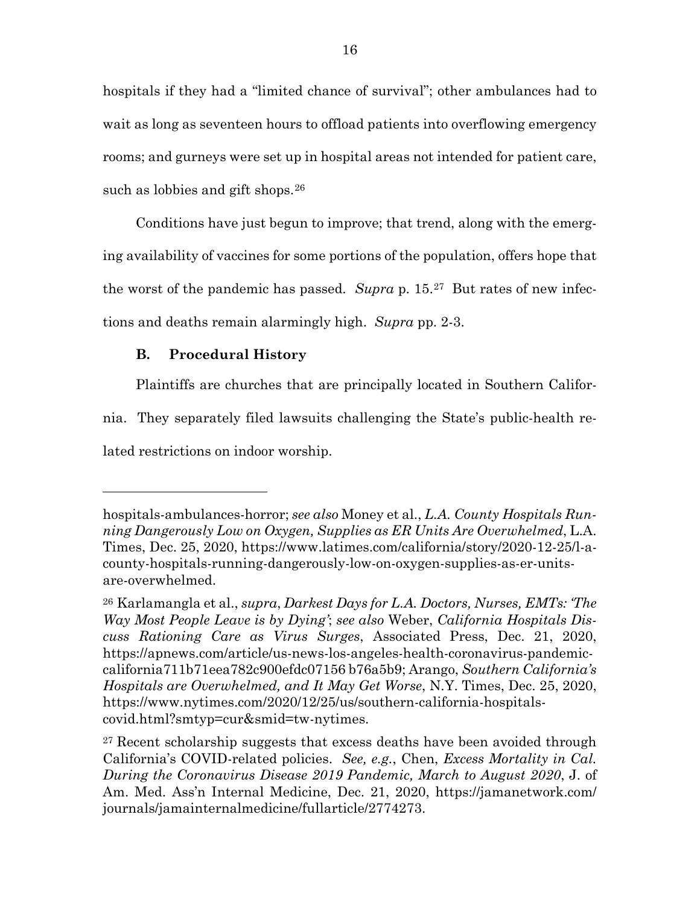hospitals if they had a "limited chance of survival"; other ambulances had to wait as long as seventeen hours to offload patients into overflowing emergency rooms; and gurneys were set up in hospital areas not intended for patient care, such as lobbies and gift shops.<sup>26</sup>

Conditions have just begun to improve; that trend, along with the emerging availability of vaccines for some portions of the population, offers hope that the worst of the pandemic has passed. *Supra* p. 15.[27](#page-26-1) But rates of new infections and deaths remain alarmingly high. *Supra* pp. 2-3.

#### **B. Procedural History**

l

Plaintiffs are churches that are principally located in Southern Califor-

nia. They separately filed lawsuits challenging the State's public-health related restrictions on indoor worship.

hospitals-ambulances-horror; *see also* Money et al., *L.A. County Hospitals Running Dangerously Low on Oxygen, Supplies as ER Units Are Overwhelmed*, L.A. Times, Dec. 25, 2020, https://www.latimes.com/california/story/2020-12-25/l-acounty-hospitals-running-dangerously-low-on-oxygen-supplies-as-er-unitsare-overwhelmed.

<span id="page-26-0"></span><sup>26</sup> Karlamangla et al., *supra*, *Darkest Days for L.A. Doctors, Nurses, EMTs: 'The Way Most People Leave is by Dying'*; *see also* Weber, *California Hospitals Discuss Rationing Care as Virus Surges*, Associated Press, Dec. 21, 2020, https://apnews.com/article/us-news-los-angeles-health-coronavirus-pandemiccalifornia711b71eea782c900efdc07156 b76a5b9; Arango, *Southern California's Hospitals are Overwhelmed, and It May Get Worse*, N.Y. Times, Dec. 25, 2020, https://www.nytimes.com/2020/12/25/us/southern-california-hospitalscovid.html?smtyp=cur&smid=tw-nytimes.

<span id="page-26-1"></span><sup>&</sup>lt;sup>27</sup> Recent scholarship suggests that excess deaths have been avoided through California's COVID-related policies. *See, e.g.*, Chen, *Excess Mortality in Cal. During the Coronavirus Disease 2019 Pandemic, March to August 2020*, J. of Am. Med. Ass'n Internal Medicine, Dec. 21, 2020, https://jamanetwork.com/ journals/jamainternalmedicine/fullarticle/2774273.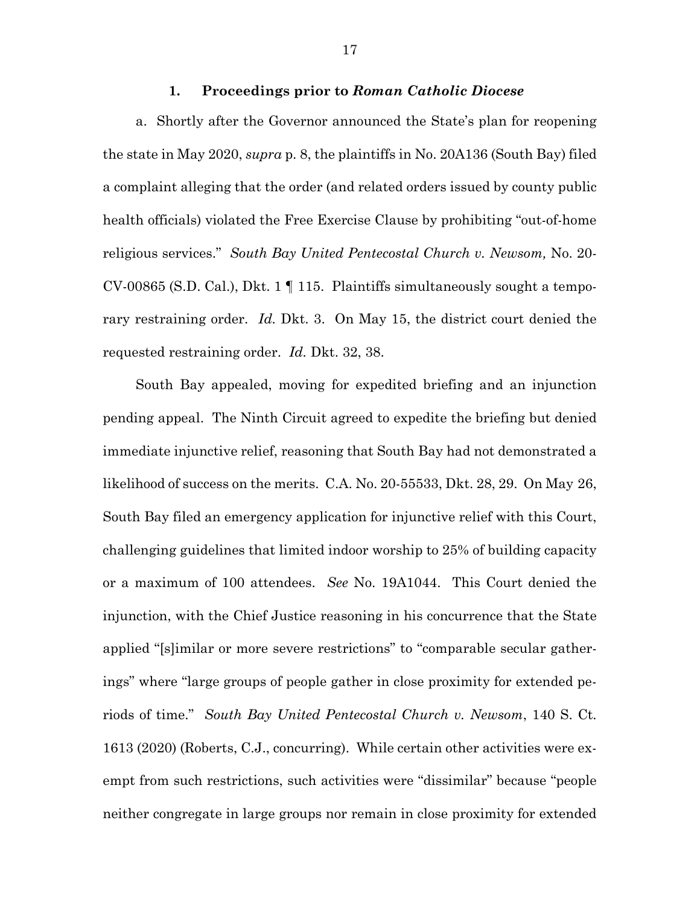#### **1. Proceedings prior to** *Roman Catholic Diocese*

a. Shortly after the Governor announced the State's plan for reopening the state in May 2020, *supra* p. 8, the plaintiffs in No. 20A136 (South Bay) filed a complaint alleging that the order (and related orders issued by county public health officials) violated the Free Exercise Clause by prohibiting "out-of-home religious services." *South Bay United Pentecostal Church v. Newsom,* No. 20- CV-00865 (S.D. Cal.), Dkt. 1 ¶ 115. Plaintiffs simultaneously sought a temporary restraining order. *Id.* Dkt. 3. On May 15, the district court denied the requested restraining order. *Id.* Dkt. 32, 38.

South Bay appealed, moving for expedited briefing and an injunction pending appeal. The Ninth Circuit agreed to expedite the briefing but denied immediate injunctive relief, reasoning that South Bay had not demonstrated a likelihood of success on the merits. C.A. No. 20-55533, Dkt. 28, 29. On May 26, South Bay filed an emergency application for injunctive relief with this Court, challenging guidelines that limited indoor worship to 25% of building capacity or a maximum of 100 attendees. *See* No. 19A1044. This Court denied the injunction, with the Chief Justice reasoning in his concurrence that the State applied "[s]imilar or more severe restrictions" to "comparable secular gatherings" where "large groups of people gather in close proximity for extended periods of time." *South Bay United Pentecostal Church v. Newsom*, 140 S. Ct. 1613 (2020) (Roberts, C.J., concurring). While certain other activities were exempt from such restrictions, such activities were "dissimilar" because "people neither congregate in large groups nor remain in close proximity for extended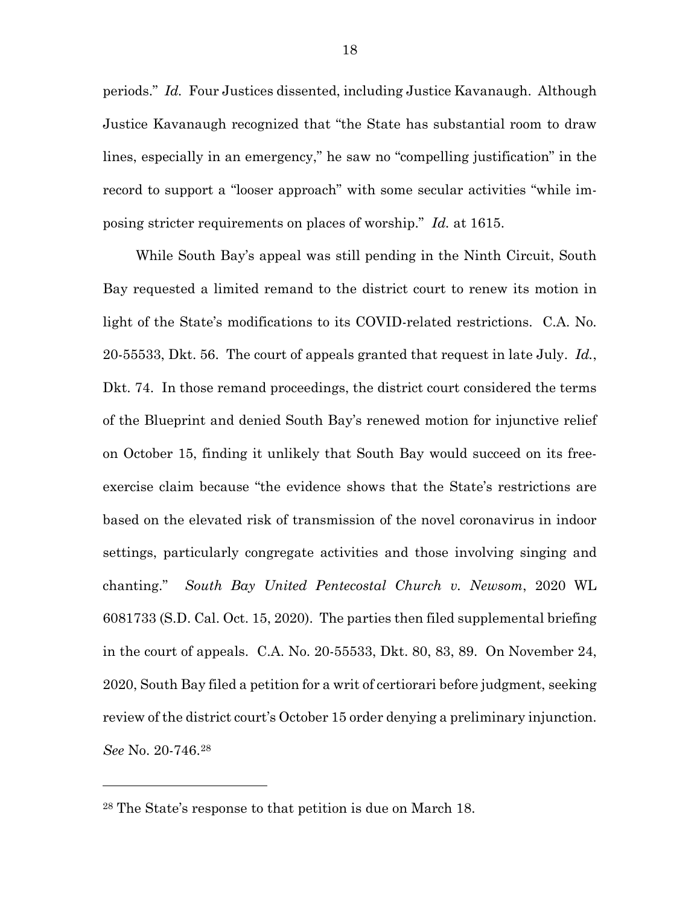periods." *Id.* Four Justices dissented, including Justice Kavanaugh. Although Justice Kavanaugh recognized that "the State has substantial room to draw lines, especially in an emergency," he saw no "compelling justification" in the record to support a "looser approach" with some secular activities "while imposing stricter requirements on places of worship." *Id.* at 1615.

While South Bay's appeal was still pending in the Ninth Circuit, South Bay requested a limited remand to the district court to renew its motion in light of the State's modifications to its COVID-related restrictions. C.A. No. 20-55533, Dkt. 56. The court of appeals granted that request in late July. *Id.*, Dkt. 74. In those remand proceedings, the district court considered the terms of the Blueprint and denied South Bay's renewed motion for injunctive relief on October 15, finding it unlikely that South Bay would succeed on its freeexercise claim because "the evidence shows that the State's restrictions are based on the elevated risk of transmission of the novel coronavirus in indoor settings, particularly congregate activities and those involving singing and chanting." *South Bay United Pentecostal Church v. Newsom*, 2020 WL 6081733 (S.D. Cal. Oct. 15, 2020). The parties then filed supplemental briefing in the court of appeals. C.A. No. 20-55533, Dkt. 80, 83, 89. On November 24, 2020, South Bay filed a petition for a writ of certiorari before judgment, seeking review of the district court's October 15 order denying a preliminary injunction. *See* No. 20-746.[28](#page-28-0)

<span id="page-28-0"></span><sup>28</sup> The State's response to that petition is due on March 18.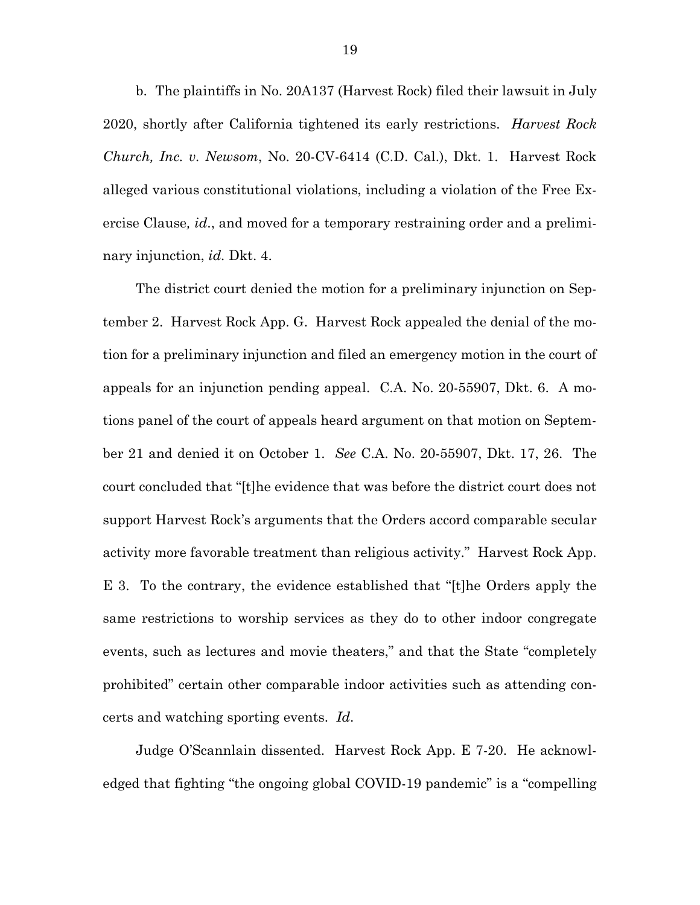b. The plaintiffs in No. 20A137 (Harvest Rock) filed their lawsuit in July 2020, shortly after California tightened its early restrictions. *Harvest Rock Church, Inc. v. Newsom*, No. 20-CV-6414 (C.D. Cal.), Dkt. 1. Harvest Rock alleged various constitutional violations, including a violation of the Free Exercise Clause*, id*., and moved for a temporary restraining order and a preliminary injunction, *id.* Dkt. 4.

The district court denied the motion for a preliminary injunction on September 2. Harvest Rock App. G. Harvest Rock appealed the denial of the motion for a preliminary injunction and filed an emergency motion in the court of appeals for an injunction pending appeal. C.A. No. 20-55907, Dkt. 6. A motions panel of the court of appeals heard argument on that motion on September 21 and denied it on October 1. *See* C.A. No. 20-55907, Dkt. 17, 26. The court concluded that "[t]he evidence that was before the district court does not support Harvest Rock's arguments that the Orders accord comparable secular activity more favorable treatment than religious activity." Harvest Rock App. E 3. To the contrary, the evidence established that "[t]he Orders apply the same restrictions to worship services as they do to other indoor congregate events, such as lectures and movie theaters," and that the State "completely prohibited" certain other comparable indoor activities such as attending concerts and watching sporting events. *Id*.

Judge O'Scannlain dissented. Harvest Rock App. E 7-20. He acknowledged that fighting "the ongoing global COVID-19 pandemic" is a "compelling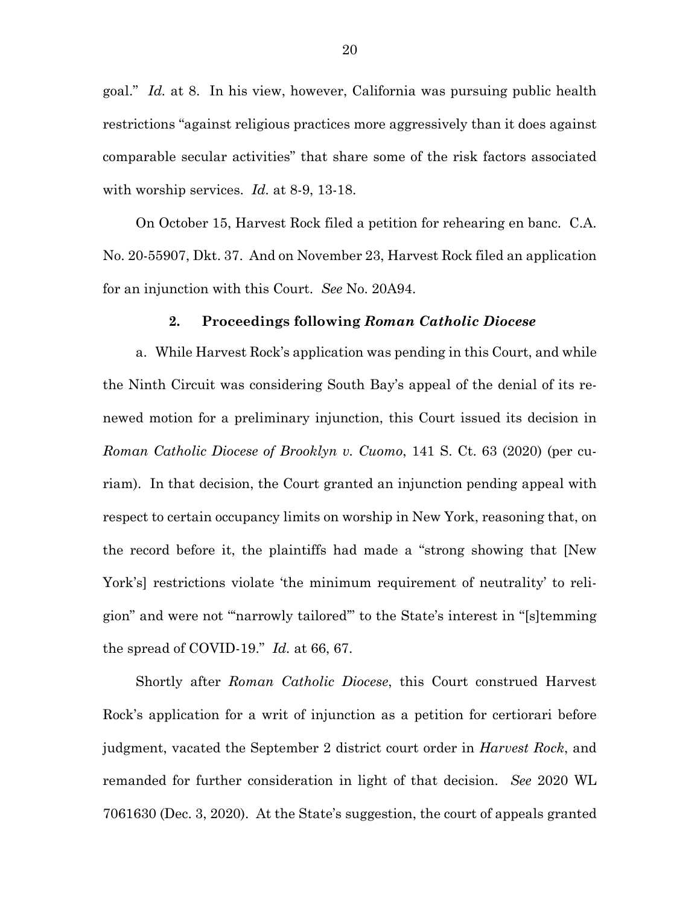goal." *Id.* at 8. In his view, however, California was pursuing public health restrictions "against religious practices more aggressively than it does against comparable secular activities" that share some of the risk factors associated with worship services. *Id.* at 8-9, 13-18.

On October 15, Harvest Rock filed a petition for rehearing en banc. C.A. No. 20-55907, Dkt. 37. And on November 23, Harvest Rock filed an application for an injunction with this Court. *See* No. 20A94.

#### **2. Proceedings following** *Roman Catholic Diocese*

a. While Harvest Rock's application was pending in this Court, and while the Ninth Circuit was considering South Bay's appeal of the denial of its renewed motion for a preliminary injunction, this Court issued its decision in *Roman Catholic Diocese of Brooklyn v. Cuomo*, 141 S. Ct. 63 (2020) (per curiam). In that decision, the Court granted an injunction pending appeal with respect to certain occupancy limits on worship in New York, reasoning that, on the record before it, the plaintiffs had made a "strong showing that [New York's] restrictions violate 'the minimum requirement of neutrality' to religion" and were not "'narrowly tailored'" to the State's interest in "[s]temming the spread of COVID-19." *Id.* at 66, 67.

Shortly after *Roman Catholic Diocese*, this Court construed Harvest Rock's application for a writ of injunction as a petition for certiorari before judgment, vacated the September 2 district court order in *Harvest Rock*, and remanded for further consideration in light of that decision. *See* 2020 WL 7061630 (Dec. 3, 2020). At the State's suggestion, the court of appeals granted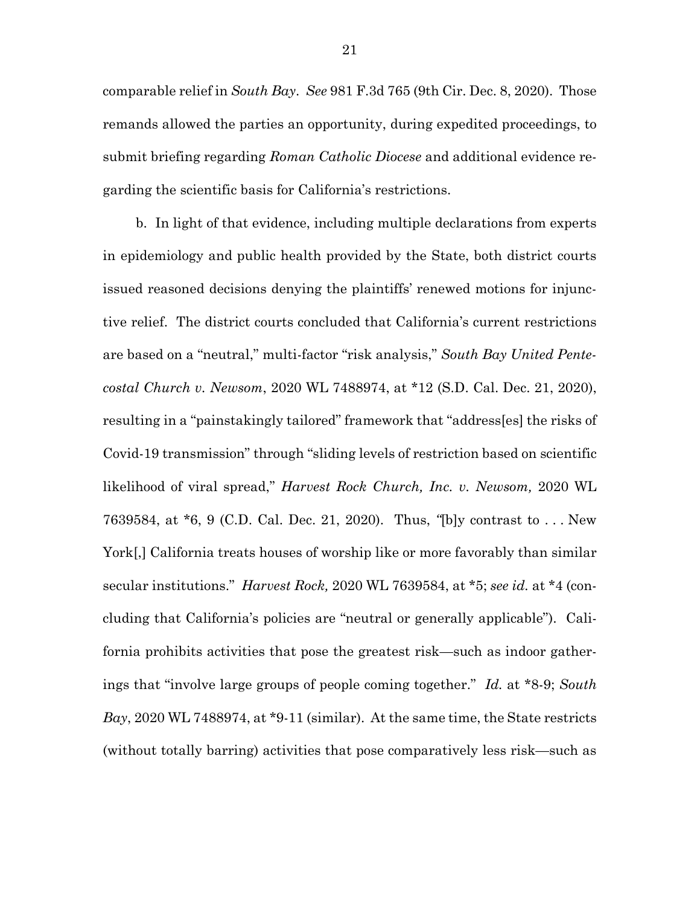comparable relief in *South Bay*. *See* 981 F.3d 765 (9th Cir. Dec. 8, 2020). Those remands allowed the parties an opportunity, during expedited proceedings, to submit briefing regarding *Roman Catholic Diocese* and additional evidence regarding the scientific basis for California's restrictions.

b. In light of that evidence, including multiple declarations from experts in epidemiology and public health provided by the State, both district courts issued reasoned decisions denying the plaintiffs' renewed motions for injunctive relief. The district courts concluded that California's current restrictions are based on a "neutral," multi-factor "risk analysis," *South Bay United Pentecostal Church v. Newsom*, 2020 WL 7488974, at \*12 (S.D. Cal. Dec. 21, 2020), resulting in a "painstakingly tailored" framework that "address[es] the risks of Covid-19 transmission" through "sliding levels of restriction based on scientific likelihood of viral spread," *Harvest Rock Church, Inc. v. Newsom,* 2020 WL 7639584, at \*6, 9 (C.D. Cal. Dec. 21, 2020). Thus, *"*[b]y contrast to . . . New York[,] California treats houses of worship like or more favorably than similar secular institutions." *Harvest Rock,* 2020 WL 7639584, at \*5; *see id.* at \*4 (concluding that California's policies are "neutral or generally applicable"). California prohibits activities that pose the greatest risk—such as indoor gatherings that "involve large groups of people coming together." *Id.* at \*8-9; *South Bay*, 2020 WL 7488974, at \*9-11 (similar). At the same time, the State restricts (without totally barring) activities that pose comparatively less risk—such as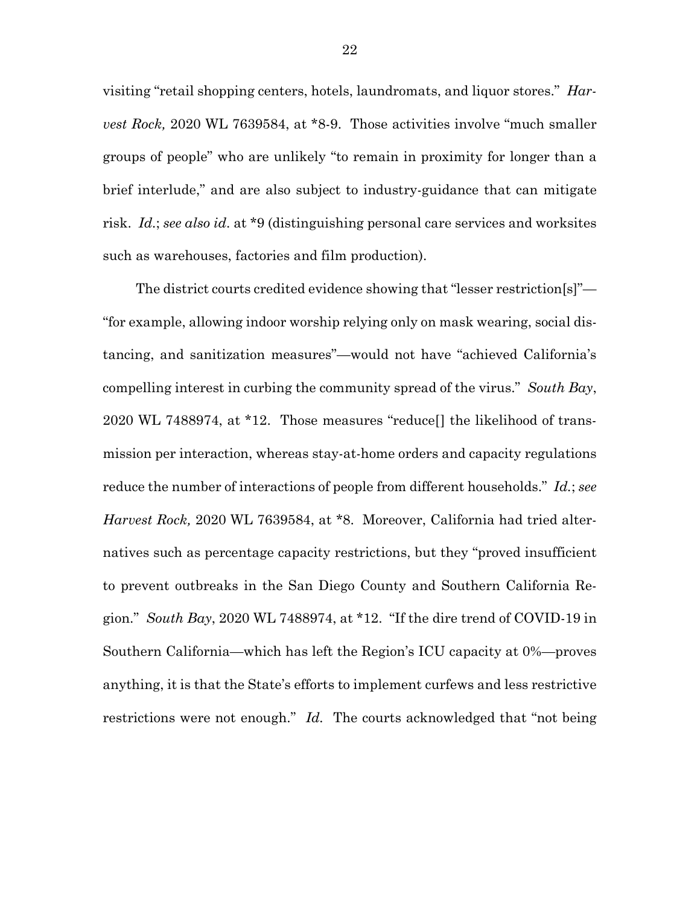visiting "retail shopping centers, hotels, laundromats, and liquor stores." *Harvest Rock,* 2020 WL 7639584, at \*8-9. Those activities involve "much smaller groups of people" who are unlikely "to remain in proximity for longer than a brief interlude," and are also subject to industry-guidance that can mitigate risk. *Id.*; *see also id*. at \*9 (distinguishing personal care services and worksites such as warehouses, factories and film production).

The district courts credited evidence showing that "lesser restriction[s]"— "for example, allowing indoor worship relying only on mask wearing, social distancing, and sanitization measures"—would not have "achieved California's compelling interest in curbing the community spread of the virus." *South Bay*, 2020 WL 7488974, at \*12. Those measures "reduce[] the likelihood of transmission per interaction, whereas stay-at-home orders and capacity regulations reduce the number of interactions of people from different households." *Id.*; *see Harvest Rock,* 2020 WL 7639584, at \*8. Moreover, California had tried alternatives such as percentage capacity restrictions, but they "proved insufficient to prevent outbreaks in the San Diego County and Southern California Region." *South Bay*, 2020 WL 7488974, at \*12. "If the dire trend of COVID-19 in Southern California—which has left the Region's ICU capacity at 0%—proves anything, it is that the State's efforts to implement curfews and less restrictive restrictions were not enough." *Id.* The courts acknowledged that "not being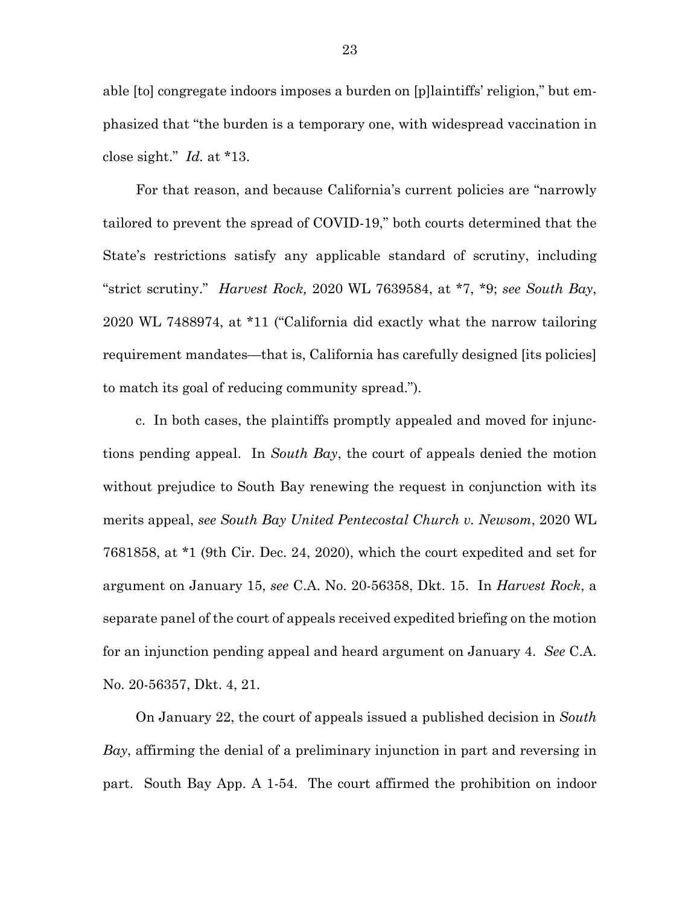able [to] congregate indoors imposes a burden on [p]laintiffs' religion," but emphasized that "the burden is a temporary one, with widespread vaccination in close sight." *Id.* at \*13.

For that reason, and because California's current policies are "narrowly tailored to prevent the spread of COVID-19," both courts determined that the State's restrictions satisfy any applicable standard of scrutiny, including "strict scrutiny." *Harvest Rock,* 2020 WL 7639584, at \*7, \*9; *see South Bay*, 2020 WL 7488974, at \*11 ("California did exactly what the narrow tailoring requirement mandates—that is, California has carefully designed [its policies] to match its goal of reducing community spread.").

c. In both cases, the plaintiffs promptly appealed and moved for injunctions pending appeal. In *South Bay*, the court of appeals denied the motion without prejudice to South Bay renewing the request in conjunction with its merits appeal, *see South Bay United Pentecostal Church v. Newsom*, 2020 WL 7681858, at \*1 (9th Cir. Dec. 24, 2020), which the court expedited and set for argument on January 15, *see* C.A. No. 20-56358, Dkt. 15. In *Harvest Rock*, a separate panel of the court of appeals received expedited briefing on the motion for an injunction pending appeal and heard argument on January 4. *See* C.A. No. 20-56357, Dkt. 4, 21.

On January 22, the court of appeals issued a published decision in *South Bay*, affirming the denial of a preliminary injunction in part and reversing in part. South Bay App. A 1-54. The court affirmed the prohibition on indoor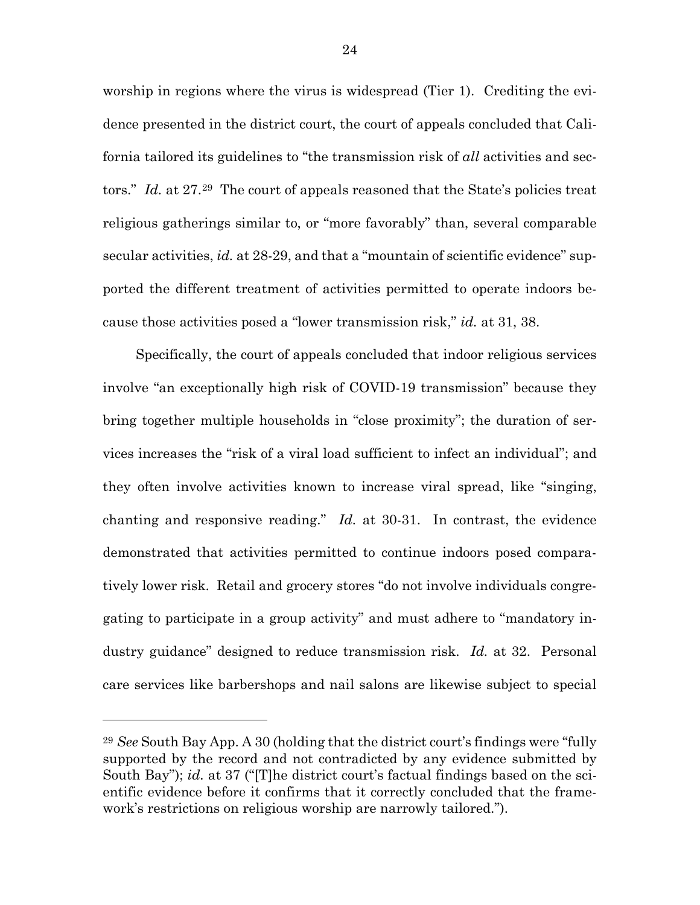worship in regions where the virus is widespread (Tier 1). Crediting the evidence presented in the district court, the court of appeals concluded that California tailored its guidelines to "the transmission risk of *all* activities and sectors." *Id.* at 27.<sup>29</sup> The court of appeals reasoned that the State's policies treat religious gatherings similar to, or "more favorably" than, several comparable secular activities, *id.* at 28-29, and that a "mountain of scientific evidence" supported the different treatment of activities permitted to operate indoors because those activities posed a "lower transmission risk," *id.* at 31, 38.

Specifically, the court of appeals concluded that indoor religious services involve "an exceptionally high risk of COVID-19 transmission" because they bring together multiple households in "close proximity"; the duration of services increases the "risk of a viral load sufficient to infect an individual"; and they often involve activities known to increase viral spread, like "singing, chanting and responsive reading." *Id.* at 30-31. In contrast, the evidence demonstrated that activities permitted to continue indoors posed comparatively lower risk. Retail and grocery stores "do not involve individuals congregating to participate in a group activity" and must adhere to "mandatory industry guidance" designed to reduce transmission risk. *Id.* at 32. Personal care services like barbershops and nail salons are likewise subject to special

<span id="page-34-0"></span><sup>29</sup> *See* South Bay App. A 30 (holding that the district court's findings were "fully supported by the record and not contradicted by any evidence submitted by South Bay"); *id.* at 37 ("[T]he district court's factual findings based on the scientific evidence before it confirms that it correctly concluded that the framework's restrictions on religious worship are narrowly tailored.").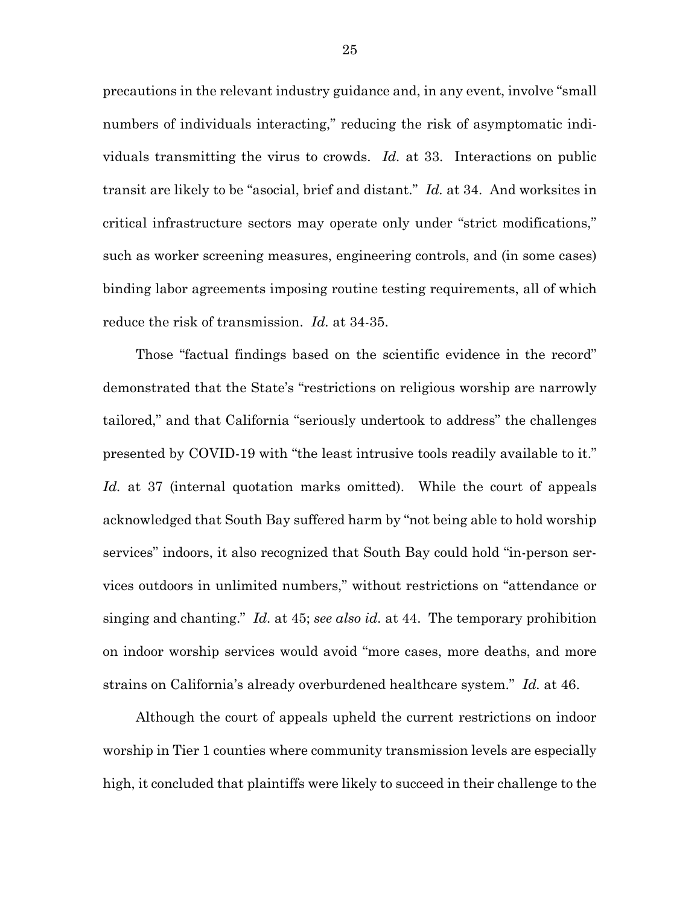precautions in the relevant industry guidance and, in any event, involve "small numbers of individuals interacting," reducing the risk of asymptomatic individuals transmitting the virus to crowds. *Id.* at 33. Interactions on public transit are likely to be "asocial, brief and distant." *Id.* at 34. And worksites in critical infrastructure sectors may operate only under "strict modifications," such as worker screening measures, engineering controls, and (in some cases) binding labor agreements imposing routine testing requirements, all of which reduce the risk of transmission. *Id.* at 34-35.

Those "factual findings based on the scientific evidence in the record" demonstrated that the State's "restrictions on religious worship are narrowly tailored," and that California "seriously undertook to address" the challenges presented by COVID-19 with "the least intrusive tools readily available to it." *Id.* at 37 (internal quotation marks omitted). While the court of appeals acknowledged that South Bay suffered harm by "not being able to hold worship services" indoors, it also recognized that South Bay could hold "in-person services outdoors in unlimited numbers," without restrictions on "attendance or singing and chanting." *Id.* at 45; *see also id.* at 44. The temporary prohibition on indoor worship services would avoid "more cases, more deaths, and more strains on California's already overburdened healthcare system." *Id.* at 46.

Although the court of appeals upheld the current restrictions on indoor worship in Tier 1 counties where community transmission levels are especially high, it concluded that plaintiffs were likely to succeed in their challenge to the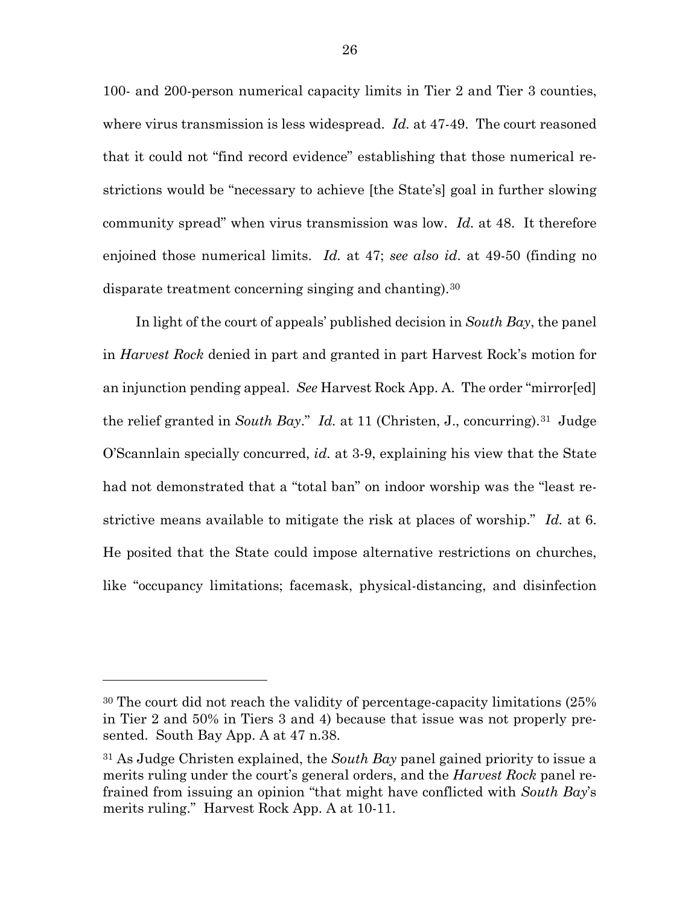100- and 200-person numerical capacity limits in Tier 2 and Tier 3 counties, where virus transmission is less widespread. *Id.* at 47-49. The court reasoned that it could not "find record evidence" establishing that those numerical restrictions would be "necessary to achieve [the State's] goal in further slowing community spread" when virus transmission was low. *Id.* at 48. It therefore enjoined those numerical limits. *Id.* at 47; *see also id*. at 49-50 (finding no disparate treatment concerning singing and chanting).[30](#page-36-0)

In light of the court of appeals' published decision in *South Bay*, the panel in *Harvest Rock* denied in part and granted in part Harvest Rock's motion for an injunction pending appeal. *See* Harvest Rock App. A. The order "mirror[ed] the relief granted in *South Bay*." *Id.* at 11 (Christen, J., concurring).[31](#page-36-1) Judge O'Scannlain specially concurred, *id.* at 3-9, explaining his view that the State had not demonstrated that a "total ban" on indoor worship was the "least restrictive means available to mitigate the risk at places of worship." *Id.* at 6. He posited that the State could impose alternative restrictions on churches, like "occupancy limitations; facemask, physical-distancing, and disinfection

<span id="page-36-0"></span><sup>30</sup> The court did not reach the validity of percentage-capacity limitations (25% in Tier 2 and 50% in Tiers 3 and 4) because that issue was not properly presented. South Bay App. A at 47 n.38.

<span id="page-36-1"></span><sup>31</sup> As Judge Christen explained, the *South Bay* panel gained priority to issue a merits ruling under the court's general orders, and the *Harvest Rock* panel refrained from issuing an opinion "that might have conflicted with *South Bay*'s merits ruling." Harvest Rock App. A at 10-11.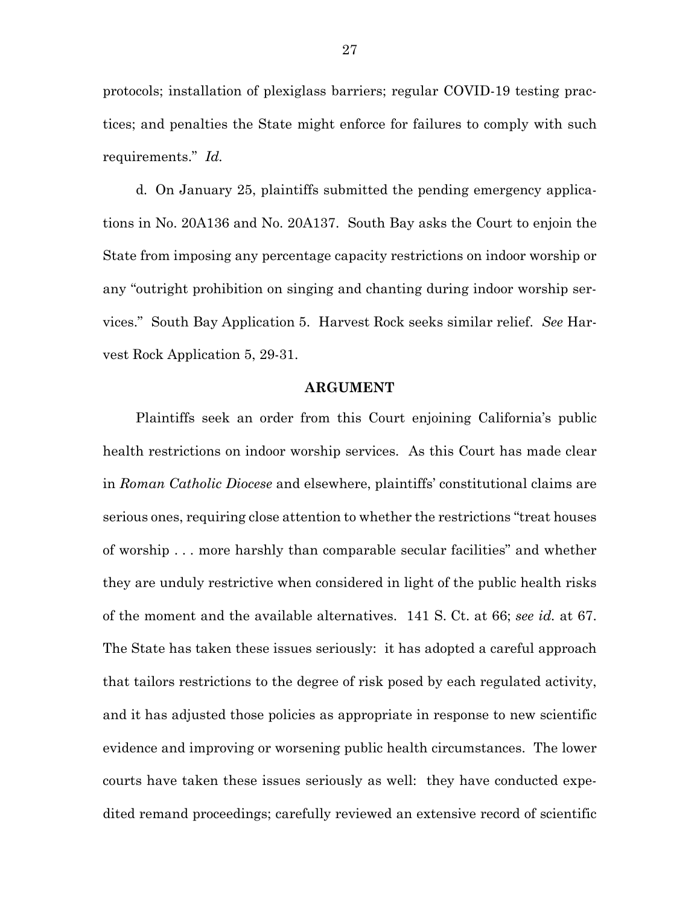protocols; installation of plexiglass barriers; regular COVID-19 testing practices; and penalties the State might enforce for failures to comply with such requirements." *Id.*

d. On January 25, plaintiffs submitted the pending emergency applications in No. 20A136 and No. 20A137. South Bay asks the Court to enjoin the State from imposing any percentage capacity restrictions on indoor worship or any "outright prohibition on singing and chanting during indoor worship services." South Bay Application 5. Harvest Rock seeks similar relief. *See* Harvest Rock Application 5, 29-31.

#### **ARGUMENT**

Plaintiffs seek an order from this Court enjoining California's public health restrictions on indoor worship services. As this Court has made clear in *Roman Catholic Diocese* and elsewhere, plaintiffs' constitutional claims are serious ones, requiring close attention to whether the restrictions "treat houses of worship . . . more harshly than comparable secular facilities" and whether they are unduly restrictive when considered in light of the public health risks of the moment and the available alternatives. 141 S. Ct. at 66; *see id.* at 67. The State has taken these issues seriously: it has adopted a careful approach that tailors restrictions to the degree of risk posed by each regulated activity, and it has adjusted those policies as appropriate in response to new scientific evidence and improving or worsening public health circumstances. The lower courts have taken these issues seriously as well: they have conducted expedited remand proceedings; carefully reviewed an extensive record of scientific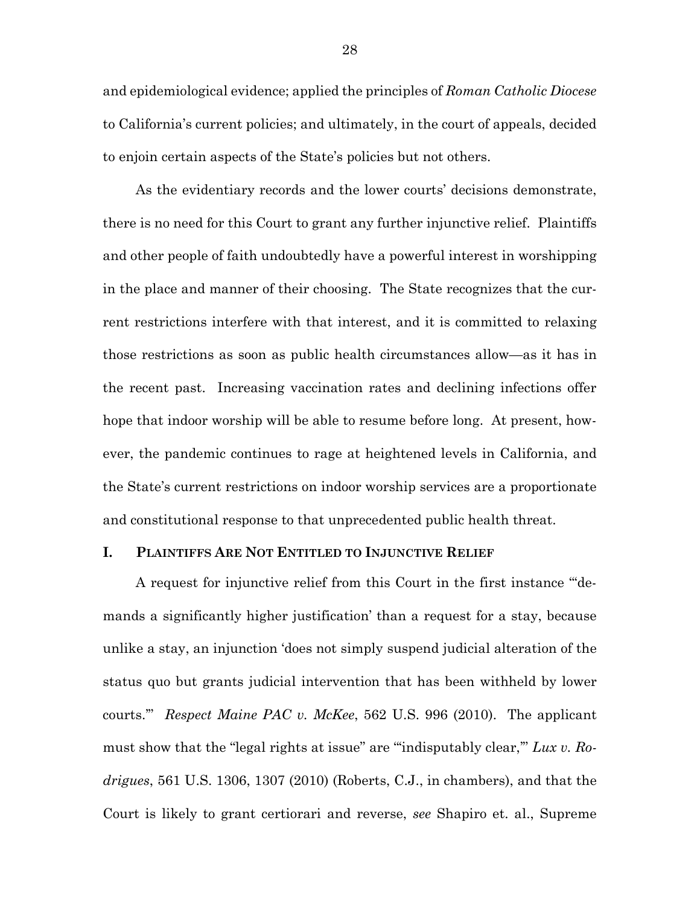and epidemiological evidence; applied the principles of *Roman Catholic Diocese* to California's current policies; and ultimately, in the court of appeals, decided to enjoin certain aspects of the State's policies but not others.

As the evidentiary records and the lower courts' decisions demonstrate, there is no need for this Court to grant any further injunctive relief. Plaintiffs and other people of faith undoubtedly have a powerful interest in worshipping in the place and manner of their choosing. The State recognizes that the current restrictions interfere with that interest, and it is committed to relaxing those restrictions as soon as public health circumstances allow—as it has in the recent past. Increasing vaccination rates and declining infections offer hope that indoor worship will be able to resume before long. At present, however, the pandemic continues to rage at heightened levels in California, and the State's current restrictions on indoor worship services are a proportionate and constitutional response to that unprecedented public health threat.

#### **I. PLAINTIFFS ARE NOT ENTITLED TO INJUNCTIVE RELIEF**

A request for injunctive relief from this Court in the first instance "'demands a significantly higher justification' than a request for a stay, because unlike a stay, an injunction 'does not simply suspend judicial alteration of the status quo but grants judicial intervention that has been withheld by lower courts.'" *Respect Maine PAC v. McKee*, 562 U.S. 996 (2010). The applicant must show that the "legal rights at issue" are "'indisputably clear,'" *Lux v. Rodrigues*, 561 U.S. 1306, 1307 (2010) (Roberts, C.J., in chambers), and that the Court is likely to grant certiorari and reverse, *see* Shapiro et. al., Supreme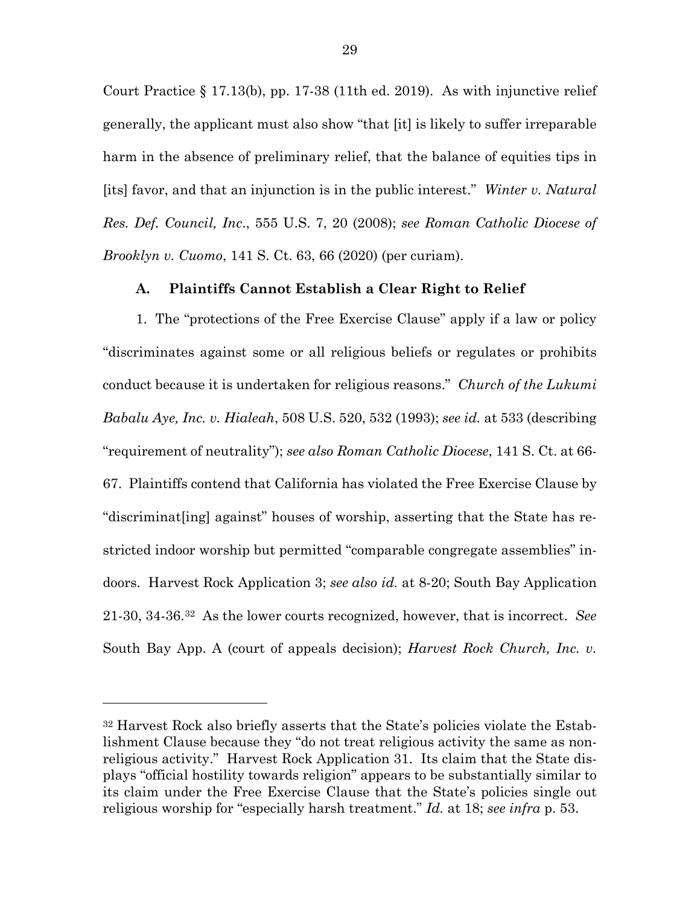Court Practice  $\S 17.13(b)$ , pp. 17-38 (11th ed. 2019). As with injunctive relief generally, the applicant must also show "that [it] is likely to suffer irreparable harm in the absence of preliminary relief, that the balance of equities tips in [its] favor, and that an injunction is in the public interest." *Winter v. Natural Res. Def. Council, Inc*., 555 U.S. 7, 20 (2008); *see Roman Catholic Diocese of Brooklyn v. Cuomo*, 141 S. Ct. 63, 66 (2020) (per curiam).

#### **A. Plaintiffs Cannot Establish a Clear Right to Relief**

1. The "protections of the Free Exercise Clause" apply if a law or policy "discriminates against some or all religious beliefs or regulates or prohibits conduct because it is undertaken for religious reasons." *Church of the Lukumi Babalu Aye, Inc. v. Hialeah*, 508 U.S. 520, 532 (1993); *see id.* at 533 (describing "requirement of neutrality"); *see also Roman Catholic Diocese*, 141 S. Ct. at 66- 67. Plaintiffs contend that California has violated the Free Exercise Clause by "discriminat[ing] against" houses of worship, asserting that the State has restricted indoor worship but permitted "comparable congregate assemblies" indoors. Harvest Rock Application 3; *see also id.* at 8-20; South Bay Application 21-30, 34-36.[32](#page-39-0) As the lower courts recognized, however, that is incorrect. *See*  South Bay App. A (court of appeals decision); *Harvest Rock Church, Inc. v.* 

<span id="page-39-0"></span><sup>32</sup> Harvest Rock also briefly asserts that the State's policies violate the Establishment Clause because they "do not treat religious activity the same as nonreligious activity." Harvest Rock Application 31. Its claim that the State displays "official hostility towards religion" appears to be substantially similar to its claim under the Free Exercise Clause that the State's policies single out religious worship for "especially harsh treatment." *Id.* at 18; *see infra* p. 53.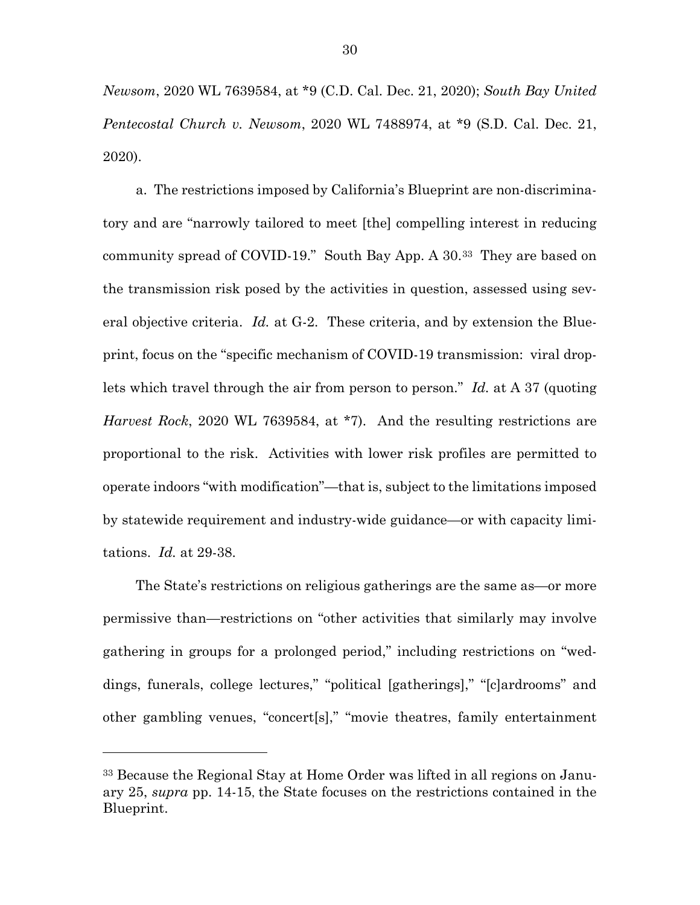*Newsom*, 2020 WL 7639584, at \*9 (C.D. Cal. Dec. 21, 2020); *South Bay United Pentecostal Church v. Newsom*, 2020 WL 7488974, at \*9 (S.D. Cal. Dec. 21, 2020).

a. The restrictions imposed by California's Blueprint are non-discriminatory and are "narrowly tailored to meet [the] compelling interest in reducing community spread of COVID-19." South Bay App. A 30.[33](#page-40-0) They are based on the transmission risk posed by the activities in question, assessed using several objective criteria. *Id.* at G-2. These criteria, and by extension the Blueprint, focus on the "specific mechanism of COVID-19 transmission: viral droplets which travel through the air from person to person." *Id.* at A 37 (quoting *Harvest Rock*, 2020 WL 7639584, at \*7). And the resulting restrictions are proportional to the risk. Activities with lower risk profiles are permitted to operate indoors "with modification"—that is, subject to the limitations imposed by statewide requirement and industry-wide guidance—or with capacity limitations. *Id.* at 29-38.

The State's restrictions on religious gatherings are the same as—or more permissive than—restrictions on "other activities that similarly may involve gathering in groups for a prolonged period," including restrictions on "weddings, funerals, college lectures," "political [gatherings]," "[c]ardrooms" and other gambling venues, "concert[s]," "movie theatres, family entertainment

<span id="page-40-0"></span><sup>33</sup> Because the Regional Stay at Home Order was lifted in all regions on January 25, *supra* pp. 14-15, the State focuses on the restrictions contained in the Blueprint.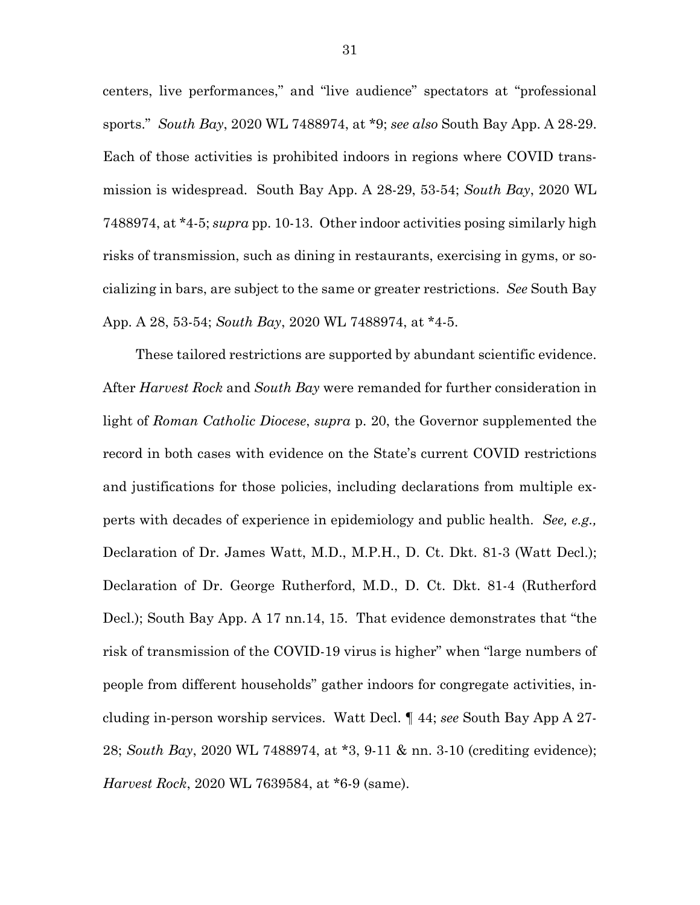centers, live performances," and "live audience" spectators at "professional sports." *South Bay*, 2020 WL 7488974, at \*9; *see also* South Bay App. A 28-29. Each of those activities is prohibited indoors in regions where COVID transmission is widespread. South Bay App. A 28-29, 53-54; *South Bay*, 2020 WL 7488974, at \*4-5; *supra* pp. 10-13. Other indoor activities posing similarly high risks of transmission, such as dining in restaurants, exercising in gyms, or socializing in bars, are subject to the same or greater restrictions. *See* South Bay App. A 28, 53-54; *South Bay*, 2020 WL 7488974, at \*4-5.

These tailored restrictions are supported by abundant scientific evidence. After *Harvest Rock* and *South Bay* were remanded for further consideration in light of *Roman Catholic Diocese*, *supra* p. 20, the Governor supplemented the record in both cases with evidence on the State's current COVID restrictions and justifications for those policies, including declarations from multiple experts with decades of experience in epidemiology and public health. *See, e.g.,* Declaration of Dr. James Watt, M.D., M.P.H., D. Ct. Dkt. 81-3 (Watt Decl.); Declaration of Dr. George Rutherford, M.D., D. Ct. Dkt. 81-4 (Rutherford Decl.); South Bay App. A 17 nn.14, 15. That evidence demonstrates that "the risk of transmission of the COVID-19 virus is higher" when "large numbers of people from different households" gather indoors for congregate activities, including in-person worship services. Watt Decl. ¶ 44; *see* South Bay App A 27- 28; *South Bay*, 2020 WL 7488974, at \*3, 9-11 & nn. 3-10 (crediting evidence); *Harvest Rock*, 2020 WL 7639584, at \*6-9 (same).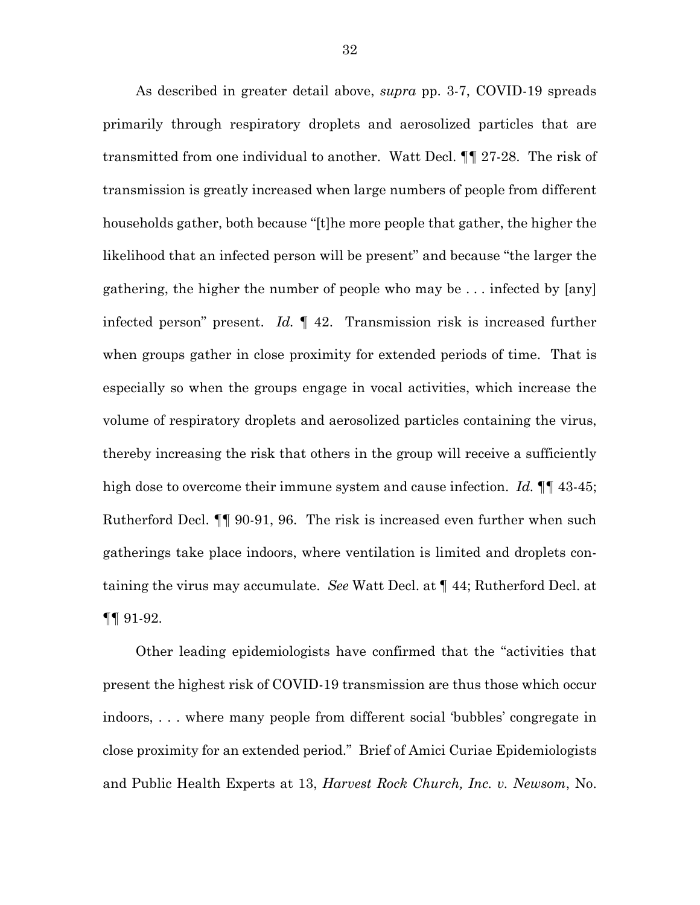As described in greater detail above, *supra* pp. 3-7, COVID-19 spreads primarily through respiratory droplets and aerosolized particles that are transmitted from one individual to another. Watt Decl. ¶¶ 27-28. The risk of transmission is greatly increased when large numbers of people from different households gather, both because "[t]he more people that gather, the higher the likelihood that an infected person will be present" and because "the larger the gathering, the higher the number of people who may be . . . infected by [any] infected person" present. *Id.* ¶ 42. Transmission risk is increased further when groups gather in close proximity for extended periods of time. That is especially so when the groups engage in vocal activities, which increase the volume of respiratory droplets and aerosolized particles containing the virus, thereby increasing the risk that others in the group will receive a sufficiently high dose to overcome their immune system and cause infection. *Id.*  $\P$  43-45; Rutherford Decl. ¶¶ 90-91, 96.The risk is increased even further when such gatherings take place indoors, where ventilation is limited and droplets containing the virus may accumulate. *See* Watt Decl. at ¶ 44; Rutherford Decl. at  $\P\P$  91-92.

Other leading epidemiologists have confirmed that the "activities that present the highest risk of COVID-19 transmission are thus those which occur indoors, . . . where many people from different social 'bubbles' congregate in close proximity for an extended period." Brief of Amici Curiae Epidemiologists and Public Health Experts at 13, *Harvest Rock Church, Inc. v. Newsom*, No.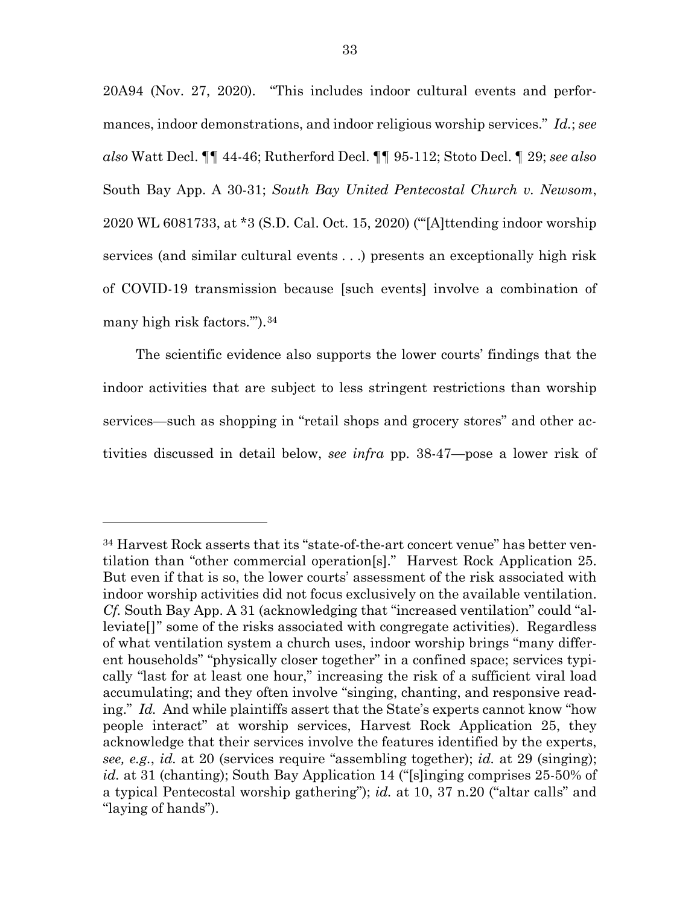20A94 (Nov. 27, 2020). "This includes indoor cultural events and performances, indoor demonstrations, and indoor religious worship services." *Id.*; *see also* Watt Decl. ¶¶ 44-46; Rutherford Decl. ¶¶ 95-112; Stoto Decl. ¶ 29; *see also* South Bay App. A 30-31; *South Bay United Pentecostal Church v. Newsom*, 2020 WL 6081733, at \*3 (S.D. Cal. Oct. 15, 2020) ("'[A]ttending indoor worship services (and similar cultural events . . .) presents an exceptionally high risk of COVID-19 transmission because [such events] involve a combination of many high risk factors.'").[34](#page-43-0)

The scientific evidence also supports the lower courts' findings that the indoor activities that are subject to less stringent restrictions than worship services—such as shopping in "retail shops and grocery stores" and other activities discussed in detail below, *see infra* pp. 38-47—pose a lower risk of

<span id="page-43-0"></span><sup>34</sup> Harvest Rock asserts that its "state-of-the-art concert venue" has better ventilation than "other commercial operation[s]." Harvest Rock Application 25. But even if that is so, the lower courts' assessment of the risk associated with indoor worship activities did not focus exclusively on the available ventilation. *Cf.* South Bay App. A 31 (acknowledging that "increased ventilation" could "alleviate[]" some of the risks associated with congregate activities). Regardless of what ventilation system a church uses, indoor worship brings "many different households" "physically closer together" in a confined space; services typically "last for at least one hour," increasing the risk of a sufficient viral load accumulating; and they often involve "singing, chanting, and responsive reading." *Id.* And while plaintiffs assert that the State's experts cannot know "how people interact" at worship services, Harvest Rock Application 25, they acknowledge that their services involve the features identified by the experts, *see, e.g.*, *id.* at 20 (services require "assembling together); *id.* at 29 (singing); *id.* at 31 (chanting); South Bay Application 14 ("[s]inging comprises 25-50% of a typical Pentecostal worship gathering"); *id.* at 10, 37 n.20 ("altar calls" and "laying of hands").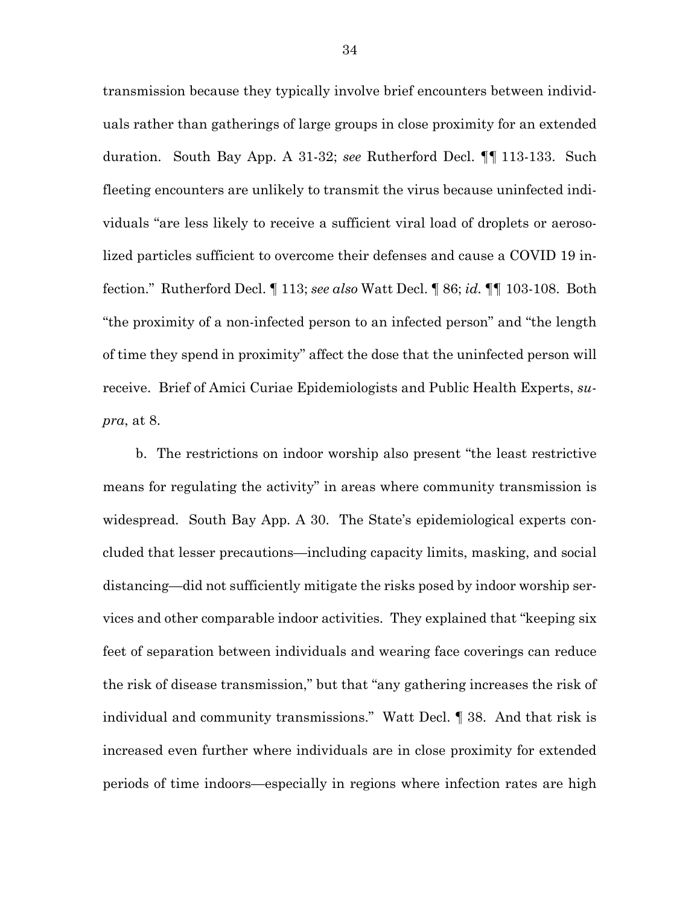transmission because they typically involve brief encounters between individuals rather than gatherings of large groups in close proximity for an extended duration. South Bay App. A 31-32; *see* Rutherford Decl. ¶¶ 113-133. Such fleeting encounters are unlikely to transmit the virus because uninfected individuals "are less likely to receive a sufficient viral load of droplets or aerosolized particles sufficient to overcome their defenses and cause a COVID 19 infection." Rutherford Decl. ¶ 113; *see also* Watt Decl. ¶ 86; *id.* ¶¶ 103-108. Both "the proximity of a non-infected person to an infected person" and "the length of time they spend in proximity" affect the dose that the uninfected person will receive. Brief of Amici Curiae Epidemiologists and Public Health Experts, *supra*, at 8.

b. The restrictions on indoor worship also present "the least restrictive means for regulating the activity" in areas where community transmission is widespread. South Bay App. A 30. The State's epidemiological experts concluded that lesser precautions—including capacity limits, masking, and social distancing—did not sufficiently mitigate the risks posed by indoor worship services and other comparable indoor activities. They explained that "keeping six feet of separation between individuals and wearing face coverings can reduce the risk of disease transmission," but that "any gathering increases the risk of individual and community transmissions." Watt Decl. ¶ 38. And that risk is increased even further where individuals are in close proximity for extended periods of time indoors—especially in regions where infection rates are high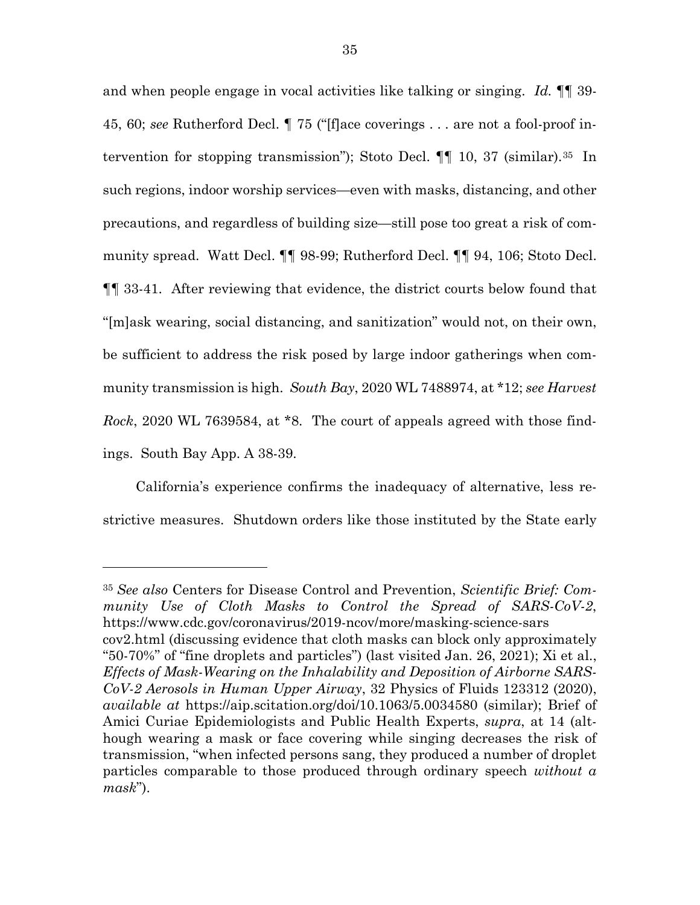and when people engage in vocal activities like talking or singing. *Id.* ¶¶ 39- 45, 60; *see* Rutherford Decl. ¶ 75 ("[f]ace coverings . . . are not a fool-proof intervention for stopping transmission"); Stoto Decl. ¶¶ 10, 37 (similar).[35](#page-45-0) In such regions, indoor worship services—even with masks, distancing, and other precautions, and regardless of building size—still pose too great a risk of community spread. Watt Decl. ¶¶ 98-99; Rutherford Decl. ¶¶ 94, 106; Stoto Decl. ¶¶ 33-41. After reviewing that evidence, the district courts below found that "[m]ask wearing, social distancing, and sanitization" would not, on their own, be sufficient to address the risk posed by large indoor gatherings when community transmission is high. *South Bay*, 2020 WL 7488974, at \*12; *see Harvest Rock*, 2020 WL 7639584, at \*8. The court of appeals agreed with those findings. South Bay App. A 38-39.

California's experience confirms the inadequacy of alternative, less restrictive measures. Shutdown orders like those instituted by the State early

<span id="page-45-0"></span><sup>35</sup> *See also* Centers for Disease Control and Prevention, *Scientific Brief: Community Use of Cloth Masks to Control the Spread of SARS-CoV-2*, https://www.cdc.gov/coronavirus/2019-ncov/more/masking-science-sars cov2.html (discussing evidence that cloth masks can block only approximately "50-70%" of "fine droplets and particles") (last visited Jan. 26, 2021); Xi et al., *Effects of Mask-Wearing on the Inhalability and Deposition of Airborne SARS-CoV-2 Aerosols in Human Upper Airway*, 32 Physics of Fluids 123312 (2020), *available at* https://aip.scitation.org/doi/10.1063/5.0034580 (similar); Brief of Amici Curiae Epidemiologists and Public Health Experts, *supra*, at 14 (although wearing a mask or face covering while singing decreases the risk of transmission, "when infected persons sang, they produced a number of droplet particles comparable to those produced through ordinary speech *without a mask*").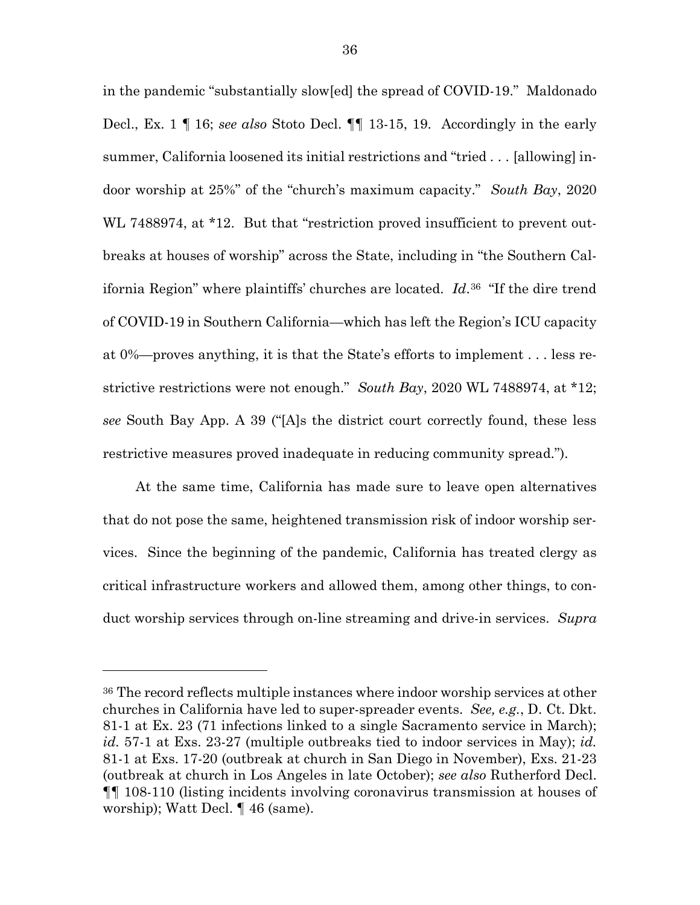in the pandemic "substantially slow[ed] the spread of COVID-19." Maldonado Decl., Ex. 1 ¶ 16; *see also* Stoto Decl. ¶¶ 13-15, 19. Accordingly in the early summer, California loosened its initial restrictions and "tried . . . [allowing] indoor worship at 25%" of the "church's maximum capacity." *South Bay*, 2020 WL 7488974, at \*12. But that "restriction proved insufficient to prevent outbreaks at houses of worship" across the State, including in "the Southern California Region" where plaintiffs' churches are located. *Id*.[36](#page-46-0) "If the dire trend of COVID-19 in Southern California—which has left the Region's ICU capacity at 0%—proves anything, it is that the State's efforts to implement . . . less restrictive restrictions were not enough." *South Bay*, 2020 WL 7488974, at \*12; *see* South Bay App. A 39 ("[A]s the district court correctly found, these less restrictive measures proved inadequate in reducing community spread.").

At the same time, California has made sure to leave open alternatives that do not pose the same, heightened transmission risk of indoor worship services. Since the beginning of the pandemic, California has treated clergy as critical infrastructure workers and allowed them, among other things, to conduct worship services through on-line streaming and drive-in services. *Supra* 

l

<span id="page-46-0"></span><sup>36</sup> The record reflects multiple instances where indoor worship services at other churches in California have led to super-spreader events. *See, e.g.*, D. Ct. Dkt. 81-1 at Ex. 23 (71 infections linked to a single Sacramento service in March); *id.* 57-1 at Exs. 23-27 (multiple outbreaks tied to indoor services in May); *id.* 81-1 at Exs. 17-20 (outbreak at church in San Diego in November), Exs. 21-23 (outbreak at church in Los Angeles in late October); *see also* Rutherford Decl. ¶¶ 108-110 (listing incidents involving coronavirus transmission at houses of worship); Watt Decl. ¶ 46 (same).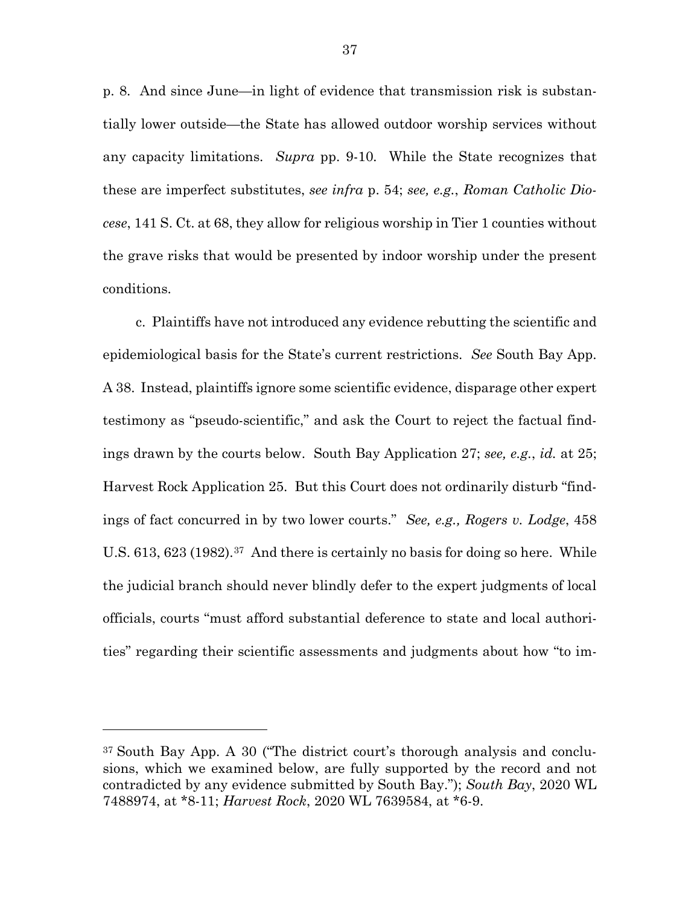p. 8. And since June—in light of evidence that transmission risk is substantially lower outside—the State has allowed outdoor worship services without any capacity limitations. *Supra* pp. 9-10*.* While the State recognizes that these are imperfect substitutes, *see infra* p. 54; *see, e.g.*, *Roman Catholic Diocese*, 141 S. Ct. at 68, they allow for religious worship in Tier 1 counties without the grave risks that would be presented by indoor worship under the present conditions.

c. Plaintiffs have not introduced any evidence rebutting the scientific and epidemiological basis for the State's current restrictions. *See* South Bay App. A 38. Instead, plaintiffs ignore some scientific evidence, disparage other expert testimony as "pseudo-scientific," and ask the Court to reject the factual findings drawn by the courts below. South Bay Application 27; *see, e.g.*, *id.* at 25; Harvest Rock Application 25. But this Court does not ordinarily disturb "findings of fact concurred in by two lower courts." *See, e.g., Rogers v. Lodge*, 458 U.S. 613, 623 (1982).<sup>[37](#page-47-0)</sup> And there is certainly no basis for doing so here. While the judicial branch should never blindly defer to the expert judgments of local officials, courts "must afford substantial deference to state and local authorities" regarding their scientific assessments and judgments about how "to im-

l

<span id="page-47-0"></span><sup>37</sup> South Bay App. A 30 ("The district court's thorough analysis and conclusions, which we examined below, are fully supported by the record and not contradicted by any evidence submitted by South Bay."); *South Bay*, 2020 WL 7488974, at \*8-11; *Harvest Rock*, 2020 WL 7639584, at \*6-9.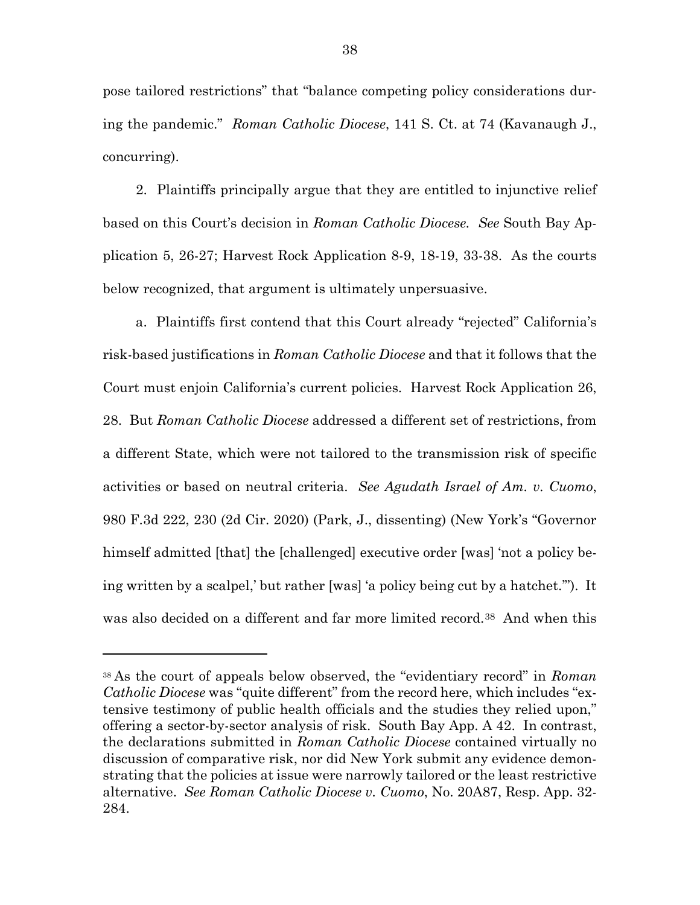pose tailored restrictions" that "balance competing policy considerations during the pandemic." *Roman Catholic Diocese*, 141 S. Ct. at 74 (Kavanaugh J., concurring).

2. Plaintiffs principally argue that they are entitled to injunctive relief based on this Court's decision in *Roman Catholic Diocese. See* South Bay Application 5, 26-27; Harvest Rock Application 8-9, 18-19, 33-38. As the courts below recognized, that argument is ultimately unpersuasive.

a. Plaintiffs first contend that this Court already "rejected" California's risk-based justifications in *Roman Catholic Diocese* and that it follows that the Court must enjoin California's current policies. Harvest Rock Application 26, 28. But *Roman Catholic Diocese* addressed a different set of restrictions, from a different State, which were not tailored to the transmission risk of specific activities or based on neutral criteria. *See Agudath Israel of Am. v. Cuomo*, 980 F.3d 222, 230 (2d Cir. 2020) (Park, J., dissenting) (New York's "Governor himself admitted [that] the [challenged] executive order [was] 'not a policy being written by a scalpel,' but rather [was] 'a policy being cut by a hatchet.'"). It was also decided on a different and far more limited record.<sup>[38](#page-48-0)</sup> And when this

<span id="page-48-0"></span><sup>38</sup> As the court of appeals below observed, the "evidentiary record" in *Roman Catholic Diocese* was "quite different" from the record here, which includes "extensive testimony of public health officials and the studies they relied upon," offering a sector-by-sector analysis of risk. South Bay App. A 42. In contrast, the declarations submitted in *Roman Catholic Diocese* contained virtually no discussion of comparative risk, nor did New York submit any evidence demonstrating that the policies at issue were narrowly tailored or the least restrictive alternative. *See Roman Catholic Diocese v. Cuomo*, No. 20A87, Resp. App. 32- 284.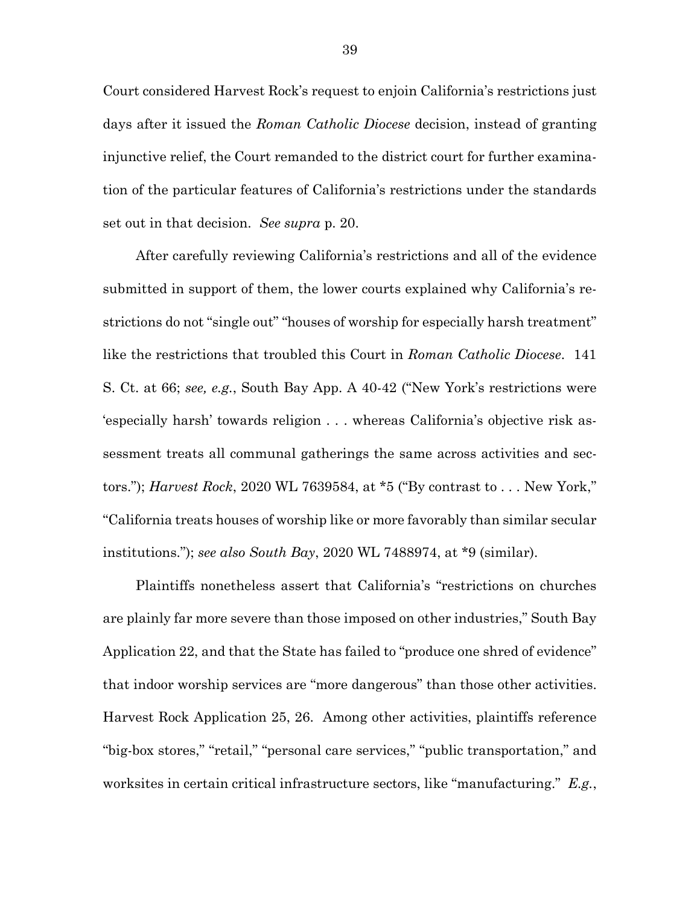Court considered Harvest Rock's request to enjoin California's restrictions just days after it issued the *Roman Catholic Diocese* decision, instead of granting injunctive relief, the Court remanded to the district court for further examination of the particular features of California's restrictions under the standards set out in that decision. *See supra* p. 20.

After carefully reviewing California's restrictions and all of the evidence submitted in support of them, the lower courts explained why California's restrictions do not "single out" "houses of worship for especially harsh treatment" like the restrictions that troubled this Court in *Roman Catholic Diocese*. 141 S. Ct. at 66; *see, e.g.*, South Bay App. A 40-42 ("New York's restrictions were 'especially harsh' towards religion . . . whereas California's objective risk assessment treats all communal gatherings the same across activities and sectors."); *Harvest Rock*, 2020 WL 7639584, at \*5 ("By contrast to . . . New York," "California treats houses of worship like or more favorably than similar secular institutions."); *see also South Bay*, 2020 WL 7488974, at \*9 (similar).

Plaintiffs nonetheless assert that California's "restrictions on churches are plainly far more severe than those imposed on other industries," South Bay Application 22, and that the State has failed to "produce one shred of evidence" that indoor worship services are "more dangerous" than those other activities. Harvest Rock Application 25, 26. Among other activities, plaintiffs reference "big-box stores," "retail," "personal care services," "public transportation," and worksites in certain critical infrastructure sectors, like "manufacturing." *E.g.*,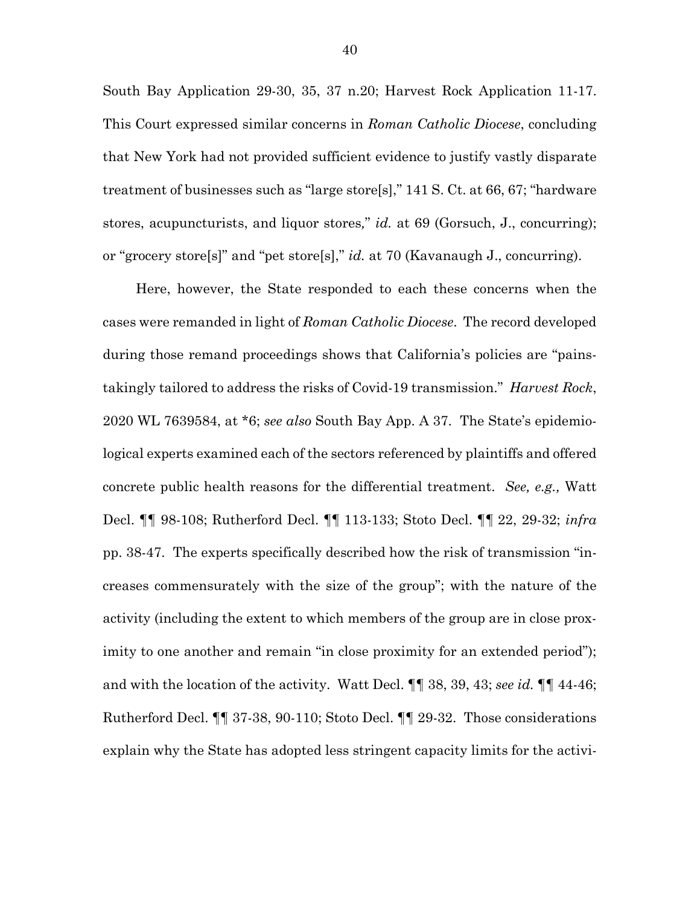South Bay Application 29-30, 35, 37 n.20; Harvest Rock Application 11-17. This Court expressed similar concerns in *Roman Catholic Diocese*, concluding that New York had not provided sufficient evidence to justify vastly disparate treatment of businesses such as "large store[s]," 141 S. Ct. at 66, 67; "hardware stores, acupuncturists, and liquor stores*,*" *id.* at 69 (Gorsuch, J., concurring); or "grocery store[s]" and "pet store[s]," *id.* at 70 (Kavanaugh J., concurring).

Here, however, the State responded to each these concerns when the cases were remanded in light of *Roman Catholic Diocese*. The record developed during those remand proceedings shows that California's policies are "painstakingly tailored to address the risks of Covid-19 transmission." *Harvest Rock*, 2020 WL 7639584, at \*6; *see also* South Bay App. A 37. The State's epidemiological experts examined each of the sectors referenced by plaintiffs and offered concrete public health reasons for the differential treatment. *See, e.g.,* Watt Decl. ¶¶ 98-108; Rutherford Decl. ¶¶ 113-133; Stoto Decl. ¶¶ 22, 29-32; *infra* pp. 38-47. The experts specifically described how the risk of transmission "increases commensurately with the size of the group"; with the nature of the activity (including the extent to which members of the group are in close proximity to one another and remain "in close proximity for an extended period"); and with the location of the activity. Watt Decl. ¶¶ 38, 39, 43; *see id.* ¶¶ 44-46; Rutherford Decl. ¶¶ 37-38, 90-110; Stoto Decl. ¶¶ 29-32. Those considerations explain why the State has adopted less stringent capacity limits for the activi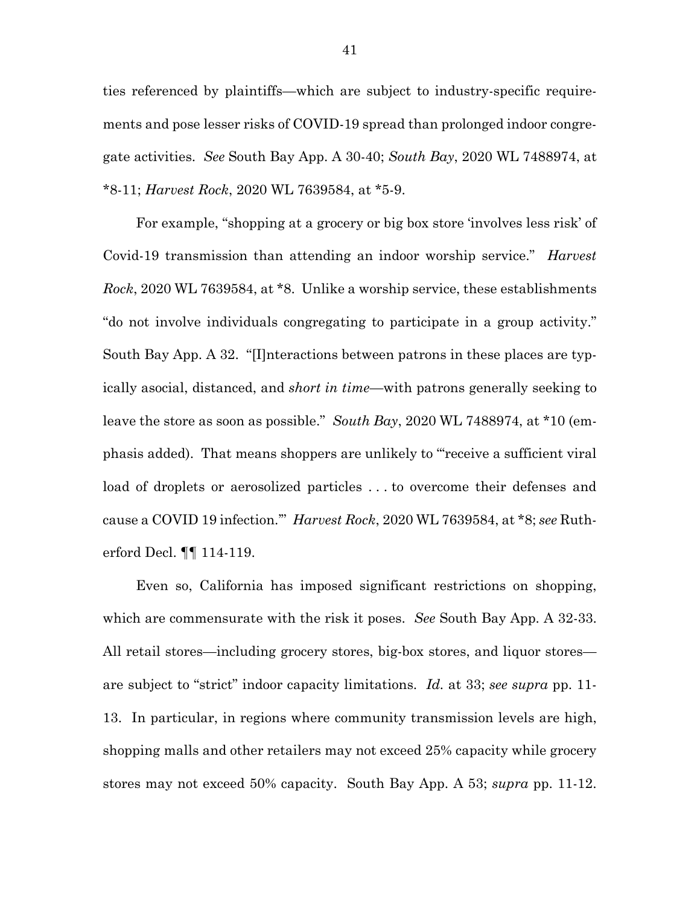ties referenced by plaintiffs—which are subject to industry-specific requirements and pose lesser risks of COVID-19 spread than prolonged indoor congregate activities. *See* South Bay App. A 30-40; *South Bay*, 2020 WL 7488974, at \*8-11; *Harvest Rock*, 2020 WL 7639584, at \*5-9.

For example, "shopping at a grocery or big box store 'involves less risk' of Covid-19 transmission than attending an indoor worship service." *Harvest Rock*, 2020 WL 7639584, at \*8. Unlike a worship service, these establishments "do not involve individuals congregating to participate in a group activity." South Bay App. A 32."[I]nteractions between patrons in these places are typically asocial, distanced, and *short in time*—with patrons generally seeking to leave the store as soon as possible." *South Bay*, 2020 WL 7488974, at \*10 (emphasis added). That means shoppers are unlikely to "'receive a sufficient viral load of droplets or aerosolized particles . . . to overcome their defenses and cause a COVID 19 infection.'" *Harvest Rock*, 2020 WL 7639584, at \*8; *see* Rutherford Decl. ¶¶ 114-119.

Even so, California has imposed significant restrictions on shopping, which are commensurate with the risk it poses. *See* South Bay App. A 32-33. All retail stores—including grocery stores, big-box stores, and liquor stores are subject to "strict" indoor capacity limitations. *Id.* at 33; *see supra* pp. 11- 13. In particular, in regions where community transmission levels are high, shopping malls and other retailers may not exceed 25% capacity while grocery stores may not exceed 50% capacity. South Bay App. A 53; *supra* pp. 11-12.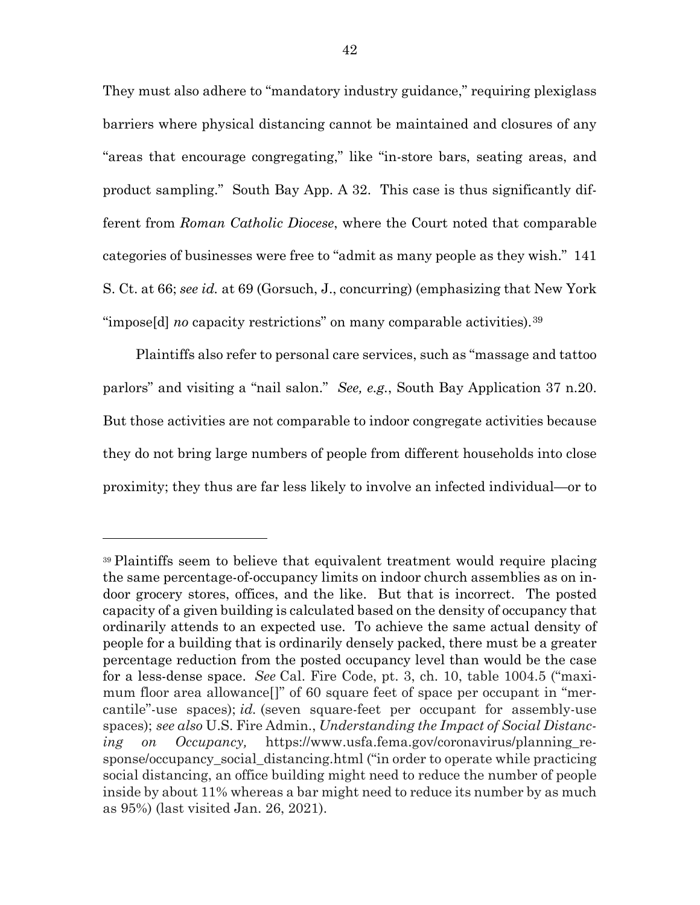They must also adhere to "mandatory industry guidance," requiring plexiglass barriers where physical distancing cannot be maintained and closures of any "areas that encourage congregating," like "in-store bars, seating areas, and product sampling." South Bay App. A 32. This case is thus significantly different from *Roman Catholic Diocese*, where the Court noted that comparable categories of businesses were free to "admit as many people as they wish." 141 S. Ct. at 66; *see id.* at 69 (Gorsuch, J., concurring) (emphasizing that New York "impose[d] *no* capacity restrictions" on many comparable activities).[39](#page-52-0)

Plaintiffs also refer to personal care services, such as "massage and tattoo parlors" and visiting a "nail salon." *See, e.g.*, South Bay Application 37 n.20. But those activities are not comparable to indoor congregate activities because they do not bring large numbers of people from different households into close proximity; they thus are far less likely to involve an infected individual—or to

l

<span id="page-52-0"></span><sup>39</sup> Plaintiffs seem to believe that equivalent treatment would require placing the same percentage-of-occupancy limits on indoor church assemblies as on indoor grocery stores, offices, and the like. But that is incorrect. The posted capacity of a given building is calculated based on the density of occupancy that ordinarily attends to an expected use. To achieve the same actual density of people for a building that is ordinarily densely packed, there must be a greater percentage reduction from the posted occupancy level than would be the case for a less-dense space. *See* Cal. Fire Code, pt. 3, ch. 10, table 1004.5 ("maximum floor area allowance[]" of 60 square feet of space per occupant in "mercantile"-use spaces); *id.* (seven square-feet per occupant for assembly-use spaces); *see also* U.S. Fire Admin., *Understanding the Impact of Social Distancing on Occupancy,* https://www.usfa.fema.gov/coronavirus/planning\_response/occupancy\_social\_distancing.html ("in order to operate while practicing social distancing, an office building might need to reduce the number of people inside by about 11% whereas a bar might need to reduce its number by as much as 95%) (last visited Jan. 26, 2021).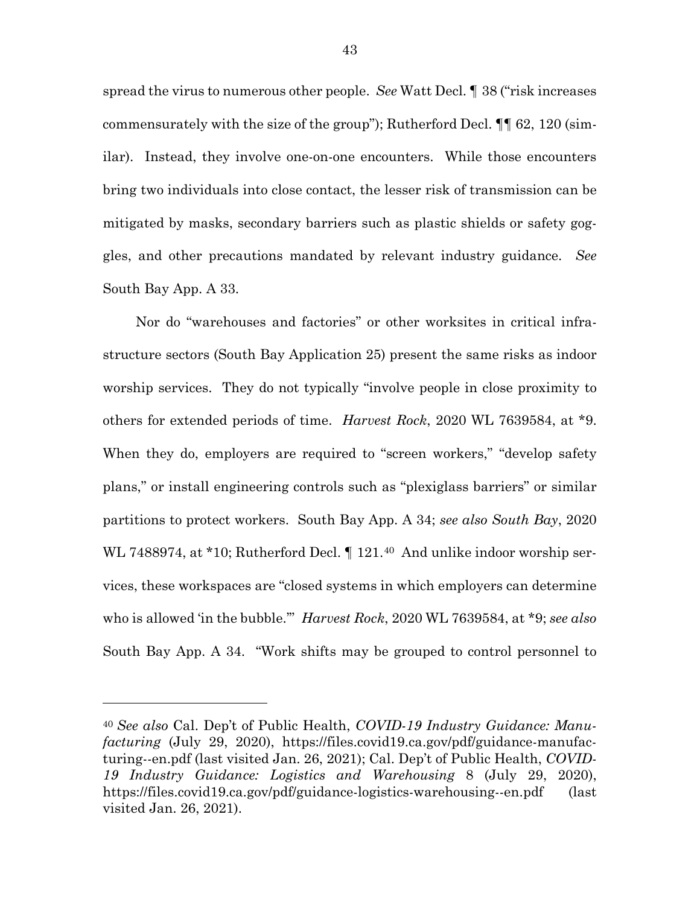spread the virus to numerous other people. *See* Watt Decl. ¶ 38 ("risk increases commensurately with the size of the group"); Rutherford Decl. ¶¶ 62, 120 (similar). Instead, they involve one-on-one encounters. While those encounters bring two individuals into close contact, the lesser risk of transmission can be mitigated by masks, secondary barriers such as plastic shields or safety goggles, and other precautions mandated by relevant industry guidance. *See*  South Bay App. A 33.

Nor do "warehouses and factories" or other worksites in critical infrastructure sectors (South Bay Application 25) present the same risks as indoor worship services. They do not typically "involve people in close proximity to others for extended periods of time. *Harvest Rock*, 2020 WL 7639584, at \*9. When they do, employers are required to "screen workers," "develop safety" plans," or install engineering controls such as "plexiglass barriers" or similar partitions to protect workers. South Bay App. A 34; *see also South Bay*, 2020 WL 7488974, at \*10; Rutherford Decl.  $\P$  121.<sup>40</sup> And unlike indoor worship services, these workspaces are "closed systems in which employers can determine who is allowed 'in the bubble.'" *Harvest Rock*, 2020 WL 7639584, at \*9; *see also*  South Bay App. A 34. "Work shifts may be grouped to control personnel to

<span id="page-53-0"></span><sup>40</sup> *See also* Cal. Dep't of Public Health, *COVID-19 Industry Guidance: Manufacturing* (July 29, 2020), https://files.covid19.ca.gov/pdf/guidance-manufacturing--en.pdf (last visited Jan. 26, 2021); Cal. Dep't of Public Health, *COVID-19 Industry Guidance: Logistics and Warehousing* 8 (July 29, 2020), https://files.covid19.ca.gov/pdf/guidance-logistics-warehousing--en.pdf (last visited Jan. 26, 2021).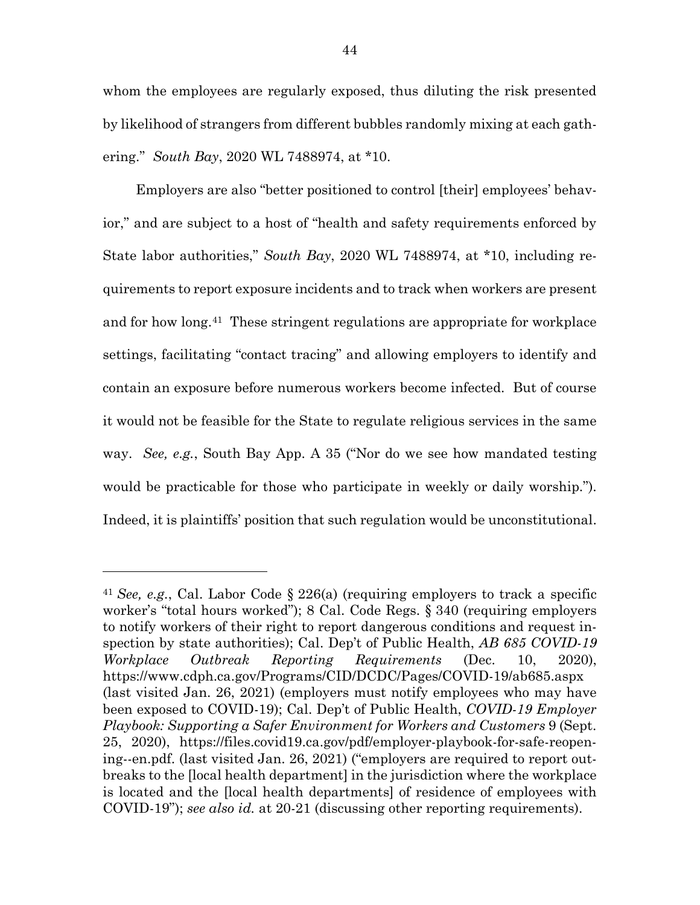whom the employees are regularly exposed, thus diluting the risk presented by likelihood of strangers from different bubbles randomly mixing at each gathering." *South Bay*, 2020 WL 7488974, at \*10.

Employers are also "better positioned to control [their] employees' behavior," and are subject to a host of "health and safety requirements enforced by State labor authorities," *South Bay*, 2020 WL 7488974, at \*10, including requirements to report exposure incidents and to track when workers are present and for how long.[41](#page-54-0) These stringent regulations are appropriate for workplace settings, facilitating "contact tracing" and allowing employers to identify and contain an exposure before numerous workers become infected. But of course it would not be feasible for the State to regulate religious services in the same way. *See, e.g.*, South Bay App. A 35 ("Nor do we see how mandated testing would be practicable for those who participate in weekly or daily worship."). Indeed, it is plaintiffs' position that such regulation would be unconstitutional.

l

<span id="page-54-0"></span><sup>41</sup> *See, e.g.*, Cal. Labor Code § 226(a) (requiring employers to track a specific worker's "total hours worked"); 8 Cal. Code Regs. § 340 (requiring employers to notify workers of their right to report dangerous conditions and request inspection by state authorities); Cal. Dep't of Public Health, *AB 685 COVID-19 Workplace Outbreak Reporting Requirements* (Dec. 10, 2020), https://www.cdph.ca.gov/Programs/CID/DCDC/Pages/COVID-19/ab685.aspx (last visited Jan. 26, 2021) (employers must notify employees who may have been exposed to COVID-19); Cal. Dep't of Public Health, *COVID-19 Employer Playbook: Supporting a Safer Environment for Workers and Customers* 9 (Sept. 25, 2020), https://files.covid19.ca.gov/pdf/employer-playbook-for-safe-reopening--en.pdf. (last visited Jan. 26, 2021) ("employers are required to report outbreaks to the [local health department] in the jurisdiction where the workplace is located and the [local health departments] of residence of employees with COVID-19"); *see also id.* at 20-21 (discussing other reporting requirements).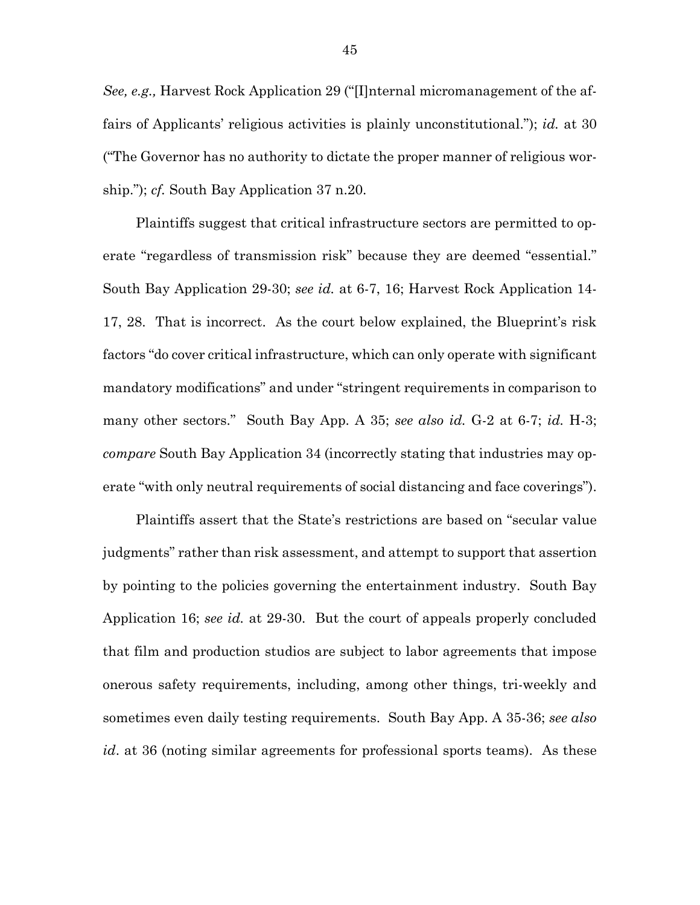*See, e.g.,* Harvest Rock Application 29 ("[I]nternal micromanagement of the affairs of Applicants' religious activities is plainly unconstitutional."); *id.* at 30 ("The Governor has no authority to dictate the proper manner of religious worship."); *cf.* South Bay Application 37 n.20.

Plaintiffs suggest that critical infrastructure sectors are permitted to operate "regardless of transmission risk" because they are deemed "essential." South Bay Application 29-30; *see id.* at 6-7, 16; Harvest Rock Application 14- 17, 28. That is incorrect. As the court below explained, the Blueprint's risk factors "do cover critical infrastructure, which can only operate with significant mandatory modifications" and under "stringent requirements in comparison to many other sectors." South Bay App. A 35; *see also id.* G-2 at 6-7; *id.* H-3; *compare* South Bay Application 34 (incorrectly stating that industries may operate "with only neutral requirements of social distancing and face coverings").

Plaintiffs assert that the State's restrictions are based on "secular value judgments" rather than risk assessment, and attempt to support that assertion by pointing to the policies governing the entertainment industry. South Bay Application 16; *see id.* at 29-30. But the court of appeals properly concluded that film and production studios are subject to labor agreements that impose onerous safety requirements, including, among other things, tri-weekly and sometimes even daily testing requirements. South Bay App. A 35-36; *see also id*. at 36 (noting similar agreements for professional sports teams). As these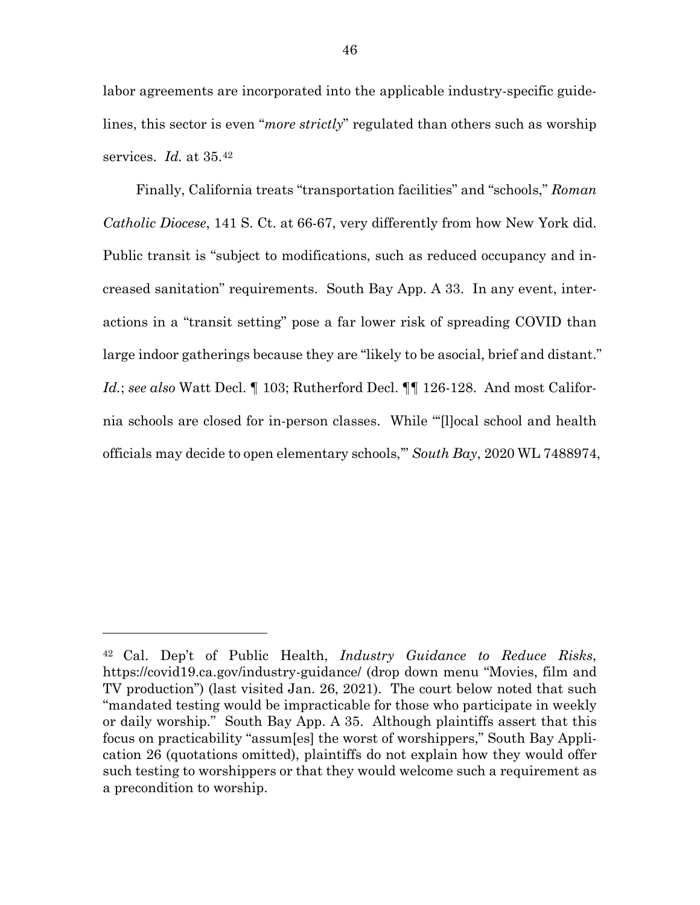labor agreements are incorporated into the applicable industry-specific guidelines, this sector is even "*more strictly*" regulated than others such as worship services. *Id.* at 35.[42](#page-56-0) 

Finally, California treats "transportation facilities" and "schools," *Roman Catholic Diocese*, 141 S. Ct. at 66-67, very differently from how New York did. Public transit is "subject to modifications, such as reduced occupancy and increased sanitation" requirements. South Bay App. A 33.In any event, interactions in a "transit setting" pose a far lower risk of spreading COVID than large indoor gatherings because they are "likely to be asocial, brief and distant." *Id.*; *see also* Watt Decl. ¶ 103; Rutherford Decl. ¶¶ 126-128. And most California schools are closed for in-person classes. While "'[l]ocal school and health officials may decide to open elementary schools,'" *South Bay*, 2020 WL 7488974,

<span id="page-56-0"></span><sup>42</sup> Cal. Dep't of Public Health, *Industry Guidance to Reduce Risks*, https://covid19.ca.gov/industry-guidance/ (drop down menu "Movies, film and TV production") (last visited Jan. 26, 2021). The court below noted that such "mandated testing would be impracticable for those who participate in weekly or daily worship." South Bay App. A 35. Although plaintiffs assert that this focus on practicability "assum[es] the worst of worshippers," South Bay Application 26 (quotations omitted), plaintiffs do not explain how they would offer such testing to worshippers or that they would welcome such a requirement as a precondition to worship.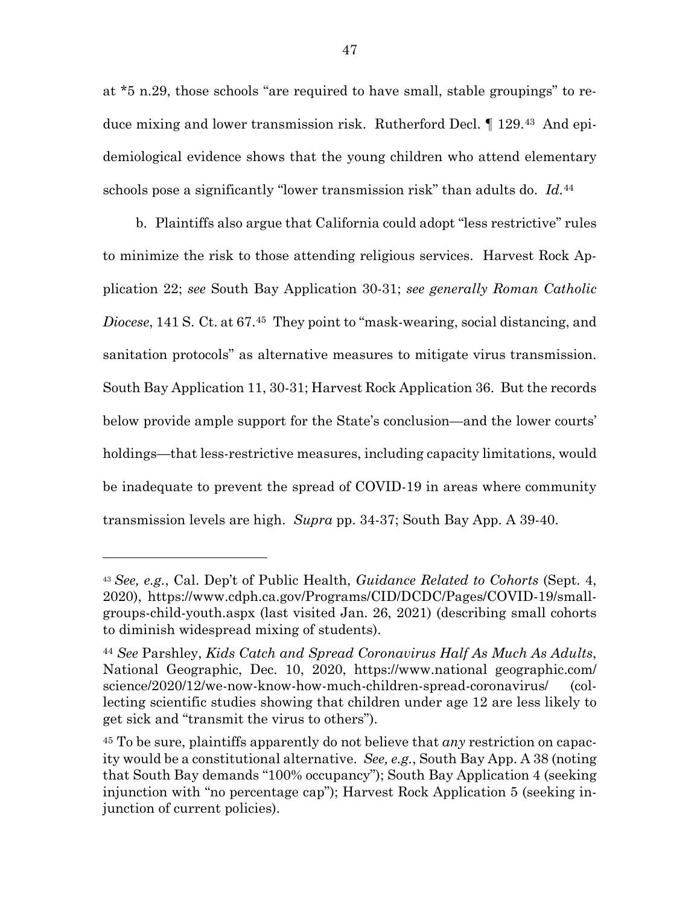at \*5 n.29, those schools "are required to have small, stable groupings" to reduce mixing and lower transmission risk. Rutherford Decl. ¶ 129.[43](#page-57-0) And epidemiological evidence shows that the young children who attend elementary schools pose a significantly "lower transmission risk" than adults do. *Id.*[44](#page-57-1)

b. Plaintiffs also argue that California could adopt "less restrictive" rules to minimize the risk to those attending religious services. Harvest Rock Application 22; *see* South Bay Application 30-31; *see generally Roman Catholic Diocese*, 141 S. Ct. at 67.[45](#page-57-2) They point to "mask-wearing, social distancing, and sanitation protocols" as alternative measures to mitigate virus transmission. South Bay Application 11, 30-31; Harvest Rock Application 36. But the records below provide ample support for the State's conclusion—and the lower courts' holdings—that less-restrictive measures, including capacity limitations, would be inadequate to prevent the spread of COVID-19 in areas where community transmission levels are high. *Supra* pp. 34-37; South Bay App. A 39-40.

<span id="page-57-0"></span><sup>43</sup> *See, e.g.*, Cal. Dep't of Public Health, *Guidance Related to Cohorts* (Sept. 4, 2020), https://www.cdph.ca.gov/Programs/CID/DCDC/Pages/COVID-19/smallgroups-child-youth.aspx (last visited Jan. 26, 2021) (describing small cohorts to diminish widespread mixing of students).

<span id="page-57-1"></span><sup>44</sup> *See* Parshley, *Kids Catch and Spread Coronavirus Half As Much As Adults*, National Geographic, Dec. 10, 2020, https://www.national geographic.com/ science/2020/12/we-now-know-how-much-children-spread-coronavirus/ (collecting scientific studies showing that children under age 12 are less likely to get sick and "transmit the virus to others").

<span id="page-57-2"></span><sup>45</sup> To be sure, plaintiffs apparently do not believe that *any* restriction on capacity would be a constitutional alternative. *See, e.g.*, South Bay App. A 38 (noting that South Bay demands "100% occupancy"); South Bay Application 4 (seeking injunction with "no percentage cap"); Harvest Rock Application 5 (seeking injunction of current policies).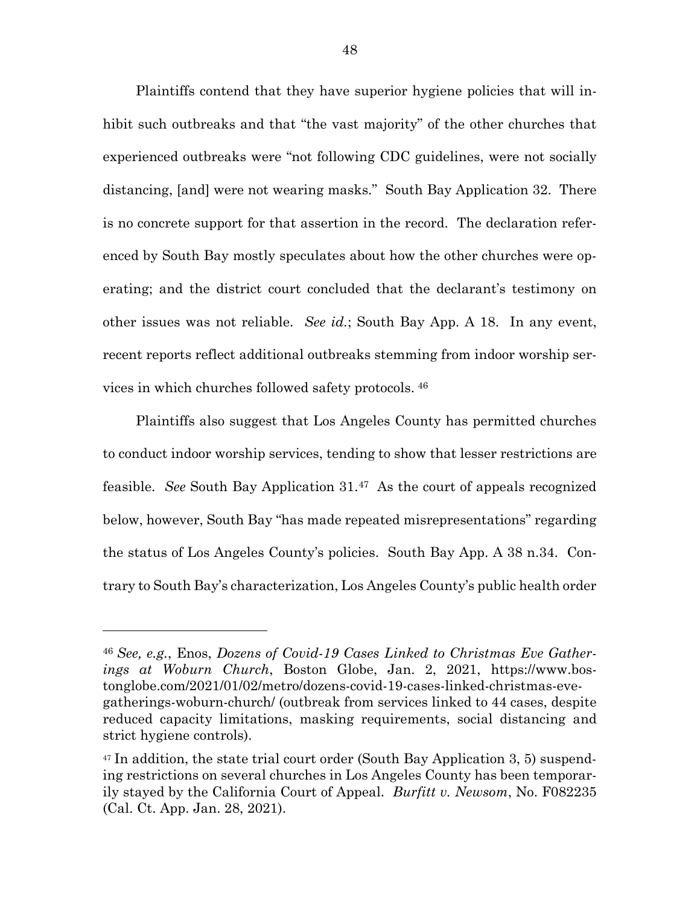Plaintiffs contend that they have superior hygiene policies that will inhibit such outbreaks and that "the vast majority" of the other churches that experienced outbreaks were "not following CDC guidelines, were not socially distancing, [and] were not wearing masks." South Bay Application 32. There is no concrete support for that assertion in the record. The declaration referenced by South Bay mostly speculates about how the other churches were operating; and the district court concluded that the declarant's testimony on other issues was not reliable. *See id.*; South Bay App. A 18. In any event, recent reports reflect additional outbreaks stemming from indoor worship services in which churches followed safety protocols. [46](#page-58-0)

Plaintiffs also suggest that Los Angeles County has permitted churches to conduct indoor worship services, tending to show that lesser restrictions are feasible. *See* South Bay Application 31.[47](#page-58-1) As the court of appeals recognized below, however, South Bay "has made repeated misrepresentations" regarding the status of Los Angeles County's policies. South Bay App. A 38 n.34. Contrary to South Bay's characterization, Los Angeles County's public health order

l

<span id="page-58-0"></span><sup>46</sup> *See, e.g.*, Enos, *Dozens of Covid-19 Cases Linked to Christmas Eve Gatherings at Woburn Church*, Boston Globe, Jan. 2, 2021, https://www.bostonglobe.com/2021/01/02/metro/dozens-covid-19-cases-linked-christmas-evegatherings-woburn-church/ (outbreak from services linked to 44 cases, despite reduced capacity limitations, masking requirements, social distancing and strict hygiene controls).

<span id="page-58-1"></span><sup>47</sup> In addition, the state trial court order (South Bay Application 3, 5) suspending restrictions on several churches in Los Angeles County has been temporarily stayed by the California Court of Appeal. *Burfitt v. Newsom*, No. F082235 (Cal. Ct. App. Jan. 28, 2021).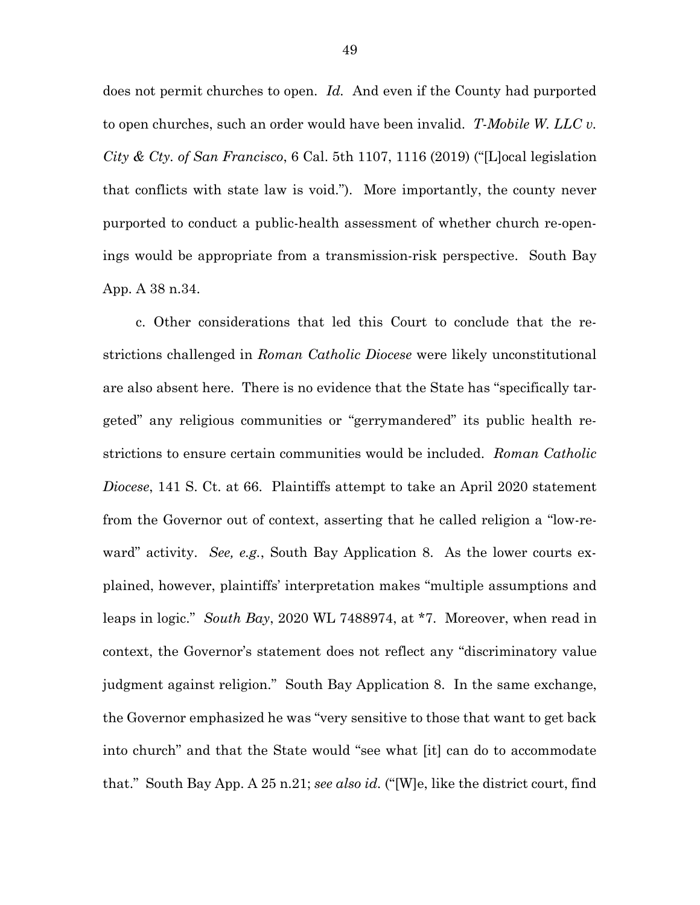does not permit churches to open. *Id.* And even if the County had purported to open churches, such an order would have been invalid. *T-Mobile W. LLC v. City & Cty. of San Francisco*, 6 Cal. 5th 1107, 1116 (2019) ("[L]ocal legislation that conflicts with state law is void."). More importantly, the county never purported to conduct a public-health assessment of whether church re-openings would be appropriate from a transmission-risk perspective. South Bay App. A 38 n.34.

c. Other considerations that led this Court to conclude that the restrictions challenged in *Roman Catholic Diocese* were likely unconstitutional are also absent here. There is no evidence that the State has "specifically targeted" any religious communities or "gerrymandered" its public health restrictions to ensure certain communities would be included. *Roman Catholic Diocese*, 141 S. Ct. at 66. Plaintiffs attempt to take an April 2020 statement from the Governor out of context, asserting that he called religion a "low-reward" activity. *See, e.g.*, South Bay Application 8. As the lower courts explained, however, plaintiffs' interpretation makes "multiple assumptions and leaps in logic." *South Bay*, 2020 WL 7488974, at \*7. Moreover, when read in context, the Governor's statement does not reflect any "discriminatory value judgment against religion." South Bay Application 8. In the same exchange, the Governor emphasized he was "very sensitive to those that want to get back into church" and that the State would "see what [it] can do to accommodate that." South Bay App. A 25 n.21; *see also id.* ("[W]e, like the district court, find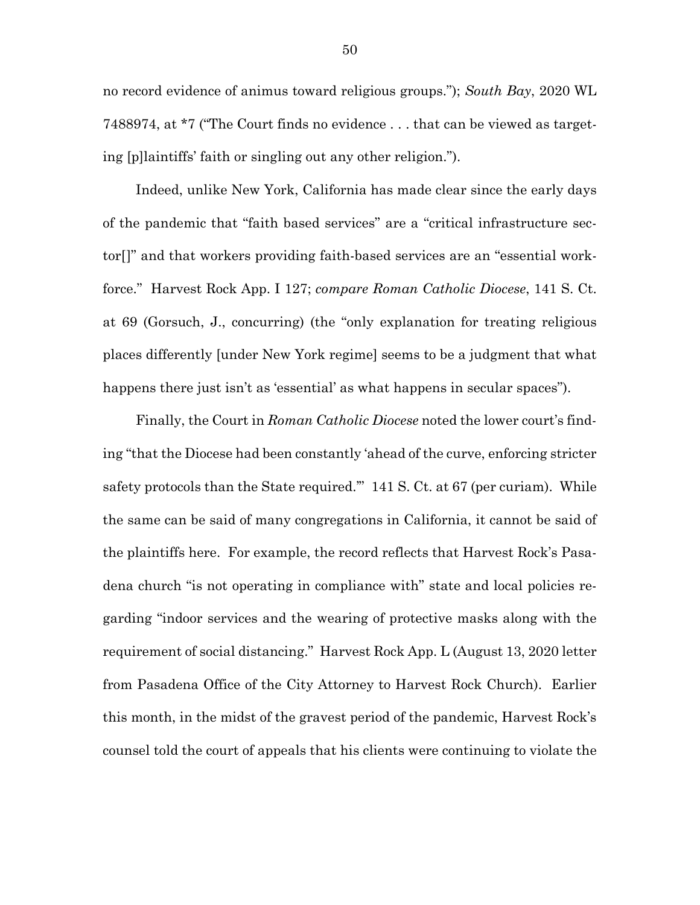no record evidence of animus toward religious groups."); *South Bay*, 2020 WL 7488974, at \*7 ("The Court finds no evidence . . . that can be viewed as targeting [p]laintiffs' faith or singling out any other religion.").

Indeed, unlike New York, California has made clear since the early days of the pandemic that "faith based services" are a "critical infrastructure sector[]" and that workers providing faith-based services are an "essential workforce." Harvest Rock App. I 127; *compare Roman Catholic Diocese*, 141 S. Ct. at 69 (Gorsuch, J., concurring) (the "only explanation for treating religious places differently [under New York regime] seems to be a judgment that what happens there just isn't as 'essential' as what happens in secular spaces").

Finally, the Court in *Roman Catholic Diocese* noted the lower court's finding "that the Diocese had been constantly 'ahead of the curve, enforcing stricter safety protocols than the State required.'" 141 S. Ct. at 67 (per curiam). While the same can be said of many congregations in California, it cannot be said of the plaintiffs here. For example, the record reflects that Harvest Rock's Pasadena church "is not operating in compliance with" state and local policies regarding "indoor services and the wearing of protective masks along with the requirement of social distancing." Harvest Rock App. L (August 13, 2020 letter from Pasadena Office of the City Attorney to Harvest Rock Church). Earlier this month, in the midst of the gravest period of the pandemic, Harvest Rock's counsel told the court of appeals that his clients were continuing to violate the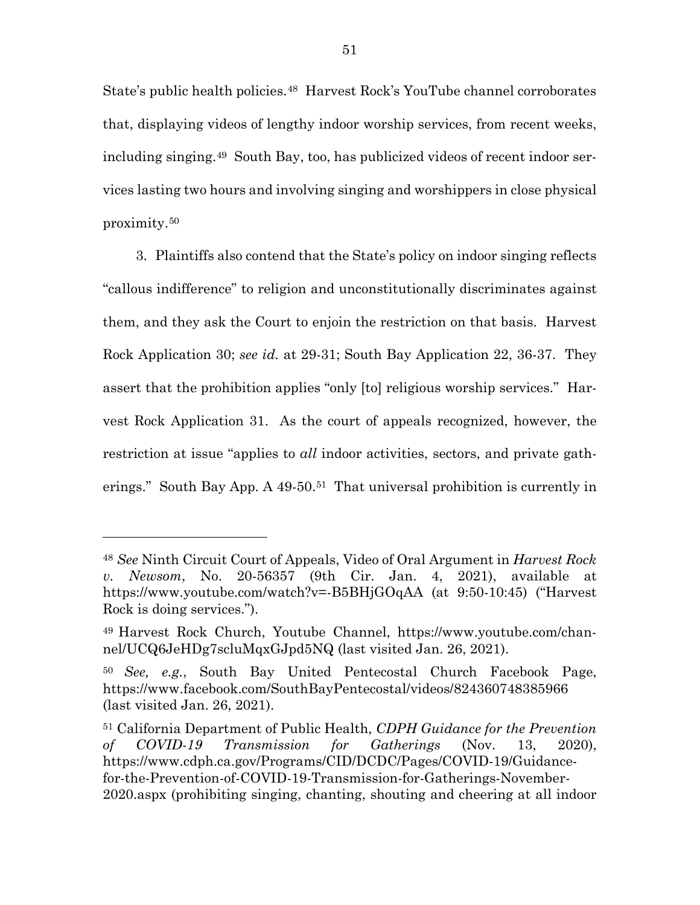State's public health policies.<sup>48</sup> Harvest Rock's YouTube channel corroborates that, displaying videos of lengthy indoor worship services, from recent weeks, including singing.[49](#page-61-1) South Bay, too, has publicized videos of recent indoor services lasting two hours and involving singing and worshippers in close physical proximity.[50](#page-61-2) 

3. Plaintiffs also contend that the State's policy on indoor singing reflects "callous indifference" to religion and unconstitutionally discriminates against them, and they ask the Court to enjoin the restriction on that basis. Harvest Rock Application 30; *see id.* at 29-31; South Bay Application 22, 36-37. They assert that the prohibition applies "only [to] religious worship services." Harvest Rock Application 31. As the court of appeals recognized, however, the restriction at issue "applies to *all* indoor activities, sectors, and private gatherings." South Bay App. A 49-50.[51](#page-61-3) That universal prohibition is currently in

l

<span id="page-61-0"></span><sup>48</sup> *See* Ninth Circuit Court of Appeals, Video of Oral Argument in *Harvest Rock v. Newsom*, No. 20-56357 (9th Cir. Jan. 4, 2021), available at https://www.youtube.com/watch?v=-B5BHjGOqAA (at 9:50-10:45) ("Harvest Rock is doing services.").

<span id="page-61-1"></span><sup>49</sup> Harvest Rock Church, Youtube Channel, https://www.youtube.com/channel/UCQ6JeHDg7scluMqxGJpd5NQ (last visited Jan. 26, 2021).

<span id="page-61-2"></span><sup>50</sup> *See, e.g.*, South Bay United Pentecostal Church Facebook Page, https://www.facebook.com/SouthBayPentecostal/videos/824360748385966 (last visited Jan. 26, 2021).

<span id="page-61-3"></span><sup>51</sup> California Department of Public Health, *CDPH Guidance for the Prevention of COVID-19 Transmission for Gatherings* (Nov. 13, 2020), https://www.cdph.ca.gov/Programs/CID/DCDC/Pages/COVID-19/Guidancefor-the-Prevention-of-COVID-19-Transmission-for-Gatherings-November-2020.aspx (prohibiting singing, chanting, shouting and cheering at all indoor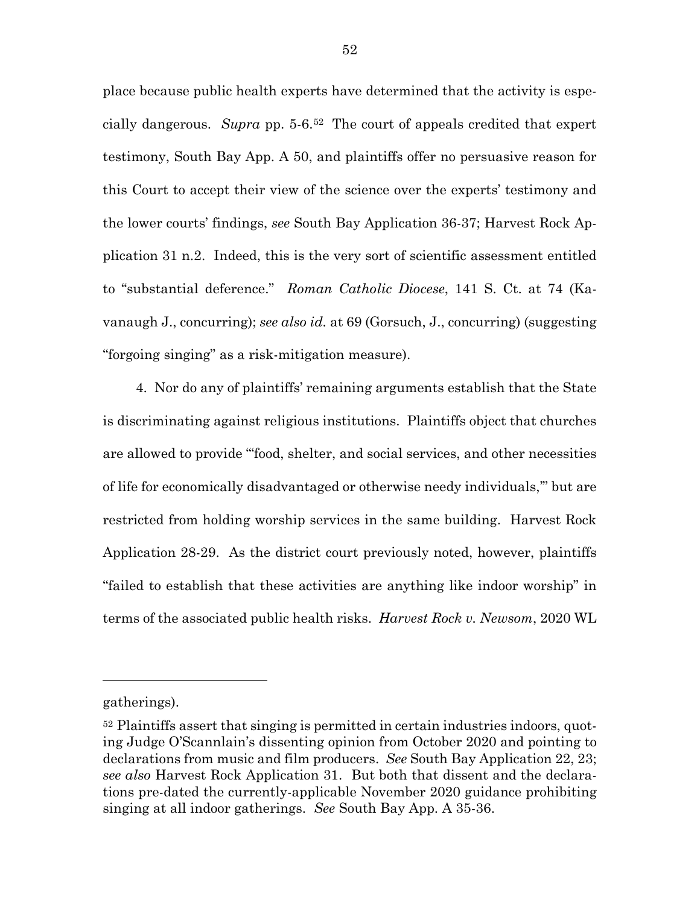place because public health experts have determined that the activity is especially dangerous. *Supra* pp. 5-6.[52](#page-62-0) The court of appeals credited that expert testimony, South Bay App. A 50, and plaintiffs offer no persuasive reason for this Court to accept their view of the science over the experts' testimony and the lower courts' findings, *see* South Bay Application 36-37; Harvest Rock Application 31 n.2.Indeed, this is the very sort of scientific assessment entitled to "substantial deference." *Roman Catholic Diocese*, 141 S. Ct. at 74 (Kavanaugh J., concurring); *see also id.* at 69 (Gorsuch, J., concurring) (suggesting "forgoing singing" as a risk-mitigation measure).

4. Nor do any of plaintiffs' remaining arguments establish that the State is discriminating against religious institutions. Plaintiffs object that churches are allowed to provide "'food, shelter, and social services, and other necessities of life for economically disadvantaged or otherwise needy individuals,'" but are restricted from holding worship services in the same building. Harvest Rock Application 28-29. As the district court previously noted, however, plaintiffs "failed to establish that these activities are anything like indoor worship" in terms of the associated public health risks. *Harvest Rock v. Newsom*, 2020 WL

gatherings).

<span id="page-62-0"></span><sup>52</sup> Plaintiffs assert that singing is permitted in certain industries indoors, quoting Judge O'Scannlain's dissenting opinion from October 2020 and pointing to declarations from music and film producers. *See* South Bay Application 22, 23; *see also* Harvest Rock Application 31. But both that dissent and the declarations pre-dated the currently-applicable November 2020 guidance prohibiting singing at all indoor gatherings. *See* South Bay App. A 35-36.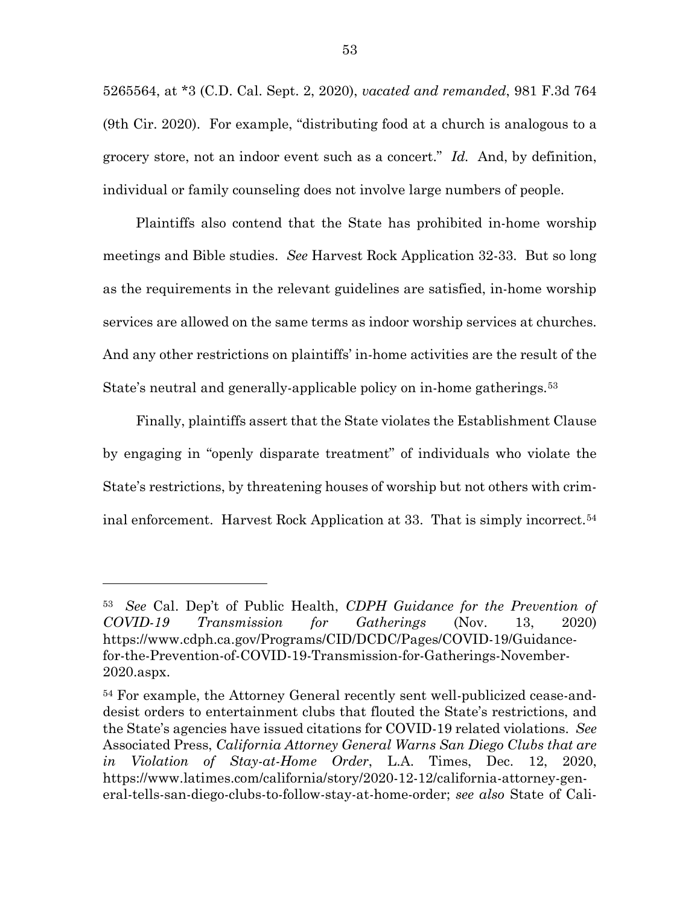5265564, at \*3 (C.D. Cal. Sept. 2, 2020), *vacated and remanded*, 981 F.3d 764 (9th Cir. 2020). For example, "distributing food at a church is analogous to a grocery store, not an indoor event such as a concert." *Id.* And, by definition, individual or family counseling does not involve large numbers of people.

Plaintiffs also contend that the State has prohibited in-home worship meetings and Bible studies. *See* Harvest Rock Application 32-33. But so long as the requirements in the relevant guidelines are satisfied, in-home worship services are allowed on the same terms as indoor worship services at churches. And any other restrictions on plaintiffs' in-home activities are the result of the State's neutral and generally-applicable policy on in-home gatherings.<sup>[53](#page-63-0)</sup>

Finally, plaintiffs assert that the State violates the Establishment Clause by engaging in "openly disparate treatment" of individuals who violate the State's restrictions, by threatening houses of worship but not others with criminal enforcement. Harvest Rock Application at 33. That is simply incorrect.[54](#page-63-1)

l

<span id="page-63-0"></span><sup>53</sup> *See* Cal. Dep't of Public Health, *CDPH Guidance for the Prevention of COVID-19 Transmission for Gatherings* (Nov. 13, 2020) [https://www.cdph.ca.gov/Programs/CID/DCDC/Pages/COVID-19/Guidance](https://www.cdph.ca.gov/Programs/CID/DCDC/Pages/COVID-19/Guidance-for-the-Prevention-of-COVID-19-Transmission-for-Gatherings-November-2020.aspx)[for-the-Prevention-of-COVID-19-Transmission-for-Gatherings-November-](https://www.cdph.ca.gov/Programs/CID/DCDC/Pages/COVID-19/Guidance-for-the-Prevention-of-COVID-19-Transmission-for-Gatherings-November-2020.aspx)[2020.aspx.](https://www.cdph.ca.gov/Programs/CID/DCDC/Pages/COVID-19/Guidance-for-the-Prevention-of-COVID-19-Transmission-for-Gatherings-November-2020.aspx)

<span id="page-63-1"></span><sup>54</sup> For example, the Attorney General recently sent well-publicized cease-anddesist orders to entertainment clubs that flouted the State's restrictions, and the State's agencies have issued citations for COVID-19 related violations. *See* Associated Press, *California Attorney General Warns San Diego Clubs that are in Violation of Stay-at-Home Order*, L.A. Times, Dec. 12, 2020, https://www.latimes.com/california/story/2020-12-12/california-attorney-general-tells-san-diego-clubs-to-follow-stay-at-home-order; *see also* State of Cali-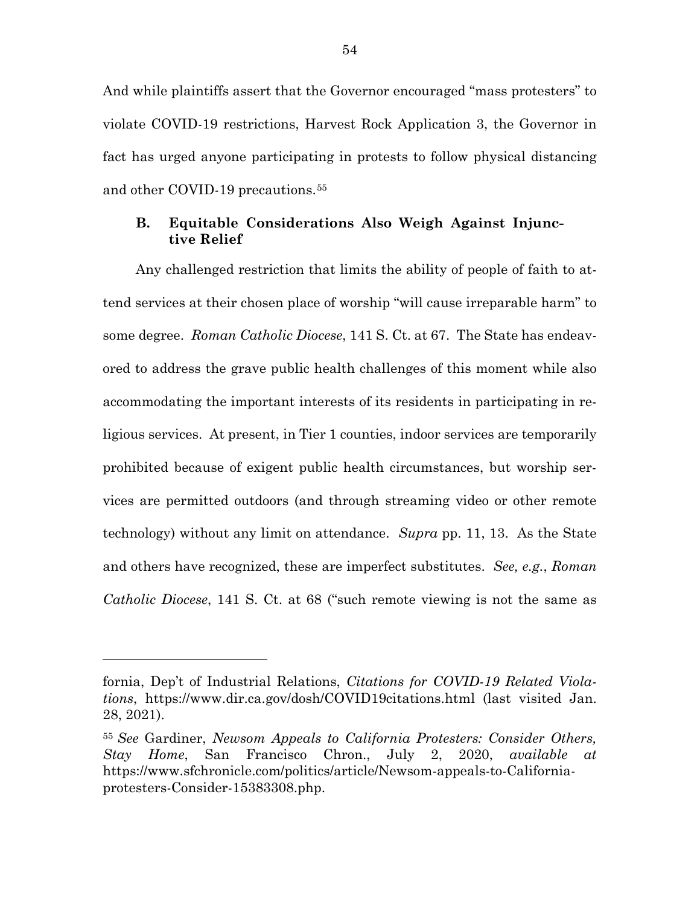And while plaintiffs assert that the Governor encouraged "mass protesters" to violate COVID-19 restrictions, Harvest Rock Application 3, the Governor in fact has urged anyone participating in protests to follow physical distancing and other COVID-19 precautions.[55](#page-64-0)

### **B. Equitable Considerations Also Weigh Against Injunctive Relief**

Any challenged restriction that limits the ability of people of faith to attend services at their chosen place of worship "will cause irreparable harm" to some degree. *Roman Catholic Diocese*, 141 S. Ct. at 67. The State has endeavored to address the grave public health challenges of this moment while also accommodating the important interests of its residents in participating in religious services. At present, in Tier 1 counties, indoor services are temporarily prohibited because of exigent public health circumstances, but worship services are permitted outdoors (and through streaming video or other remote technology) without any limit on attendance. *Supra* pp. 11, 13. As the State and others have recognized, these are imperfect substitutes. *See, e.g.*, *Roman Catholic Diocese*, 141 S. Ct. at 68 ("such remote viewing is not the same as

fornia, Dep't of Industrial Relations, *Citations for COVID-19 Related Violations*, https://www.dir.ca.gov/dosh/COVID19citations.html (last visited Jan. 28, 2021).

<span id="page-64-0"></span><sup>55</sup> *See* Gardiner, *Newsom Appeals to California Protesters: Consider Others, Stay Home*, San Francisco Chron., July 2, 2020, *available at* https://www.sfchronicle.com/politics/article/Newsom-appeals-to-Californiaprotesters-Consider-15383308.php.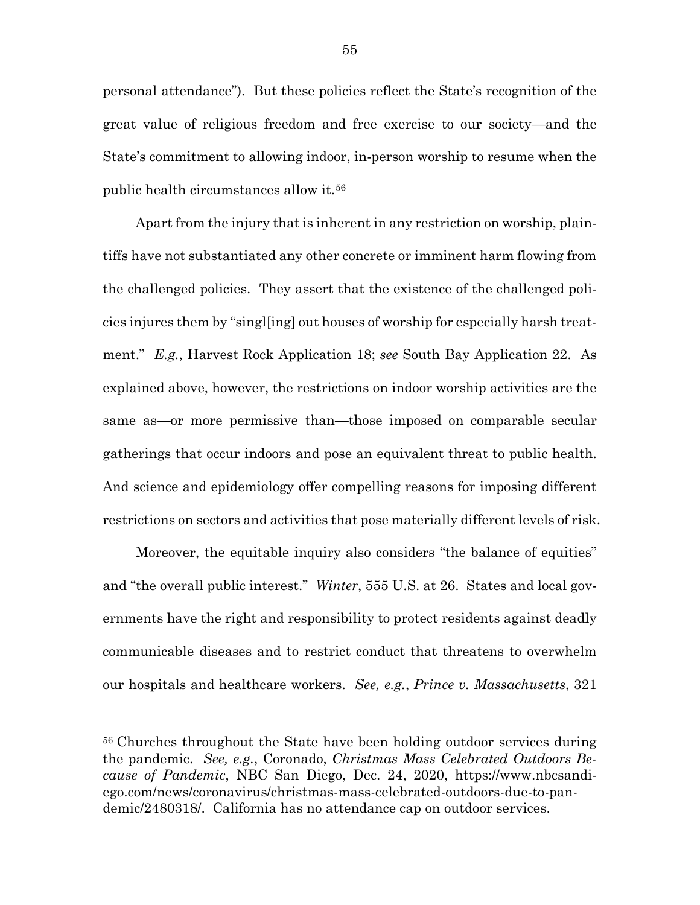personal attendance"). But these policies reflect the State's recognition of the great value of religious freedom and free exercise to our society—and the State's commitment to allowing indoor, in-person worship to resume when the public health circumstances allow it.[56](#page-65-0) 

Apart from the injury that is inherent in any restriction on worship, plaintiffs have not substantiated any other concrete or imminent harm flowing from the challenged policies. They assert that the existence of the challenged policies injures them by "singl[ing] out houses of worship for especially harsh treatment." *E.g.*, Harvest Rock Application 18; *see* South Bay Application 22. As explained above, however, the restrictions on indoor worship activities are the same as—or more permissive than—those imposed on comparable secular gatherings that occur indoors and pose an equivalent threat to public health. And science and epidemiology offer compelling reasons for imposing different restrictions on sectors and activities that pose materially different levels of risk.

Moreover, the equitable inquiry also considers "the balance of equities" and "the overall public interest." *Winter*, 555 U.S. at 26. States and local governments have the right and responsibility to protect residents against deadly communicable diseases and to restrict conduct that threatens to overwhelm our hospitals and healthcare workers. *See, e.g.*, *Prince v. Massachusetts*, 321

<span id="page-65-0"></span><sup>56</sup> Churches throughout the State have been holding outdoor services during the pandemic. *See, e.g.*, Coronado, *Christmas Mass Celebrated Outdoors Because of Pandemic*, NBC San Diego, Dec. 24, 2020, https://www.nbcsandiego.com/news/coronavirus/christmas-mass-celebrated-outdoors-due-to-pandemic/2480318/. California has no attendance cap on outdoor services.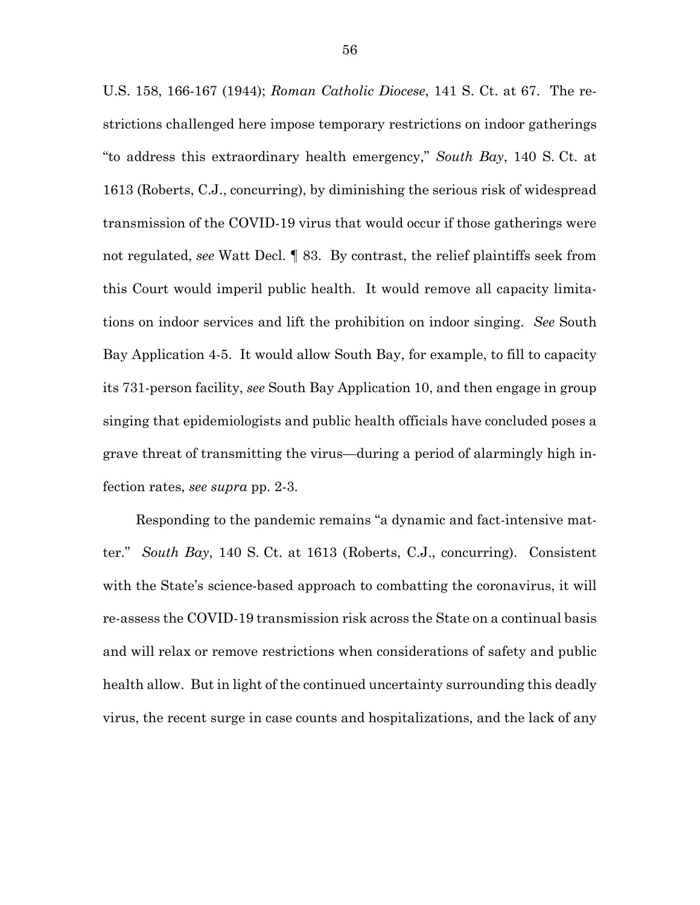U.S. 158, 166-167 (1944); *Roman Catholic Diocese*, 141 S. Ct. at 67. The restrictions challenged here impose temporary restrictions on indoor gatherings "to address this extraordinary health emergency," *South Bay*, 140 S. Ct. at 1613 (Roberts, C.J., concurring), by diminishing the serious risk of widespread transmission of the COVID-19 virus that would occur if those gatherings were not regulated, *see* Watt Decl. ¶ 83. By contrast, the relief plaintiffs seek from this Court would imperil public health. It would remove all capacity limitations on indoor services and lift the prohibition on indoor singing. *See* South Bay Application 4-5. It would allow South Bay, for example, to fill to capacity its 731-person facility, *see* South Bay Application 10, and then engage in group singing that epidemiologists and public health officials have concluded poses a grave threat of transmitting the virus—during a period of alarmingly high infection rates, *see supra* pp. 2-3.

Responding to the pandemic remains "a dynamic and fact-intensive matter." *South Bay*, 140 S. Ct. at 1613 (Roberts, C.J., concurring). Consistent with the State's science-based approach to combatting the coronavirus, it will re-assess the COVID-19 transmission risk across the State on a continual basis and will relax or remove restrictions when considerations of safety and public health allow. But in light of the continued uncertainty surrounding this deadly virus, the recent surge in case counts and hospitalizations, and the lack of any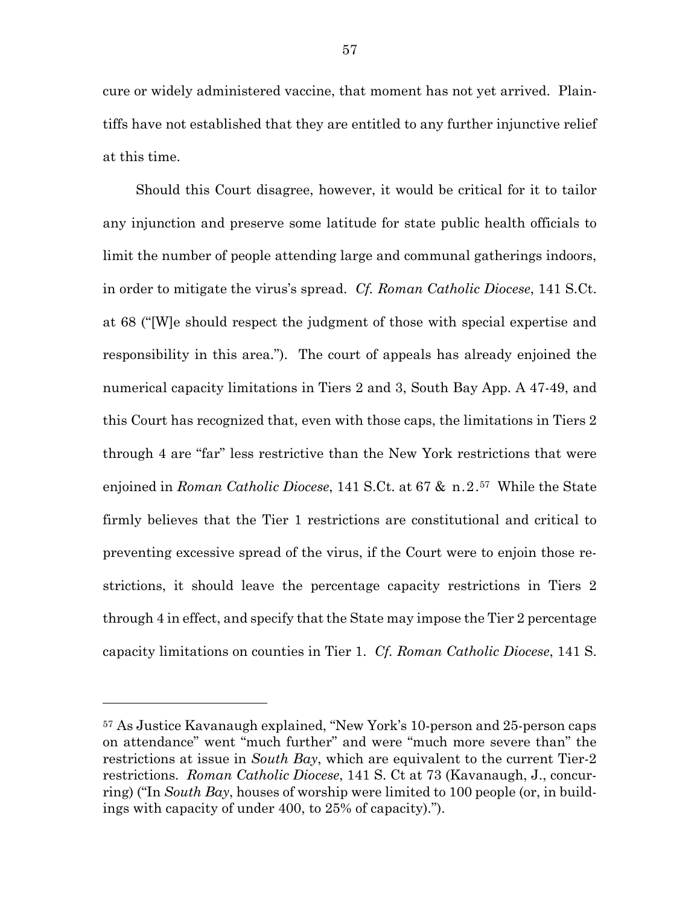cure or widely administered vaccine, that moment has not yet arrived. Plaintiffs have not established that they are entitled to any further injunctive relief at this time.

Should this Court disagree, however, it would be critical for it to tailor any injunction and preserve some latitude for state public health officials to limit the number of people attending large and communal gatherings indoors, in order to mitigate the virus's spread. *Cf. Roman Catholic Diocese*, 141 S.Ct. at 68 ("[W]e should respect the judgment of those with special expertise and responsibility in this area."). The court of appeals has already enjoined the numerical capacity limitations in Tiers 2 and 3, South Bay App. A 47-49, and this Court has recognized that, even with those caps, the limitations in Tiers 2 through 4 are "far" less restrictive than the New York restrictions that were enjoined in *Roman Catholic Diocese*, 141 S.Ct. at 67 & n.2.[57](#page-67-0) While the State firmly believes that the Tier 1 restrictions are constitutional and critical to preventing excessive spread of the virus, if the Court were to enjoin those restrictions, it should leave the percentage capacity restrictions in Tiers 2 through 4 in effect, and specify that the State may impose the Tier 2 percentage capacity limitations on counties in Tier 1. *Cf. Roman Catholic Diocese*, 141 S.

<span id="page-67-0"></span><sup>57</sup> As Justice Kavanaugh explained, "New York's 10-person and 25-person caps on attendance" went "much further" and were "much more severe than" the restrictions at issue in *South Bay*, which are equivalent to the current Tier-2 restrictions. *Roman Catholic Diocese*, 141 S. Ct at 73 (Kavanaugh, J., concurring) ("In *South Bay*, houses of worship were limited to 100 people (or, in buildings with capacity of under 400, to 25% of capacity).").